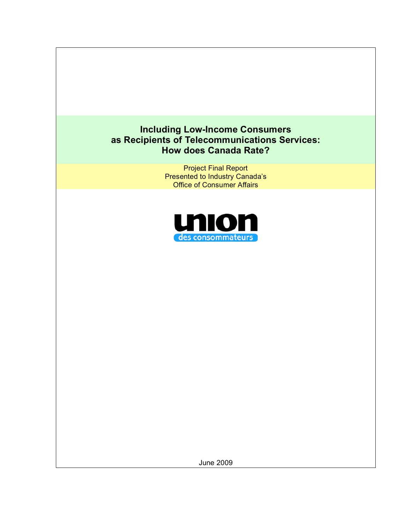# **Including Low-Income Consumers as Recipients of Telecommunications Services: How does Canada Rate?**

Project Final Report Presented to Industry Canada's Office of Consumer Affairs



June 2009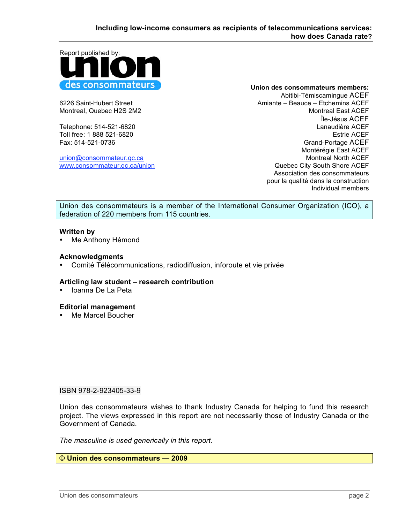Report published by: des consommateurs

union@consommateur.qc.ca

**Union des consommateurs members:**

Abitibi-Témiscamingue ACEF 6226 Saint-Hubert Street Amiante – Beauce – Etchemins ACEF Montreal, Quebec H2S 2M2 Montreal East ACEF Île-Jésus ACEF Telephone: 514-521-6820 Lanaudière ACEF Toll free: 1 888 521-6820 Estrie ACEF Fax: 514-521-0736 Grand-Portage ACEF Montérégie East ACEF www.consommateur.gc.ca/union example of the state of the City South Shore ACEF Association des consommateurs pour la qualité dans la construction Individual members

Union des consommateurs is a member of the International Consumer Organization (ICO), a federation of 220 members from 115 countries.

#### **Written by**

• Me Anthony Hémond

#### **Acknowledgments**

• Comité Télécommunications, radiodiffusion, inforoute et vie privée

#### **Articling law student – research contribution**

• Ioanna De La Peta

#### **Editorial management**

• Me Marcel Boucher

#### ISBN 978-2-923405-33-9

Union des consommateurs wishes to thank Industry Canada for helping to fund this research project. The views expressed in this report are not necessarily those of Industry Canada or the Government of Canada.

*The masculine is used generically in this report.*

© **Union des consommateurs — 2009**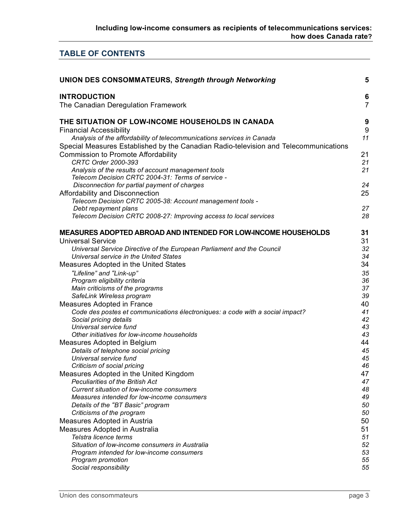# **TABLE OF CONTENTS**

| <b>UNION DES CONSOMMATEURS, Strength through Networking</b>                                                                                                    | 5                   |
|----------------------------------------------------------------------------------------------------------------------------------------------------------------|---------------------|
| <b>INTRODUCTION</b><br>The Canadian Deregulation Framework                                                                                                     | 6<br>$\overline{7}$ |
| THE SITUATION OF LOW-INCOME HOUSEHOLDS IN CANADA<br><b>Financial Accessibility</b>                                                                             | 9<br>9              |
| Analysis of the affordability of telecommunications services in Canada<br>Special Measures Established by the Canadian Radio-television and Telecommunications | 11                  |
| <b>Commission to Promote Affordability</b><br><b>CRTC Order 2000-393</b>                                                                                       | 21<br>21            |
| Analysis of the results of account management tools<br>Telecom Decision CRTC 2004-31: Terms of service -                                                       | 21                  |
| Disconnection for partial payment of charges<br>Affordability and Disconnection                                                                                | 24<br>25            |
| Telecom Decision CRTC 2005-38: Account management tools -                                                                                                      |                     |
| Debt repayment plans                                                                                                                                           | 27                  |
| Telecom Decision CRTC 2008-27: Improving access to local services                                                                                              | 28                  |
| MEASURES ADOPTED ABROAD AND INTENDED FOR LOW-INCOME HOUSEHOLDS                                                                                                 | 31                  |
| <b>Universal Service</b>                                                                                                                                       | 31                  |
| Universal Service Directive of the European Parliament and the Council                                                                                         | 32                  |
| Universal service in the United States                                                                                                                         | 34<br>34            |
| Measures Adopted in the United States                                                                                                                          |                     |
| "Lifeline" and "Link-up"                                                                                                                                       | 35<br>36            |
| Program eligibility criteria<br>Main criticisms of the programs                                                                                                | 37                  |
| SafeLink Wireless program                                                                                                                                      | 39                  |
| Measures Adopted in France                                                                                                                                     | 40                  |
| Code des postes et communications électroniques: a code with a social impact?                                                                                  | 41                  |
| Social pricing details                                                                                                                                         | 42                  |
| Universal service fund                                                                                                                                         | 43                  |
| Other initiatives for low-income households                                                                                                                    | 43                  |
| Measures Adopted in Belgium                                                                                                                                    | 44                  |
| Details of telephone social pricing                                                                                                                            | 45                  |
| Universal service fund                                                                                                                                         | 45                  |
| Criticism of social pricing                                                                                                                                    | 46                  |
| Measures Adopted in the United Kingdom                                                                                                                         | 47                  |
| <b>Peculiarities of the British Act</b>                                                                                                                        | 47                  |
| Current situation of low-income consumers                                                                                                                      | 48                  |
| Measures intended for low-income consumers                                                                                                                     | 49                  |
| Details of the "BT Basic" program                                                                                                                              | 50                  |
| Criticisms of the program                                                                                                                                      | 50                  |
| Measures Adopted in Austria                                                                                                                                    | 50                  |
| Measures Adopted in Australia                                                                                                                                  | 51                  |
| Telstra licence terms                                                                                                                                          | 51                  |
| Situation of low-income consumers in Australia<br>Program intended for low-income consumers                                                                    | 52<br>53            |
| Program promotion                                                                                                                                              | 55                  |
| Social responsibility                                                                                                                                          | 55                  |
|                                                                                                                                                                |                     |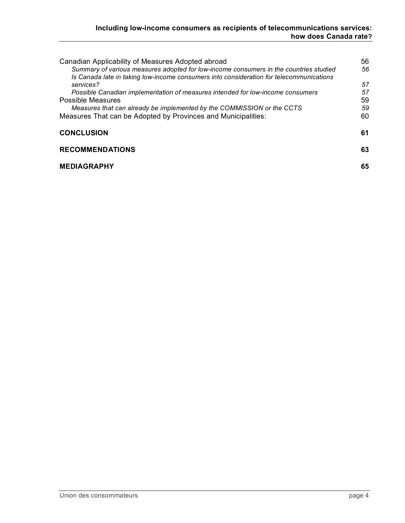| Canadian Applicability of Measures Adopted abroad<br>Summary of various measures adopted for low-income consumers in the countries studied<br>Is Canada late in taking low-income consumers into consideration for telecommunications | 56<br>56 |
|---------------------------------------------------------------------------------------------------------------------------------------------------------------------------------------------------------------------------------------|----------|
| services?                                                                                                                                                                                                                             | 57       |
| Possible Canadian implementation of measures intended for low-income consumers                                                                                                                                                        | 57       |
| <b>Possible Measures</b>                                                                                                                                                                                                              | 59       |
| Measures that can already be implemented by the COMMISSION or the CCTS                                                                                                                                                                | 59       |
| Measures That can be Adopted by Provinces and Municipalities:                                                                                                                                                                         | 60       |
| <b>CONCLUSION</b>                                                                                                                                                                                                                     | 61       |
| <b>RECOMMENDATIONS</b>                                                                                                                                                                                                                | 63       |
| <b>MEDIAGRAPHY</b>                                                                                                                                                                                                                    | 65       |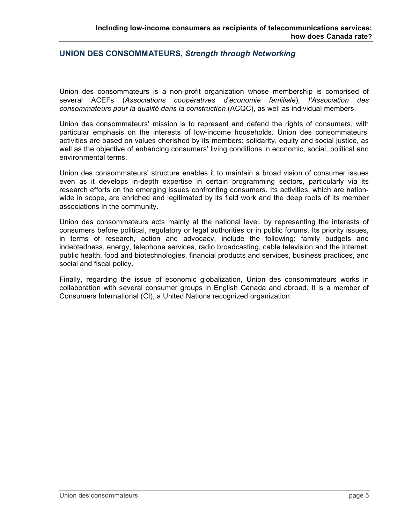### **UNION DES CONSOMMATEURS,** *Strength through Networking*

Union des consommateurs is a non-profit organization whose membership is comprised of several ACEFs (*Associations coopératives d'économie familiale*), *l'Association des consommateurs pour la qualité dans la construction* (ACQC), as well as individual members.

Union des consommateurs' mission is to represent and defend the rights of consumers, with particular emphasis on the interests of low-income households. Union des consommateurs' activities are based on values cherished by its members: solidarity, equity and social justice, as well as the objective of enhancing consumers' living conditions in economic, social, political and environmental terms.

Union des consommateurs' structure enables it to maintain a broad vision of consumer issues even as it develops in-depth expertise in certain programming sectors, particularly via its research efforts on the emerging issues confronting consumers. Its activities, which are nationwide in scope, are enriched and legitimated by its field work and the deep roots of its member associations in the community.

Union des consommateurs acts mainly at the national level, by representing the interests of consumers before political, regulatory or legal authorities or in public forums. Its priority issues, in terms of research, action and advocacy, include the following: family budgets and indebtedness, energy, telephone services, radio broadcasting, cable television and the Internet, public health, food and biotechnologies, financial products and services, business practices, and social and fiscal policy.

Finally, regarding the issue of economic globalization, Union des consommateurs works in collaboration with several consumer groups in English Canada and abroad. It is a member of Consumers International (CI), a United Nations recognized organization.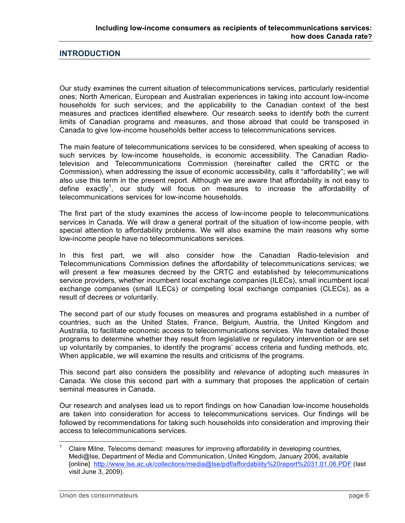### **INTRODUCTION**

Our study examines the current situation of telecommunications services, particularly residential ones; North American, European and Australian experiences in taking into account low-income households for such services; and the applicability to the Canadian context of the best measures and practices identified elsewhere. Our research seeks to identify both the current limits of Canadian programs and measures, and those abroad that could be transposed in Canada to give low-income households better access to telecommunications services.

The main feature of telecommunications services to be considered, when speaking of access to such services by low-income households, is economic accessibility. The Canadian Radiotelevision and Telecommunications Commission (hereinafter called the CRTC or the Commission), when addressing the issue of economic accessibility, calls it "affordability"; we will also use this term in the present report. Although we are aware that affordability is not easy to define exactly<sup>1</sup>, our study will focus on measures to increase the affordability of telecommunications services for low-income households.

The first part of the study examines the access of low-income people to telecommunications services in Canada. We will draw a general portrait of the situation of low-income people, with special attention to affordability problems. We will also examine the main reasons why some low-income people have no telecommunications services.

In this first part, we will also consider how the Canadian Radio-television and Telecommunications Commission defines the affordability of telecommunications services; we will present a few measures decreed by the CRTC and established by telecommunications service providers, whether incumbent local exchange companies (ILECs), small incumbent local exchange companies (small ILECs) or competing local exchange companies (CLECs), as a result of decrees or voluntarily.

The second part of our study focuses on measures and programs established in a number of countries, such as the United States, France, Belgium, Austria, the United Kingdom and Australia, to facilitate economic access to telecommunications services. We have detailed those programs to determine whether they result from legislative or regulatory intervention or are set up voluntarily by companies, to identify the programs' access criteria and funding methods, etc. When applicable, we will examine the results and criticisms of the programs.

This second part also considers the possibility and relevance of adopting such measures in Canada. We close this second part with a summary that proposes the application of certain seminal measures in Canada.

Our research and analyses lead us to report findings on how Canadian low-income households are taken into consideration for access to telecommunications services. Our findings will be followed by recommendations for taking such households into consideration and improving their access to telecommunications services.

Claire Milne. Telecoms demand: measures for improving affordability in developing countries, Medi@lse, Department of Media and Communication, United Kingdom, January 2006, available [online] http://www.lse.ac.uk/collections/media@lse/pdf/affordability%20report%2031.01.06.PDF (last visit June 3, 2009).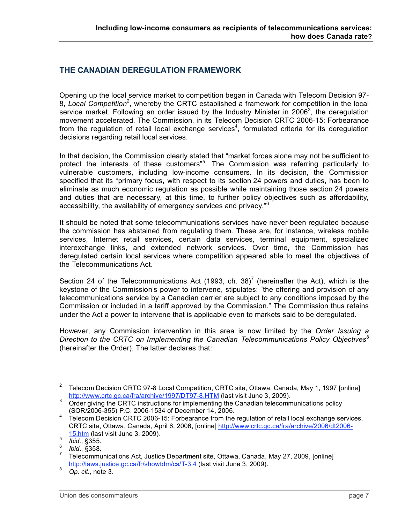# **THE CANADIAN DEREGULATION FRAMEWORK**

Opening up the local service market to competition began in Canada with Telecom Decision 97- 8, Local Competition<sup>2</sup>, whereby the CRTC established a framework for competition in the local service market. Following an order issued by the Industry Minister in 2006<sup>3</sup>, the deregulation movement accelerated. The Commission, in its Telecom Decision CRTC 2006-15: Forbearance from the regulation of retail local exchange services<sup>4</sup>, formulated criteria for its deregulation decisions regarding retail local services.

In that decision, the Commission clearly stated that "market forces alone may not be sufficient to protect the interests of these customers"<sup>5</sup>. The Commission was referring particularly to vulnerable customers, including low-income consumers. In its decision, the Commission specified that its "primary focus, with respect to its section 24 powers and duties, has been to eliminate as much economic regulation as possible while maintaining those section 24 powers and duties that are necessary, at this time, to further policy objectives such as affordability, accessibility, the availability of emergency services and privacy."<sup>6</sup>

It should be noted that some telecommunications services have never been regulated because the commission has abstained from regulating them. These are, for instance, wireless mobile services, Internet retail services, certain data services, terminal equipment, specialized interexchange links, and extended network services. Over time, the Commission has deregulated certain local services where competition appeared able to meet the objectives of the Telecommunications Act.

Section 24 of the Telecommunications Act (1993, ch. 38)<sup>7</sup> (hereinafter the Act), which is the keystone of the Commission's power to intervene, stipulates: "the offering and provision of any telecommunications service by a Canadian carrier are subject to any conditions imposed by the Commission or included in a tariff approved by the Commission." The Commission thus retains under the Act a power to intervene that is applicable even to markets said to be deregulated.

However, any Commission intervention in this area is now limited by the *Order Issuing a Direction to the CRTC on Implementing the Canadian Telecommunications Policy Objectives*<sup>8</sup> (hereinafter the Order). The latter declares that:

<sup>&</sup>lt;sup>2</sup> Telecom Decision CRTC 97-8 Local Competition, CRTC site, Ottawa, Canada, May 1, 1997 [online]

http://www.crtc.gc.ca/fra/archive/1997/DT97-8.HTM (last visit June 3, 2009).<br>
Order giving the CRTC instructions for implementing the Canadian telecommunications policy<br>
(SOR/2006-355) P.C. 2006-1534 of December 14, 2006.

 $\overline{A}$  Telecom Decision CRTC 2006-15: Forbearance from the regulation of retail local exchange services, CRTC site, Ottawa, Canada, April 6, 2006, [online] http://www.crtc.gc.ca/fra/archive/2006/dt2006- 15.htm (last visit June 3, 2009).<br>
<sup>6</sup> *Ibid.*, §355.<br>
<sup>7</sup> Telecommunications Act, Justice Department site, Ottawa, Canada, May 27, 2009, [online]

http://laws.justice.gc.ca/fr/showtdm/cs/T-3.4 (last visit June 3, 2009). <sup>8</sup> *Op. cit.,* note 3.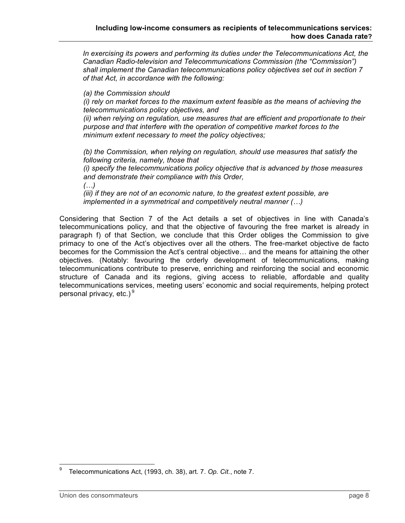*In exercising its powers and performing its duties under the Telecommunications Act, the Canadian Radio-television and Telecommunications Commission (the "Commission") shall implement the Canadian telecommunications policy objectives set out in section 7 of that Act, in accordance with the following:*

*(a) the Commission should*

*(i) rely on market forces to the maximum extent feasible as the means of achieving the telecommunications policy objectives, and*

*(ii) when relying on regulation, use measures that are efficient and proportionate to their purpose and that interfere with the operation of competitive market forces to the minimum extent necessary to meet the policy objectives;*

*(b) the Commission, when relying on regulation, should use measures that satisfy the following criteria, namely, those that*

*(i) specify the telecommunications policy objective that is advanced by those measures and demonstrate their compliance with this Order,*

*(…)*

*(iii) if they are not of an economic nature, to the greatest extent possible, are implemented in a symmetrical and competitively neutral manner (…)*

Considering that Section 7 of the Act details a set of objectives in line with Canada's telecommunications policy, and that the objective of favouring the free market is already in paragraph f) of that Section, we conclude that this Order obliges the Commission to give primacy to one of the Act's objectives over all the others. The free-market objective de facto becomes for the Commission the Act's central objective… and the means for attaining the other objectives. (Notably: favouring the orderly development of telecommunications, making telecommunications contribute to preserve, enriching and reinforcing the social and economic structure of Canada and its regions, giving access to reliable, affordable and quality telecommunications services, meeting users' economic and social requirements, helping protect personal privacy, etc.) $9^{\circ}$ 

 <sup>9</sup> Telecommunications Act, (1993, ch. 38), art. 7. *Op. Cit.*, note 7.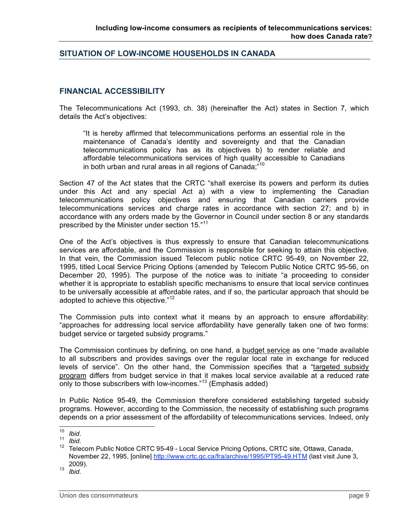### **SITUATION OF LOW-INCOME HOUSEHOLDS IN CANADA**

## **FINANCIAL ACCESSIBILITY**

The Telecommunications Act (1993, ch. 38) (hereinafter the Act) states in Section 7, which details the Act's objectives:

"It is hereby affirmed that telecommunications performs an essential role in the maintenance of Canada's identity and sovereignty and that the Canadian telecommunications policy has as its objectives b) to render reliable and affordable telecommunications services of high quality accessible to Canadians in both urban and rural areas in all regions of Canada;"<sup>10</sup>

Section 47 of the Act states that the CRTC "shall exercise its powers and perform its duties under this Act and any special Act a) with a view to implementing the Canadian telecommunications policy objectives and ensuring that Canadian carriers provide telecommunications services and charge rates in accordance with section 27; and b) in accordance with any orders made by the Governor in Council under section 8 or any standards prescribed by the Minister under section 15."<sup>11</sup>

One of the Act's objectives is thus expressly to ensure that Canadian telecommunications services are affordable, and the Commission is responsible for seeking to attain this objective. In that vein, the Commission issued Telecom public notice CRTC 95-49, on November 22, 1995, titled Local Service Pricing Options (amended by Telecom Public Notice CRTC 95-56, on December 20, 1995). The purpose of the notice was to initiate "a proceeding to consider whether it is appropriate to establish specific mechanisms to ensure that local service continues to be universally accessible at affordable rates, and if so, the particular approach that should be adopted to achieve this objective."<sup>12</sup>

The Commission puts into context what it means by an approach to ensure affordability: "approaches for addressing local service affordability have generally taken one of two forms: budget service or targeted subsidy programs."

The Commission continues by defining, on one hand, a budget service as one "made available to all subscribers and provides savings over the regular local rate in exchange for reduced levels of service". On the other hand, the Commission specifies that a "targeted subsidy program differs from budget service in that it makes local service available at a reduced rate only to those subscribers with low-incomes."<sup>13</sup> (Emphasis added)

In Public Notice 95-49, the Commission therefore considered establishing targeted subsidy programs. However, according to the Commission, the necessity of establishing such programs depends on a prior assessment of the affordability of telecommunications services. Indeed, only

<sup>10</sup> *Ibid.*<br><sup>11</sup> *Ibid.*<br><sup>12</sup> Telecom Public Notice CRTC 95-49 - Local Service Pricing Options, CRTC site, Ottawa, Canada, November 22, 1995, [online] http://www.crtc.gc.ca/fra/archive/1995/PT95-49.HTM (last visit June 3, 2009). <sup>13</sup> *Ibid.*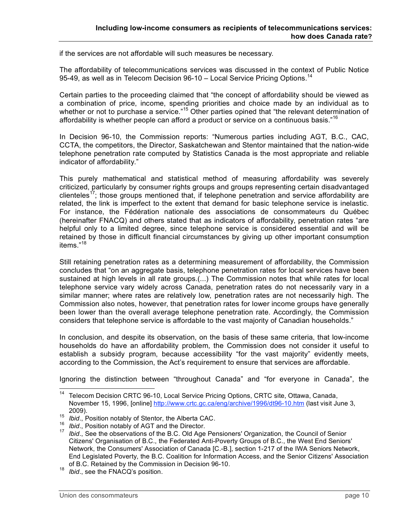if the services are not affordable will such measures be necessary.

The affordability of telecommunications services was discussed in the context of Public Notice 95-49, as well as in Telecom Decision 96-10 – Local Service Pricing Options.<sup>14</sup>

Certain parties to the proceeding claimed that "the concept of affordability should be viewed as a combination of price, income, spending priorities and choice made by an individual as to whether or not to purchase a service."<sup>15</sup> Other parties opined that "the relevant determination of affordability is whether people can afford a product or service on a continuous basis."<sup>16</sup>

In Decision 96-10, the Commission reports: "Numerous parties including AGT, B.C., CAC, CCTA, the competitors, the Director, Saskatchewan and Stentor maintained that the nation-wide telephone penetration rate computed by Statistics Canada is the most appropriate and reliable indicator of affordability."

This purely mathematical and statistical method of measuring affordability was severely criticized, particularly by consumer rights groups and groups representing certain disadvantaged clienteles<sup>17</sup>; those groups mentioned that, if telephone penetration and service affordability are related, the link is imperfect to the extent that demand for basic telephone service is inelastic. For instance, the Fédération nationale des associations de consommateurs du Québec (hereinafter FNACQ) and others stated that as indicators of affordability, penetration rates "are helpful only to a limited degree, since telephone service is considered essential and will be retained by those in difficult financial circumstances by giving up other important consumption items." 18

Still retaining penetration rates as a determining measurement of affordability, the Commission concludes that "on an aggregate basis, telephone penetration rates for local services have been sustained at high levels in all rate groups.(...) The Commission notes that while rates for local telephone service vary widely across Canada, penetration rates do not necessarily vary in a similar manner; where rates are relatively low, penetration rates are not necessarily high. The Commission also notes, however, that penetration rates for lower income groups have generally been lower than the overall average telephone penetration rate. Accordingly, the Commission considers that telephone service is affordable to the vast majority of Canadian households."

In conclusion, and despite its observation, on the basis of these same criteria, that low-income households do have an affordability problem, the Commission does not consider it useful to establish a subsidy program, because accessibility "for the vast majority" evidently meets, according to the Commission, the Act's requirement to ensure that services are affordable.

Ignoring the distinction between "throughout Canada" and "for everyone in Canada", the

<sup>&</sup>lt;sup>14</sup> Telecom Decision CRTC 96-10, Local Service Pricing Options, CRTC site, Ottawa, Canada, November 15, 1996, [online] http://www.crtc.gc.ca/eng/archive/1996/dt96-10.htm (last visit June 3,

<sup>2009).&</sup>lt;br><sup>15</sup> *Ibid.*, Position notably of Stentor, the Alberta CAC.<br><sup>16</sup> *Ibid.*, Position notably of AGT and the Director.<br><sup>17</sup> *Ibid.*. See the observations of the B.C. Old Age Pensioners' Organization, the Council of Sen Citizens' Organisation of B.C., the Federated Anti-Poverty Groups of B.C., the West End Seniors' Network, the Consumers' Association of Canada [C.-B.], section 1-217 of the IWA Seniors Network, End Legislated Poverty, the B.C. Coalition for Information Access, and the Senior Citizens' Association of B.C. Retained by the Commission in Decision 96-10.<br>*Ibid.*, see the FNACQ's position.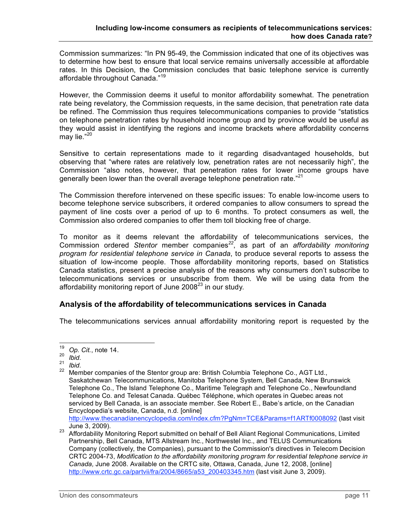Commission summarizes: "In PN 95-49, the Commission indicated that one of its objectives was to determine how best to ensure that local service remains universally accessible at affordable rates. In this Decision, the Commission concludes that basic telephone service is currently affordable throughout Canada."<sup>19</sup>

However, the Commission deems it useful to monitor affordability somewhat. The penetration rate being revelatory, the Commission requests, in the same decision, that penetration rate data be refined. The Commission thus requires telecommunications companies to provide "statistics on telephone penetration rates by household income group and by province would be useful as they would assist in identifying the regions and income brackets where affordability concerns may lie."<sup>20</sup>

Sensitive to certain representations made to it regarding disadvantaged households, but observing that "where rates are relatively low, penetration rates are not necessarily high", the Commission "also notes, however, that penetration rates for lower income groups have generally been lower than the overall average telephone penetration rate."<sup>21</sup>

The Commission therefore intervened on these specific issues: To enable low-income users to become telephone service subscribers, it ordered companies to allow consumers to spread the payment of line costs over a period of up to 6 months. To protect consumers as well, the Commission also ordered companies to offer them toll blocking free of charge.

To monitor as it deems relevant the affordability of telecommunications services, the Commission ordered *Stentor* member companies*<sup>22</sup>* , as part of an *affordability monitoring program for residential telephone service in Canada*, to produce several reports to assess the situation of low-income people. Those affordability monitoring reports, based on Statistics Canada statistics, present a precise analysis of the reasons why consumers don't subscribe to telecommunications services or unsubscribe from them. We will be using data from the affordability monitoring report of June 2008 $23$  in our study.

### **Analysis of the affordability of telecommunications services in Canada**

The telecommunications services annual affordability monitoring report is requested by the

http://www.thecanadianencyclopedia.com/index.cfm?PgNm=TCE&Params=f1ARTf0008092 (last visit

<sup>&</sup>lt;sup>19</sup> Op. Cit., note 14.<br><sup>20</sup> *Ibid.*<br><sup>21</sup> *Ibid.* 21 *Ibid.* 22 Member companies of the Stentor group are: British Columbia Telephone Co., AGT Ltd., Saskatchewan Telecommunications, Manitoba Telephone System, Bell Canada, New Brunswick Telephone Co., The Island Telephone Co., Maritime Telegraph and Telephone Co., Newfoundland Telephone Co. and Telesat Canada. Québec Téléphone, which operates in Quebec areas not serviced by Bell Canada, is an associate member. See Robert E., Babe's article, on the Canadian Encyclopedia's website, Canada, n.d. [online]

June 3, 2009). <sup>23</sup> Affordability Monitoring Report submitted on behalf of Bell Aliant Regional Communications, Limited Partnership, Bell Canada, MTS Allstream Inc., Northwestel Inc., and TELUS Communications Company (collectively, the Companies), pursuant to the Commission's directives in Telecom Decision CRTC 2004-73, *Modification to the affordability monitoring program for residential telephone service in Canada,* June 2008. Available on the CRTC site, Ottawa, Canada, June 12, 2008, [online] http://www.crtc.gc.ca/partvii/fra/2004/8665/a53\_200403345.htm (last visit June 3, 2009).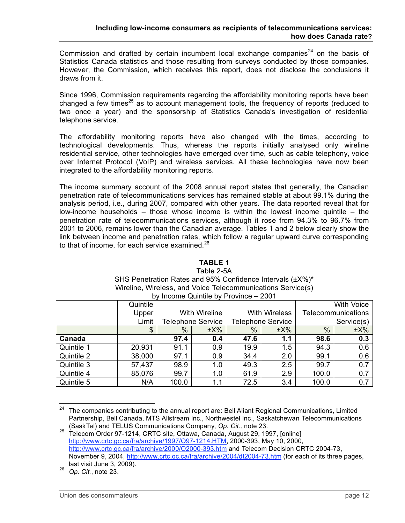Commission and drafted by certain incumbent local exchange companies<sup>24</sup> on the basis of Statistics Canada statistics and those resulting from surveys conducted by those companies. However, the Commission, which receives this report, does not disclose the conclusions it draws from it.

Since 1996, Commission requirements regarding the affordability monitoring reports have been changed a few times<sup>25</sup> as to account management tools, the frequency of reports (reduced to two once a year) and the sponsorship of Statistics Canada's investigation of residential telephone service.

The affordability monitoring reports have also changed with the times, according to technological developments. Thus, whereas the reports initially analysed only wireline residential service, other technologies have emerged over time, such as cable telephony, voice over Internet Protocol (VoIP) and wireless services. All these technologies have now been integrated to the affordability monitoring reports.

The income summary account of the 2008 annual report states that generally, the Canadian penetration rate of telecommunications services has remained stable at about 99.1% during the analysis period, i.e., during 2007, compared with other years. The data reported reveal that for low-income households – those whose income is within the lowest income quintile – the penetration rate of telecommunications services, although it rose from 94.3% to 96.7% from 2001 to 2006, remains lower than the Canadian average. Tables 1 and 2 below clearly show the link between income and penetration rates, which follow a regular upward curve corresponding to that of income, for each service examined.<sup>26</sup>

|            | ັບ v     |               | $\frac{1}{2}$ and $\frac{1}{2}$ decreased by Theories $\frac{1}{2}$ and $\frac{1}{2}$ |      |                          |                    |            |  |
|------------|----------|---------------|---------------------------------------------------------------------------------------|------|--------------------------|--------------------|------------|--|
|            | Quintile |               |                                                                                       |      |                          |                    | With Voice |  |
|            | Upper    |               | <b>With Wireline</b>                                                                  |      | <b>With Wireless</b>     | Telecommunications |            |  |
|            | Limit    |               | Telephone Service                                                                     |      | <b>Telephone Service</b> | Service(s)         |            |  |
|            | \$       | $\frac{0}{0}$ | $\pm$ X%                                                                              | $\%$ | $\pm$ X%                 | $\%$               | $\pm$ X%   |  |
| Canada     |          | 97.4          | 0.4                                                                                   | 47.6 | 1.1                      | 98.6               | 0.3        |  |
| Quintile 1 | 20,931   | 91.1          | 0.9                                                                                   | 19.9 | 1.5                      | 94.3               | 0.6        |  |
| Quintile 2 | 38,000   | 97.1          | 0.9                                                                                   | 34.4 | 2.0                      | 99.1               | 0.6        |  |
| Quintile 3 | 57,437   | 98.9          | 1.0                                                                                   | 49.3 | 2.5                      | 99.7               | 0.7        |  |
| Quintile 4 | 85,076   | 99.7          | 1.0                                                                                   | 61.9 | 2.9                      | 100.0              | 0.7        |  |
| Quintile 5 | N/A      | 100.0         | 1.1                                                                                   | 72.5 | 3.4                      | 100.0              | 0.7        |  |

### **TABLE 1**

#### Table 2-5A SHS Penetration Rates and 95% Confidence Intervals (±X%)\* Wireline, Wireless, and Voice Telecommunications Service(s) by Income Quintile by Province – 2001

<sup>&</sup>lt;sup>24</sup> The companies contributing to the annual report are: Bell Aliant Regional Communications, Limited Partnership, Bell Canada, MTS Allstream Inc., Northwestel Inc., Saskatchewan Telecommunications (SaskTel) and TELUS Communications Company, Op. Cit., note 23.

<sup>(</sup>SaskTel) and TELUS Communications Company, *Op. Cit.,* note 23. <sup>25</sup> Telecom Order 97-1214, CRTC site, Ottawa, Canada, August 29, 1997, [online] http://www.crtc.gc.ca/fra/archive/1997/O97-1214.HTM, 2000-393, May 10, 2000, http://www.crtc.gc.ca/fra/archive/2000/O2000-393.htm and Telecom Decision CRTC 2004-73, November 9, 2004, http://www.crtc.gc.ca/fra/archive/2004/dt2004-73.htm (for each of its three pages, last visit June 3, 2009). <sup>26</sup> *Op. Cit.*, note 23.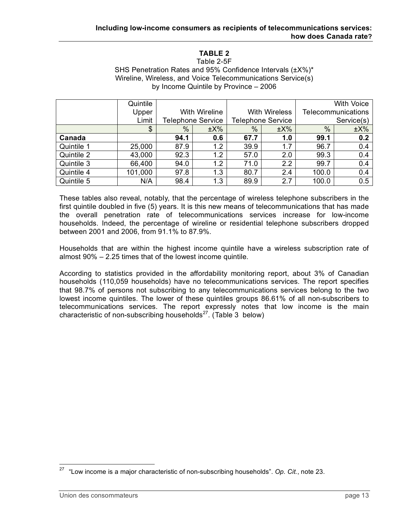# **TABLE 2**

Table 2-5F SHS Penetration Rates and 95% Confidence Intervals (±X%)\* Wireline, Wireless, and Voice Telecommunications Service(s) by Income Quintile by Province – 2006

|            | Quintile |                          |          |      |                          | <b>With Voice</b>  |          |  |
|------------|----------|--------------------------|----------|------|--------------------------|--------------------|----------|--|
|            | Upper    | With Wireline            |          |      | <b>With Wireless</b>     | Telecommunications |          |  |
|            | Limit    | <b>Telephone Service</b> |          |      | <b>Telephone Service</b> | Service(s)         |          |  |
|            | \$       | $\%$                     | $\pm$ X% | $\%$ | $\pm$ X%                 | $\%$               | $\pm$ X% |  |
| Canada     |          | 94.1                     | 0.6      | 67.7 | 1.0                      | 99.1               | 0.2      |  |
| Quintile 1 | 25,000   | 87.9                     | 1.2      | 39.9 | 1.7                      | 96.7               | 0.4      |  |
| Quintile 2 | 43,000   | 92.3                     | 1.2      | 57.0 | 2.0                      | 99.3               | 0.4      |  |
| Quintile 3 | 66,400   | 94.0                     | 1.2      | 71.0 | 2.2                      | 99.7               | 0.4      |  |
| Quintile 4 | 101,000  | 97.8                     | 1.3      | 80.7 | 2.4                      | 100.0              | 0.4      |  |
| Quintile 5 | N/A      | 98.4                     | 1.3      | 89.9 | 2.7                      | 100.0              | 0.5      |  |

These tables also reveal, notably, that the percentage of wireless telephone subscribers in the first quintile doubled in five (5) years. It is this new means of telecommunications that has made the overall penetration rate of telecommunications services increase for low-income households. Indeed, the percentage of wireline or residential telephone subscribers dropped between 2001 and 2006, from 91.1% to 87.9%.

Households that are within the highest income quintile have a wireless subscription rate of almost 90% – 2.25 times that of the lowest income quintile.

According to statistics provided in the affordability monitoring report, about 3% of Canadian households (110,059 households) have no telecommunications services. The report specifies that 98.7% of persons not subscribing to any telecommunications services belong to the two lowest income quintiles. The lower of these quintiles groups 86.61% of all non-subscribers to telecommunications services. The report expressly notes that low income is the main characteristic of non-subscribing households $^{27}$ . (Table 3 below)

 <sup>27</sup> "Low income is <sup>a</sup> major characteristic of non-subscribing households". *Op. Cit.*, note 23.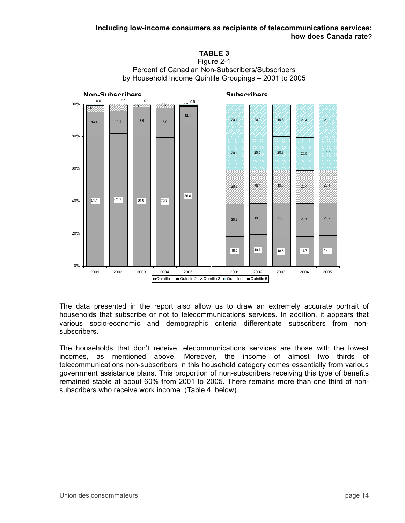

The data presented in the report also allow us to draw an extremely accurate portrait of households that subscribe or not to telecommunications services. In addition, it appears that various socio-economic and demographic criteria differentiate subscribers from nonsubscribers.

The households that don't receive telecommunications services are those with the lowest incomes, as mentioned above. Moreover, the income of almost two thirds of telecommunications non-subscribers in this household category comes essentially from various government assistance plans. This proportion of non-subscribers receiving this type of benefits remained stable at about 60% from 2001 to 2005. There remains more than one third of nonsubscribers who receive work income. (Table 4, below)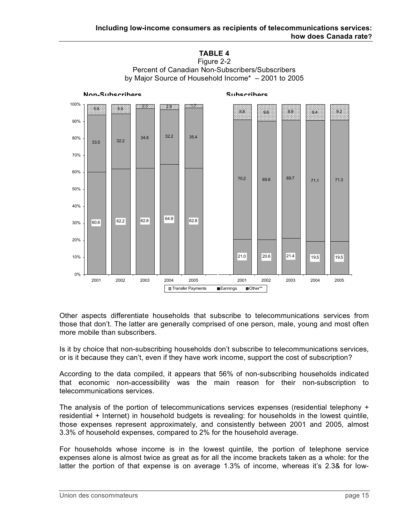

**TABLE 4** Figure 2-2 Percent of Canadian Non-Subscribers/Subscribers

Other aspects differentiate households that subscribe to telecommunications services from those that don't. The latter are generally comprised of one person, male, young and most often more mobile than subscribers.

Is it by choice that non-subscribing households don't subscribe to telecommunications services, or is it because they can't, even if they have work income, support the cost of subscription?

According to the data compiled, it appears that 56% of non-subscribing households indicated that economic non-accessibility was the main reason for their non-subscription to telecommunications services.

The analysis of the portion of telecommunications services expenses (residential telephony + residential + Internet) in household budgets is revealing: for households in the lowest quintile, those expenses represent approximately, and consistently between 2001 and 2005, almost 3.3% of household expenses, compared to 2% for the household average.

For households whose income is in the lowest quintile, the portion of telephone service expenses alone is almost twice as great as for all the income brackets taken as a whole: for the latter the portion of that expense is on average 1.3% of income, whereas it's 2.3& for low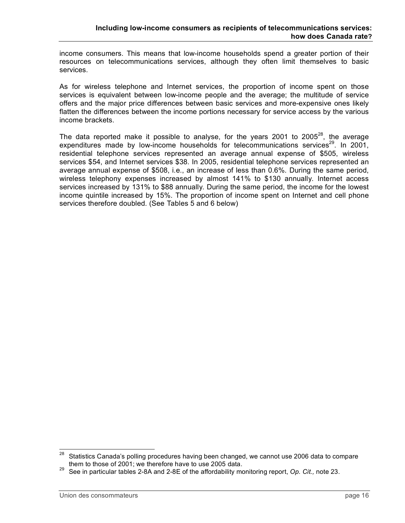income consumers. This means that low-income households spend a greater portion of their resources on telecommunications services, although they often limit themselves to basic services.

As for wireless telephone and Internet services, the proportion of income spent on those services is equivalent between low-income people and the average; the multitude of service offers and the major price differences between basic services and more-expensive ones likely flatten the differences between the income portions necessary for service access by the various income brackets.

The data reported make it possible to analyse, for the years 2001 to 2005 $^{28}$ , the average expenditures made by low-income households for telecommunications services<sup>29</sup>. In 2001, residential telephone services represented an average annual expense of \$505, wireless services \$54, and Internet services \$38. In 2005, residential telephone services represented an average annual expense of \$508, i.e., an increase of less than 0.6%. During the same period, wireless telephony expenses increased by almost 141% to \$130 annually. Internet access services increased by 131% to \$88 annually. During the same period, the income for the lowest income quintile increased by 15%. The proportion of income spent on Internet and cell phone services therefore doubled. (See Tables 5 and 6 below)

 $28$  Statistics Canada's polling procedures having been changed, we cannot use 2006 data to compare them to those of 2001; we therefore have to use 2005 data.<br><sup>29</sup> See in particular tables 2-8A and 2-8E of the affordability monitoring report, *Op. Cit.*, note 23.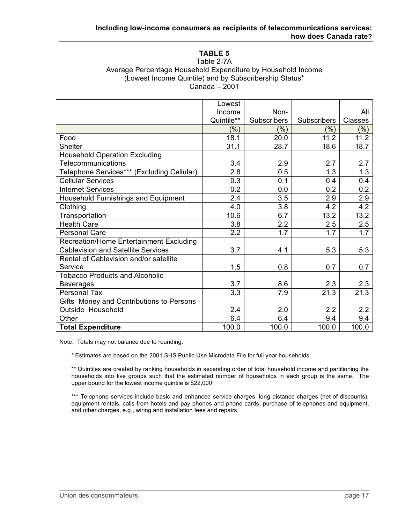# **TABLE 5**

#### Table 2-7A Average Percentage Household Expenditure by Household Income (Lowest Income Quintile) and by Subscribership Status\* Canada – 2001

|                                            | Lowest     |             |             |                  |
|--------------------------------------------|------------|-------------|-------------|------------------|
|                                            | Income     | Non-        |             | All              |
|                                            | Quintile** | Subscribers | Subscribers | Classes          |
|                                            | $(\% )$    | (%)         | $(\% )$     | $(\% )$          |
| Food                                       | 18.1       | 20.0        | 11.2        | 11.2             |
| <b>Shelter</b>                             | 31.1       | 28.7        | 18.6        | 18.7             |
| <b>Household Operation Excluding</b>       |            |             |             |                  |
| Telecommunications                         | 3.4        | 2.9         | 2.7         | 2.7              |
| Telephone Services*** (Excluding Cellular) | 2.8        | 0.5         | 1.3         | 1.3              |
| <b>Cellular Services</b>                   | 0.3        | 0.1         | 0.4         | 0.4              |
| <b>Internet Services</b>                   | 0.2        | 0.0         | 0.2         | 0.2              |
| Household Furnishings and Equipment        | 2.4        | 3.5         | 2.9         | $\overline{2.9}$ |
| Clothing                                   | 4.0        | 3.8         | 4.2         | 4.2              |
| Transportation                             | 10.6       | 6.7         | 13.2        | 13.2             |
| <b>Health Care</b>                         | 3.8        | 2.2         | 2.5         | 2.5              |
| <b>Personal Care</b>                       | 2.2        | 1.7         | 1.7         | $\overline{1.7}$ |
| Recreation/Home Entertainment Excluding    |            |             |             |                  |
| <b>Cablevision and Satellite Services</b>  | 3.7        | 4.1         | 5.3         | 5.3              |
| Rental of Cablevision and/or satellite     |            |             |             |                  |
| Service                                    | 1.5        | 0.8         | 0.7         | 0.7              |
| <b>Tobacco Products and Alcoholic</b>      |            |             |             |                  |
| <b>Beverages</b>                           | 3.7        | 8.6         | 2.3         | 2.3              |
| Personal Tax                               | 3.3        | 7.9         | 21.3        | 21.3             |
| Gifts Money and Contributions to Persons   |            |             |             |                  |
| Outside Household                          | 2.4        | 2.0         | 2.2         | 2.2              |
| Other                                      | 6.4        | 6.4         | 9.4         | 9.4              |
| <b>Total Expenditure</b>                   | 100.0      | 100.0       | 100.0       | 100.0            |

Note: Totals may not balance due to rounding.

\* Estimates are based on the 2001 SHS Public-Use Microdata File for full year households.

\*\* Quintiles are created by ranking households in ascending order of total household income and partitioning the households into five groups such that the estimated number of households in each group is the same. The upper bound for the lowest income quintile is \$22,000.

\*\*\* Telephone services include basic and enhanced service charges, long distance charges (net of discounts), equipment rentals, calls from hotels and pay phones and phone cards, purchase of telephones and equipment, and other charges, e.g., wiring and installation fees and repairs.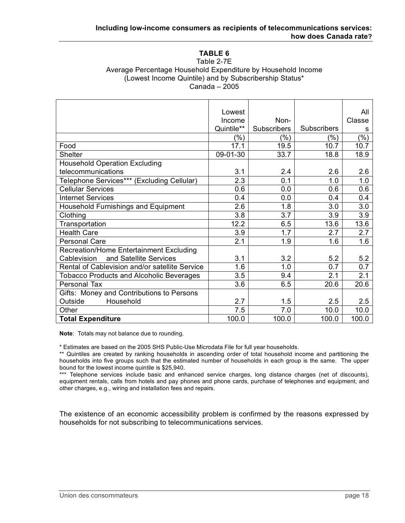# **TABLE 6**

#### Table 2-7E Average Percentage Household Expenditure by Household Income (Lowest Income Quintile) and by Subscribership Status\* Canada – 2005

|                                                 | Lowest     |                    |                    | All     |
|-------------------------------------------------|------------|--------------------|--------------------|---------|
|                                                 | Income     | Non-               |                    | Classe  |
|                                                 | Quintile** | <b>Subscribers</b> | <b>Subscribers</b> | s       |
|                                                 | $(\% )$    | $(\% )$            | $(\% )$            | $(\% )$ |
| Food                                            | 17.1       | 19.5               | 10.7               | 10.7    |
| <b>Shelter</b>                                  | 09-01-30   | 33.7               | 18.8               | 18.9    |
| <b>Household Operation Excluding</b>            |            |                    |                    |         |
| telecommunications                              | 3.1        | 2.4                | 2.6                | 2.6     |
| Telephone Services*** (Excluding Cellular)      | 2.3        | 0.1                | 1.0                | 1.0     |
| <b>Cellular Services</b>                        | 0.6        | 0.0                | 0.6                | 0.6     |
| <b>Internet Services</b>                        | 0.4        | 0.0                | 0.4                | 0.4     |
| Household Furnishings and Equipment             | 2.6        | 1.8                | 3.0                | 3.0     |
| Clothing                                        | 3.8        | 3.7                | 3.9                | 3.9     |
| Transportation                                  | 12.2       | 6.5                | 13.6               | 13.6    |
| <b>Health Care</b>                              | 3.9        | 1.7                | 2.7                | 2.7     |
| <b>Personal Care</b>                            | 2.1        | 1.9                | 1.6                | 1.6     |
| Recreation/Home Entertainment Excluding         |            |                    |                    |         |
| and Satellite Services<br>Cablevision           | 3.1        | 3.2                | 5.2                | 5.2     |
| Rental of Cablevision and/or satellite Service  | 1.6        | 1.0                | 0.7                | 0.7     |
| <b>Tobacco Products and Alcoholic Beverages</b> | 3.5        | 9.4                | 2.1                | 2.1     |
| Personal Tax                                    | 3.6        | 6.5                | 20.6               | 20.6    |
| Gifts: Money and Contributions to Persons       |            |                    |                    |         |
| Household<br>Outside                            | 2.7        | 1.5                | 2.5                | 2.5     |
| Other                                           | 7.5        | 7.0                | 10.0               | 10.0    |
| <b>Total Expenditure</b>                        | 100.0      | 100.0              | 100.0              | 100.0   |

**Note**: Totals may not balance due to rounding.

\* Estimates are based on the 2005 SHS Public-Use Microdata File for full year households.

\*\* Quintiles are created by ranking households in ascending order of total household income and partitioning the households into five groups such that the estimated number of households in each group is the same. The upper bound for the lowest income quintile is \$25,940.

\*\*\* Telephone services include basic and enhanced service charges, long distance charges (net of discounts), equipment rentals, calls from hotels and pay phones and phone cards, purchase of telephones and equipment, and other charges, e.g., wiring and installation fees and repairs.

The existence of an economic accessibility problem is confirmed by the reasons expressed by households for not subscribing to telecommunications services.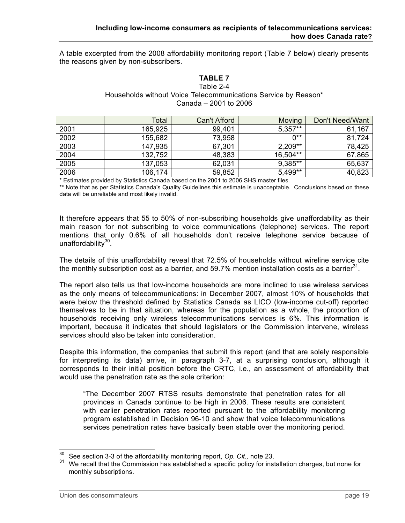A table excerpted from the 2008 affordability monitoring report (Table 7 below) clearly presents the reasons given by non-subscribers.

### **TABLE 7** Table 2-4 Households without Voice Telecommunications Service by Reason\* Canada – 2001 to 2006

|      | Total   | Can't Afford | Moving    | Don't Need/Want |
|------|---------|--------------|-----------|-----------------|
| 2001 | 165,925 | 99,401       | $5,357**$ | 61,167          |
| 2002 | 155,682 | 73,958       | $0**$     | 81,724          |
| 2003 | 147,935 | 67,301       | $2,209**$ | 78,425          |
| 2004 | 132,752 | 48,383       | 16,504**  | 67,865          |
| 2005 | 137,053 | 62,031       | 9,385**   | 65,637          |
| 2006 | 106,174 | 59,852       | 5,499**   | 40,823          |

\* Estimates provided by Statistics Canada based on the 2001 to 2006 SHS master files.

\*\* Note that as per Statistics Canada's Quality Guidelines this estimate is unacceptable. Conclusions based on these data will be unreliable and most likely invalid.

It therefore appears that 55 to 50% of non-subscribing households give unaffordability as their main reason for not subscribing to voice communications (telephone) services. The report mentions that only 0.6% of all households don't receive telephone service because of unaffordability<sup>30</sup>.

The details of this unaffordability reveal that 72.5% of households without wireline service cite the monthly subscription cost as a barrier, and 59.7% mention installation costs as a barrier<sup>31</sup>.

The report also tells us that low-income households are more inclined to use wireless services as the only means of telecommunications: in December 2007, almost 10% of households that were below the threshold defined by Statistics Canada as LICO (low-income cut-off) reported themselves to be in that situation, whereas for the population as a whole, the proportion of households receiving only wireless telecommunications services is 6%. This information is important, because it indicates that should legislators or the Commission intervene, wireless services should also be taken into consideration.

Despite this information, the companies that submit this report (and that are solely responsible for interpreting its data) arrive, in paragraph 3-7, at a surprising conclusion, although it corresponds to their initial position before the CRTC, i.e., an assessment of affordability that would use the penetration rate as the sole criterion:

"The December 2007 RTSS results demonstrate that penetration rates for all provinces in Canada continue to be high in 2006. These results are consistent with earlier penetration rates reported pursuant to the affordability monitoring program established in Decision 96-10 and show that voice telecommunications services penetration rates have basically been stable over the monitoring period.

<sup>&</sup>lt;sup>30</sup> See section 3-3 of the affordability monitoring report, *Op. Cit.,* note 23.<br><sup>31</sup> We recall that the Commission has established a specific policy for installation charges, but none for monthly subscriptions.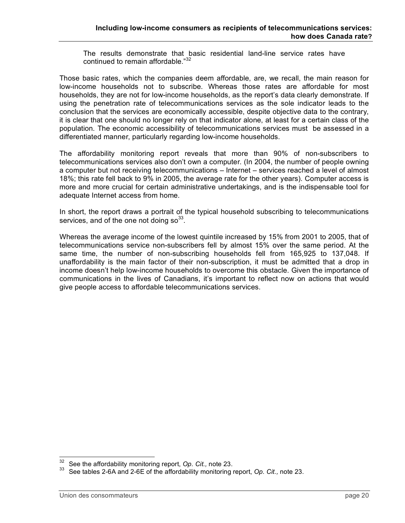The results demonstrate that basic residential land-line service rates have continued to remain affordable."<sup>32</sup>

Those basic rates, which the companies deem affordable, are, we recall, the main reason for low-income households not to subscribe. Whereas those rates are affordable for most households, they are not for low-income households, as the report's data clearly demonstrate. If using the penetration rate of telecommunications services as the sole indicator leads to the conclusion that the services are economically accessible, despite objective data to the contrary, it is clear that one should no longer rely on that indicator alone, at least for a certain class of the population. The economic accessibility of telecommunications services must be assessed in a differentiated manner, particularly regarding low-income households.

The affordability monitoring report reveals that more than 90% of non-subscribers to telecommunications services also don't own a computer. (In 2004, the number of people owning a computer but not receiving telecommunications – Internet – services reached a level of almost 18%; this rate fell back to 9% in 2005, the average rate for the other years). Computer access is more and more crucial for certain administrative undertakings, and is the indispensable tool for adequate Internet access from home.

In short, the report draws a portrait of the typical household subscribing to telecommunications services, and of the one not doing so $^{33}$ .

Whereas the average income of the lowest quintile increased by 15% from 2001 to 2005, that of telecommunications service non-subscribers fell by almost 15% over the same period. At the same time, the number of non-subscribing households fell from 165,925 to 137,048. If unaffordability is the main factor of their non-subscription, it must be admitted that a drop in income doesn't help low-income households to overcome this obstacle. Given the importance of communications in the lives of Canadians, it's important to reflect now on actions that would give people access to affordable telecommunications services.

<sup>&</sup>lt;sup>32</sup> See the affordability monitoring report, *Op. Cit.,* note 23.<br><sup>33</sup> See tables 2-6A and 2-6E of the affordability monitoring report, *Op. Cit.*, note 23.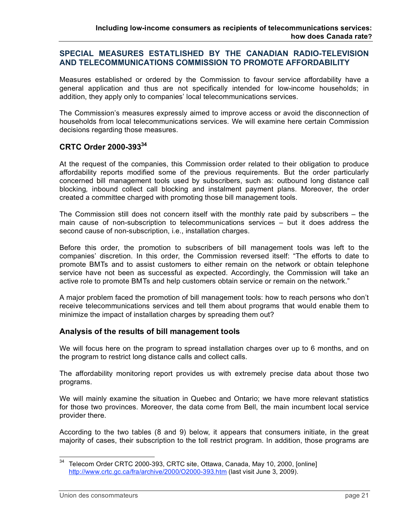### **SPECIAL MEASURES ESTATLISHED BY THE CANADIAN RADIO-TELEVISION AND TELECOMMUNICATIONS COMMISSION TO PROMOTE AFFORDABILITY**

Measures established or ordered by the Commission to favour service affordability have a general application and thus are not specifically intended for low-income households; in addition, they apply only to companies' local telecommunications services.

The Commission's measures expressly aimed to improve access or avoid the disconnection of households from local telecommunications services. We will examine here certain Commission decisions regarding those measures.

### **CRTC Order 2000-39334**

At the request of the companies, this Commission order related to their obligation to produce affordability reports modified some of the previous requirements. But the order particularly concerned bill management tools used by subscribers, such as: outbound long distance call blocking*,* inbound collect call blocking and instalment payment plans. Moreover, the order created a committee charged with promoting those bill management tools.

The Commission still does not concern itself with the monthly rate paid by subscribers – the main cause of non-subscription to telecommunications services – but it does address the second cause of non-subscription, i.e., installation charges.

Before this order, the promotion to subscribers of bill management tools was left to the companies' discretion. In this order, the Commission reversed itself: "The efforts to date to promote BMTs and to assist customers to either remain on the network or obtain telephone service have not been as successful as expected. Accordingly, the Commission will take an active role to promote BMTs and help customers obtain service or remain on the network."

A major problem faced the promotion of bill management tools: how to reach persons who don't receive telecommunications services and tell them about programs that would enable them to minimize the impact of installation charges by spreading them out?

#### **Analysis of the results of bill management tools**

We will focus here on the program to spread installation charges over up to 6 months, and on the program to restrict long distance calls and collect calls.

The affordability monitoring report provides us with extremely precise data about those two programs.

We will mainly examine the situation in Quebec and Ontario; we have more relevant statistics for those two provinces. Moreover, the data come from Bell, the main incumbent local service provider there.

According to the two tables (8 and 9) below, it appears that consumers initiate, in the great majority of cases, their subscription to the toll restrict program. In addition, those programs are

<sup>&</sup>lt;sup>34</sup> Telecom Order CRTC 2000-393, CRTC site, Ottawa, Canada, May 10, 2000, [online] http://www.crtc.gc.ca/fra/archive/2000/O2000-393.htm (last visit June 3, 2009).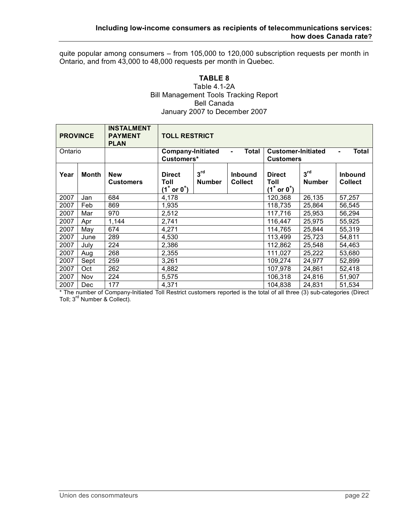quite popular among consumers – from 105,000 to 120,000 subscription requests per month in Ontario, and from 43,000 to 48,000 requests per month in Quebec.

#### **TABLE 8** Table 4.1-2A Bill Management Tools Tracking Report Bell Canada January 2007 to December 2007

| <b>PROVINCE</b> |       | <b>INSTALMENT</b><br><b>PAYMENT</b><br><b>PLAN</b> | <b>TOLL RESTRICT</b><br><b>Company-Initiated</b>          |                                  |                           |                                                           |                                  |                                  |  |
|-----------------|-------|----------------------------------------------------|-----------------------------------------------------------|----------------------------------|---------------------------|-----------------------------------------------------------|----------------------------------|----------------------------------|--|
| Ontario         |       | Customers*                                         |                                                           | <b>Total</b><br>Ξ.               |                           | Total<br><b>Customer-Initiated</b><br><b>Customers</b>    |                                  |                                  |  |
| Year            | Month | <b>New</b><br><b>Customers</b>                     | <b>Direct</b><br>Toll<br>$(1^{\dagger}$ or $0^{\dagger})$ | 3 <sup>rd</sup><br><b>Number</b> | Inbound<br><b>Collect</b> | <b>Direct</b><br>Toll<br>$(1^{\dagger}$ or $0^{\dagger})$ | 3 <sup>rd</sup><br><b>Number</b> | <b>Inbound</b><br><b>Collect</b> |  |
| 2007            | Jan   | 684                                                | 4,178                                                     |                                  |                           | 120,368                                                   | 26,135                           | 57,257                           |  |
| 2007            | Feb   | 869                                                | 1,935                                                     |                                  |                           | 118,735                                                   | 25,864                           | 56,545                           |  |
| 2007            | Mar   | 970                                                | 2,512                                                     |                                  |                           | 117,716                                                   | 25,953                           | 56,294                           |  |
| 2007            | Apr   | 1,144                                              | 2,741                                                     |                                  |                           | 116,447                                                   | 25,975                           | 55,925                           |  |
| 2007            | May   | 674                                                | 4,271                                                     |                                  |                           | 114,765                                                   | 25,844                           | 55,319                           |  |
| 2007            | June  | 289                                                | 4,530                                                     |                                  |                           | 113,499                                                   | 25,723                           | 54,811                           |  |
| 2007            | July  | 224                                                | 2,386                                                     |                                  |                           | 112,862                                                   | 25,548                           | 54,463                           |  |
| 2007            | Aug   | 268                                                | 2,355                                                     |                                  |                           | 111,027                                                   | 25,222                           | 53,680                           |  |
| 2007            | Sept  | 259                                                | 3,261                                                     |                                  |                           | 109,274                                                   | 24,977                           | 52,899                           |  |
| 2007            | Oct   | 262                                                | 4,882                                                     |                                  |                           | 107,978                                                   | 24,861                           | 52,418                           |  |
| 2007            | Nov   | 224                                                | 5,575                                                     |                                  |                           | 106,318                                                   | 24,816                           | 51,907                           |  |
| 2007            | Dec   | 177                                                | 4,371                                                     |                                  |                           | 104.838                                                   | 24,831                           | 51,534                           |  |

\* The number of Company-Initiated Toll Restrict customers reported is the total of all three (3) sub-categories (Direct Toll; 3rd Number & Collect).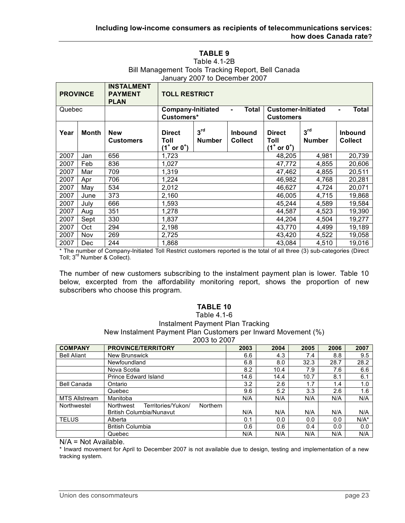#### **TABLE 9** Table 4.1-2B Bill Management Tools Tracking Report, Bell Canada January 2007 to December 2007

| <b>PROVINCE</b> |       | <b>INSTALMENT</b><br><b>PAYMENT</b><br><b>PLAN</b> | <b>TOLL RESTRICT</b><br><b>Company-Initiated</b>          |                                  |                                                                                          |                                                           |                                  |                                  |  |
|-----------------|-------|----------------------------------------------------|-----------------------------------------------------------|----------------------------------|------------------------------------------------------------------------------------------|-----------------------------------------------------------|----------------------------------|----------------------------------|--|
| Quebec          |       |                                                    | Customers*                                                |                                  | <b>Total</b><br><b>Customer-Initiated</b><br>Total<br>$\blacksquare$<br><b>Customers</b> |                                                           |                                  |                                  |  |
| Year            | Month | <b>New</b><br><b>Customers</b>                     | <b>Direct</b><br>Toll<br>$(1^{\dagger}$ or $0^{\dagger})$ | 3 <sup>rd</sup><br><b>Number</b> | <b>Inbound</b><br><b>Collect</b>                                                         | <b>Direct</b><br>Toll<br>$(1^{\dagger}$ or $0^{\dagger})$ | 3 <sup>rd</sup><br><b>Number</b> | <b>Inbound</b><br><b>Collect</b> |  |
| 2007            | Jan   | 656                                                | 1,723                                                     |                                  |                                                                                          | 48,205                                                    | 4,981                            | 20,739                           |  |
| 2007            | Feb   | 836                                                | 1,027                                                     |                                  |                                                                                          | 47,772                                                    | 4,855                            | 20,606                           |  |
| 2007            | Mar   | 709                                                | 1,319                                                     |                                  |                                                                                          | 47,462                                                    | 4,855                            | 20,511                           |  |
| 2007            | Apr   | 706                                                | 1,224                                                     |                                  |                                                                                          | 46,982                                                    | 4,768                            | 20,281                           |  |
| 2007            | May   | 534                                                | 2,012                                                     |                                  |                                                                                          | 46,627                                                    | 4,724                            | 20,071                           |  |
| 2007            | June  | 373                                                | 2,160                                                     |                                  |                                                                                          | 46,005                                                    | 4,715                            | 19,868                           |  |
| 2007            | July  | 666                                                | 1,593                                                     |                                  |                                                                                          | 45,244                                                    | 4,589                            | 19,584                           |  |
| 2007            | Aug   | 351                                                | 1,278                                                     |                                  |                                                                                          | 44,587                                                    | 4,523                            | 19,390                           |  |
| 2007            | Sept  | 330                                                | 1,837                                                     |                                  |                                                                                          | 44,204                                                    | 4,504                            | 19,277                           |  |
| 2007            | Oct   | 294                                                | 2,198                                                     |                                  |                                                                                          | 43,770                                                    | 4,499                            | 19,189                           |  |
| 2007            | Nov   | 269                                                | 2,725                                                     |                                  |                                                                                          | 43,420                                                    | 4,522                            | 19,058                           |  |
| 2007            | Dec   | 244                                                | 1,868                                                     |                                  |                                                                                          | 43,084                                                    | 4,510                            | 19,016                           |  |

\* The number of Company-Initiated Toll Restrict customers reported is the total of all three (3) sub-categories (Direct Toll; 3rd Number & Collect).

The number of new customers subscribing to the instalment payment plan is lower. Table 10 below, excerpted from the affordability monitoring report, shows the proportion of new subscribers who choose this program.

#### **TABLE 10**  Table 4.1-6 Instalment Payment Plan Tracking New Instalment Payment Plan Customers per Inward Movement (%) 2003 to 2007

|                      | LUUJ IU LUUT                                       |      |      |      |      |         |  |  |  |  |  |  |
|----------------------|----------------------------------------------------|------|------|------|------|---------|--|--|--|--|--|--|
| <b>COMPANY</b>       | <b>PROVINCE/TERRITORY</b>                          | 2003 | 2004 | 2005 | 2006 | 2007    |  |  |  |  |  |  |
| <b>Bell Aliant</b>   | <b>New Brunswick</b>                               | 6.6  | 4.3  | 7.4  | 8.8  | 9.5     |  |  |  |  |  |  |
|                      | Newfoundland                                       | 6.8  | 8.0  | 32.3 | 28.7 | 28.2    |  |  |  |  |  |  |
|                      | Nova Scotia                                        | 8.2  | 10.4 | 7.9  | 7.6  | 6.6     |  |  |  |  |  |  |
|                      | Prince Edward Island                               | 14.6 | 14.4 | 10.7 | 8.1  | 6.1     |  |  |  |  |  |  |
| <b>Bell Canada</b>   | Ontario                                            | 3.2  | 2.6  | 1.7  | 1.4  | 1.0     |  |  |  |  |  |  |
|                      | Quebec                                             | 9.6  | 5.2  | 3.3  | 2.6  | 1.6     |  |  |  |  |  |  |
| <b>MTS Allstream</b> | Manitoba                                           | N/A  | N/A  | N/A  | N/A  | N/A     |  |  |  |  |  |  |
| Northwestel          | Territories/Yukon/<br><b>Northern</b><br>Northwest |      |      |      |      |         |  |  |  |  |  |  |
|                      | <b>British Columbia/Nunavut</b>                    | N/A  | N/A  | N/A  | N/A  | N/A     |  |  |  |  |  |  |
| <b>TELUS</b>         | Alberta                                            | 0.1  | 0.0  | 0.0  | 0.0  | $N/A^*$ |  |  |  |  |  |  |
|                      | <b>British Columbia</b>                            | 0.6  | 0.6  | 0.4  | 0.0  | 0.0     |  |  |  |  |  |  |
|                      | Quebec                                             | N/A  | N/A  | N/A  | N/A  | N/A     |  |  |  |  |  |  |

N/A = Not Available.

\* Inward movement for April to December 2007 is not available due to design, testing and implementation of a new tracking system.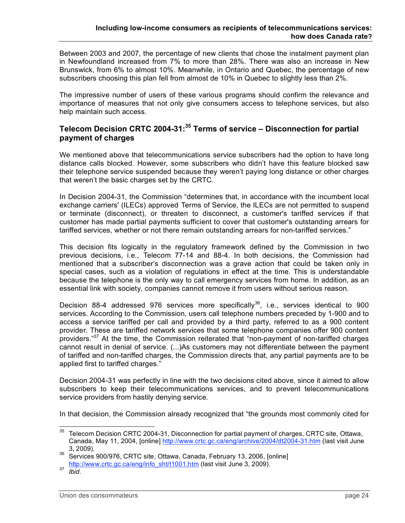Between 2003 and 2007, the percentage of new clients that chose the instalment payment plan in Newfoundland increased from 7% to more than 28%. There was also an increase in New Brunswick, from 6% to almost 10%. Meanwhile, in Ontario and Quebec, the percentage of new subscribers choosing this plan fell from almost de 10% in Quebec to slightly less than 2%.

The impressive number of users of these various programs should confirm the relevance and importance of measures that not only give consumers access to telephone services, but also help maintain such access.

# **Telecom Decision CRTC 2004-31: <sup>35</sup> Terms of service – Disconnection for partial payment of charges**

We mentioned above that telecommunications service subscribers had the option to have long distance calls blocked. However, some subscribers who didn't have this feature blocked saw their telephone service suspended because they weren't paying long distance or other charges that weren't the basic charges set by the CRTC.

In Decision 2004-31, the Commission "determines that, in accordance with the incumbent local exchange carriers' (ILECs) approved Terms of Service, the ILECs are not permitted to suspend or terminate (disconnect), or threaten to disconnect, a customer's tariffed services if that customer has made partial payments sufficient to cover that customer's outstanding arrears for tariffed services, whether or not there remain outstanding arrears for non-tariffed services."

This decision fits logically in the regulatory framework defined by the Commission in two previous decisions, i.e., Telecom 77-14 and 88-4. In both decisions, the Commission had mentioned that a subscriber's disconnection was a grave action that could be taken only in special cases, such as a violation of regulations in effect at the time. This is understandable because the telephone is the only way to call emergency services from home. In addition, as an essential link with society, companies cannot remove it from users without serious reason.

Decision 88-4 addressed 976 services more specifically<sup>36</sup>, i.e., services identical to 900 services. According to the Commission, users call telephone numbers preceded by 1-900 and to access a service tariffed per call and provided by a third party, referred to as a 900 content provider. These are tariffed network services that some telephone companies offer 900 content providers."<sup>37</sup> At the time, the Commission reiterated that "non-payment of non-tariffed charges cannot result in denial of service. (...)As customers may not differentiate between the payment of tariffed and non-tariffed charges, the Commission directs that, any partial payments are to be applied first to tariffed charges."

Decision 2004-31 was perfectly in line with the two decisions cited above, since it aimed to allow subscribers to keep their telecommunications services, and to prevent telecommunications service providers from hastily denying service.

In that decision, the Commission already recognized that "the grounds most commonly cited for

<sup>&</sup>lt;sup>35</sup> Telecom Decision CRTC 2004-31, Disconnection for partial payment of charges, CRTC site, Ottawa, Canada, May 11, 2004, [online] http://www.crtc.gc.ca/eng/archive/2004/dt2004-31.htm (last visit June

<sup>3,</sup> 2009). <sup>36</sup> Services 900/976, CRTC site, Ottawa, Canada, February 13, 2006, [online] http://www.crtc.gc.ca/eng/info\_sht/t1001.htm (last visit June 3, 2009).<br>*Ibid.*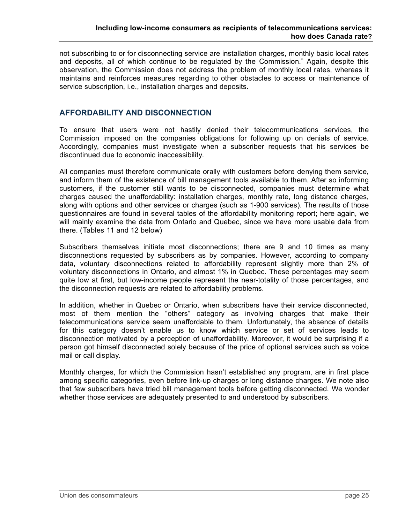not subscribing to or for disconnecting service are installation charges, monthly basic local rates and deposits, all of which continue to be regulated by the Commission." Again, despite this observation, the Commission does not address the problem of monthly local rates, whereas it maintains and reinforces measures regarding to other obstacles to access or maintenance of service subscription, i.e., installation charges and deposits.

### **AFFORDABILITY AND DISCONNECTION**

To ensure that users were not hastily denied their telecommunications services, the Commission imposed on the companies obligations for following up on denials of service. Accordingly, companies must investigate when a subscriber requests that his services be discontinued due to economic inaccessibility.

All companies must therefore communicate orally with customers before denying them service, and inform them of the existence of bill management tools available to them. After so informing customers, if the customer still wants to be disconnected, companies must determine what charges caused the unaffordability: installation charges, monthly rate, long distance charges, along with options and other services or charges (such as 1-900 services). The results of those questionnaires are found in several tables of the affordability monitoring report; here again, we will mainly examine the data from Ontario and Quebec, since we have more usable data from there. (Tables 11 and 12 below)

Subscribers themselves initiate most disconnections; there are 9 and 10 times as many disconnections requested by subscribers as by companies. However, according to company data, voluntary disconnections related to affordability represent slightly more than 2% of voluntary disconnections in Ontario, and almost 1% in Quebec. These percentages may seem quite low at first, but low-income people represent the near-totality of those percentages, and the disconnection requests are related to affordability problems.

In addition, whether in Quebec or Ontario, when subscribers have their service disconnected, most of them mention the "others" category as involving charges that make their telecommunications service seem unaffordable to them. Unfortunately, the absence of details for this category doesn't enable us to know which service or set of services leads to disconnection motivated by a perception of unaffordability. Moreover, it would be surprising if a person got himself disconnected solely because of the price of optional services such as voice mail or call display.

Monthly charges, for which the Commission hasn't established any program, are in first place among specific categories, even before link-up charges or long distance charges. We note also that few subscribers have tried bill management tools before getting disconnected. We wonder whether those services are adequately presented to and understood by subscribers.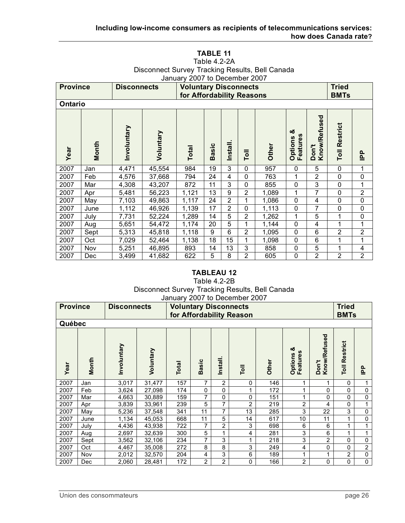#### **TABLE 11** Table 4.2-2A Disconnect Survey Tracking Results, Bell Canada January 2007 to December 2007

| <b>Province</b> |            | <b>Disconnects</b> |           | <b>Voluntary Disconnects</b><br>for Affordability Reasons | 1001100011100111001  |                |                |       |                                       |                         | <b>Tried</b><br><b>BMTs</b> |                |
|-----------------|------------|--------------------|-----------|-----------------------------------------------------------|----------------------|----------------|----------------|-------|---------------------------------------|-------------------------|-----------------------------|----------------|
| <b>Ontario</b>  |            |                    |           |                                                           |                      |                |                |       |                                       |                         |                             |                |
| Year            | Month      | Involuntary        | Voluntary | <b>Total</b>                                              | asic<br>$\mathbf{m}$ | Install        | Toll           | Other | య<br>ဖာ<br>Options<br><b>Features</b> | Don't<br>Know/Refused   | Restrict<br>Toll            | $\mathbf{p}$   |
| 2007            | Jan        | 4,471              | 45,554    | 984                                                       | 19                   | 3              | 0              | 957   | 0                                     | 5                       | $\mathbf{0}$                | 1              |
| 2007            | Feb        | 4,576              | 37,668    | 794                                                       | 24                   | 4              | 0              | 763   | 1                                     | $\overline{2}$          | $\mathbf 0$                 | $\mathbf 0$    |
| 2007            | Mar        | 4,308              | 43,207    | 872                                                       | 11                   | 3              | 0              | 855   | 0                                     | 3                       | 0                           | 1              |
| 2007            | Apr        | 5,481              | 56,223    | 1,121                                                     | 13                   | 9              | 2              | 1,089 | 1                                     | 7                       | $\mathbf{0}$                | $\overline{2}$ |
| 2007            | May        | 7,103              | 49,863    | 1,117                                                     | 24                   | $\overline{2}$ | 1              | 1,086 | 0                                     | $\overline{\mathbf{4}}$ | $\mathbf 0$                 | $\mathbf 0$    |
| 2007            | June       | 1,112              | 46,926    | 1,139                                                     | 17                   | $\overline{2}$ | 0              | 1,113 | 0                                     | $\overline{7}$          | 0                           | $\mathbf 0$    |
| 2007            | July       | 7,731              | 52,224    | 1,289                                                     | 14                   | 5              | $\overline{2}$ | 1,262 | 1                                     | 5                       |                             | $\mathbf 0$    |
| 2007            | Aug        | 5,651              | 54,472    | 1,174                                                     | 20                   | 5              | 1              | 1,144 | 0                                     | 4                       | 1                           | 1              |
| 2007            | Sept       | 5,313              | 45,818    | 1,118                                                     | 9                    | 6              | $\overline{2}$ | 1,095 | 0                                     | 6                       | 2                           | $\overline{2}$ |
| 2007            | Oct        | 7,029              | 52,464    | 1,138                                                     | 18                   | 15             | 1              | 1,098 | 0                                     | 6                       |                             | 1              |
| 2007            | <b>Nov</b> | 5,251              | 46,895    | 893                                                       | 14                   | 13             | 3              | 858   | 0                                     | 5                       | 1                           | 4              |
| 2007            | Dec        | 3,499              | 41,682    | 622                                                       | 5                    | 8              | $\overline{2}$ | 605   | 0                                     | $\overline{2}$          | $\overline{2}$              | $\overline{2}$ |

### **TABLEAU 12**

#### Table 4.2-2B Disconnect Survey Tracking Results, Bell Canada January 2007 to December 2007

|                 |            | Jailualy 2007 to December 2007 |           |                              |                |                |                          |       |                                        |                       |                      |                |
|-----------------|------------|--------------------------------|-----------|------------------------------|----------------|----------------|--------------------------|-------|----------------------------------------|-----------------------|----------------------|----------------|
| <b>Province</b> |            | <b>Disconnects</b>             |           | <b>Voluntary Disconnects</b> |                |                |                          |       |                                        |                       | <b>Tried</b>         |                |
|                 |            |                                |           |                              |                |                | for Affordability Reason |       |                                        |                       | <b>BMTs</b>          |                |
| Québec          |            |                                |           |                              |                |                |                          |       |                                        |                       |                      |                |
| Year            | Month      | Involuntary                    | Voluntary | <b>Total</b>                 | <b>Basic</b>   | Install.       | Toll                     | Other | ఱ<br><b>Features</b><br><b>Options</b> | Know/Refused<br>Don't | <b>Toll Restrict</b> | $\mathbf{p}$   |
| 2007            | Jan        | 3,017                          | 31,477    | 157                          | 7              | $\overline{2}$ | 0                        | 146   | 1                                      | 1                     | 0                    | 1              |
| 2007            | Feb        | 3,624                          | 27,098    | 174                          | $\Omega$       | $\Omega$       | 1                        | 172   | 1                                      | $\mathbf 0$           | 0                    | $\pmb{0}$      |
| 2007            | Mar        | 4,663                          | 30,889    | 159                          | 7              | 0              | 0                        | 151   | 1                                      | $\pmb{0}$             | 0                    | 0              |
| 2007            | Apr        | 3,839                          | 33,961    | 239                          | 5              | 7              | 2                        | 219   | $\overline{2}$                         | 4                     | 0                    |                |
| 2007            | May        | 5,236                          | 37,548    | 341                          | 11             | 7              | 13                       | 285   | 3                                      | 22                    | 3                    | $\pmb{0}$      |
| 2007            | June       | 1,134                          | 45,053    | 668                          | 11             | 5              | 14                       | 617   | 10                                     | 11                    | 1                    | 0              |
| 2007            | July       | 4,436                          | 43,938    | 722                          | 7              | 2              | 3                        | 698   | 6                                      | 6                     |                      |                |
| 2007            | Aug        | 2,697                          | 32,639    | 300                          | 5              | 1              | 4                        | 281   | $\mathbf{3}$                           | 6                     | 1                    | 1              |
| 2007            | Sept       | 3,562                          | 32,106    | 234                          | 7              | 3              | 1                        | 218   | 3                                      | $\overline{2}$        | 0                    | $\mathbf 0$    |
| 2007            | Oct        | 4,467                          | 35,008    | 272                          | 8              | 8              | 3                        | 249   | 4                                      | $\pmb{0}$             | 0                    | $\overline{2}$ |
| 2007            | Nov        | 2,012                          | 32,570    | 204                          | 4              | 3              | 6                        | 189   | 1                                      | 1                     | $\overline{2}$       | $\mathbf 0$    |
| 2007            | <b>Dec</b> | 2,060                          | 28,481    | 172                          | $\overline{2}$ | $\overline{2}$ | 0                        | 166   | $\overline{2}$                         | $\pmb{0}$             | 0                    | $\overline{0}$ |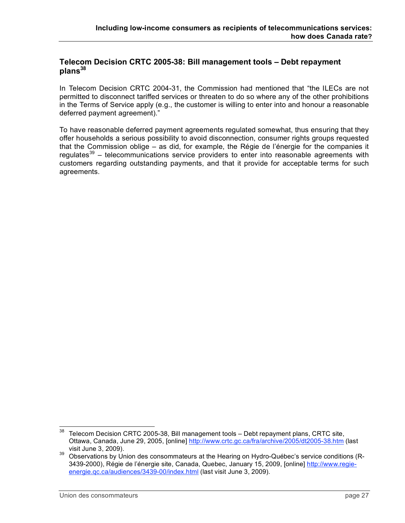### **Telecom Decision CRTC 2005-38: Bill management tools – Debt repayment** plans<sup>38</sup>

In Telecom Decision CRTC 2004-31, the Commission had mentioned that "the ILECs are not permitted to disconnect tariffed services or threaten to do so where any of the other prohibitions in the Terms of Service apply (e.g., the customer is willing to enter into and honour a reasonable deferred payment agreement)."

To have reasonable deferred payment agreements regulated somewhat, thus ensuring that they offer households a serious possibility to avoid disconnection, consumer rights groups requested that the Commission oblige – as did, for example, the Régie de l'énergie for the companies it regulates<sup>39</sup> – telecommunications service providers to enter into reasonable agreements with customers regarding outstanding payments, and that it provide for acceptable terms for such agreements.

 $38$  Telecom Decision CRTC 2005-38, Bill management tools  $-$  Debt repayment plans, CRTC site, Ottawa, Canada, June 29, 2005, [online] http://www.crtc.gc.ca/fra/archive/2005/dt2005-38.htm (last

visit June 3, 2009).<br><sup>39</sup> Observations by Union des consommateurs at the Hearing on Hydro-Québec's service conditions (R-3439-2000), Régie de l'énergie site, Canada, Quebec, January 15, 2009, [online] http://www.regieenergie.gc.ca/audiences/3439-00/index.html (last visit June 3, 2009).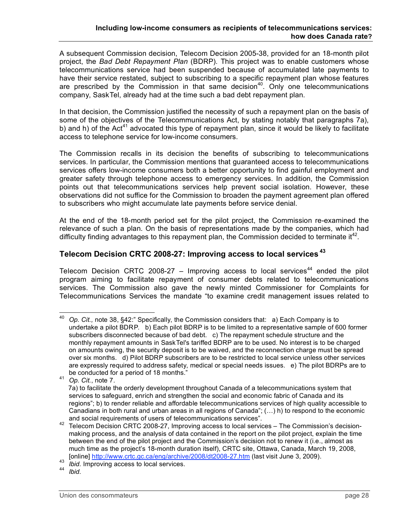A subsequent Commission decision, Telecom Decision 2005-38, provided for an 18-month pilot project, the *Bad Debt Repayment Plan* (BDRP). This project was to enable customers whose telecommunications service had been suspended because of accumulated late payments to have their service restated, subject to subscribing to a specific repayment plan whose features are prescribed by the Commission in that same decision<sup>40</sup>. Only one telecommunications company, SaskTel, already had at the time such a bad debt repayment plan.

In that decision, the Commission justified the necessity of such a repayment plan on the basis of some of the objectives of the Telecommunications Act, by stating notably that paragraphs 7a), b) and h) of the Act<sup>41</sup> advocated this type of repayment plan, since it would be likely to facilitate access to telephone service for low-income consumers.

The Commission recalls in its decision the benefits of subscribing to telecommunications services. In particular, the Commission mentions that guaranteed access to telecommunications services offers low-income consumers both a better opportunity to find gainful employment and greater safety through telephone access to emergency services. In addition, the Commission points out that telecommunications services help prevent social isolation. However, these observations did not suffice for the Commission to broaden the payment agreement plan offered to subscribers who might accumulate late payments before service denial.

At the end of the 18-month period set for the pilot project, the Commission re-examined the relevance of such a plan. On the basis of representations made by the companies, which had difficulty finding advantages to this repayment plan, the Commission decided to terminate it<sup>42</sup>.

# **Telecom Decision CRTC 2008-27: Improving access to local services <sup>43</sup>**

Telecom Decision CRTC 2008-27 – Improving access to local services<sup>44</sup> ended the pilot program aiming to facilitate repayment of consumer debts related to telecommunications services. The Commission also gave the newly minted Commissioner for Complaints for Telecommunications Services the mandate "to examine credit management issues related to

 <sup>40</sup> *Op. Cit.,* note 38, §42:" Specifically, the Commission considers that: a) Each Company is to undertake a pilot BDRP. b) Each pilot BDRP is to be limited to a representative sample of 600 former subscribers disconnected because of bad debt. c) The repayment schedule structure and the monthly repayment amounts in SaskTel's tariffed BDRP are to be used. No interest is to be charged on amounts owing, the security deposit is to be waived, and the reconnection charge must be spread over six months. d) Pilot BDRP subscribers are to be restricted to local service unless other services are expressly required to address safety, medical or special needs issues. e) The pilot BDRPs are to be conducted for <sup>a</sup> period of <sup>18</sup> months." <sup>41</sup> *Op. Cit.*, note 7.

<sup>7</sup>a) to facilitate the orderly development throughout Canada of a telecommunications system that services to safeguard, enrich and strengthen the social and economic fabric of Canada and its regions"; b) to render reliable and affordable telecommunications services of high quality accessible to Canadians in both rural and urban areas in all regions of Canada"; (…) h) to respond to the economic

and social requirements of users of telecommunications services".<br><sup>42</sup> Telecom Decision CRTC 2008-27, Improving access to local services – The Commission's decisionmaking process, and the analysis of data contained in the report on the pilot project, explain the time between the end of the pilot project and the Commission's decision not to renew it (i.e., almost as much time as the project's 18-month duration itself), CRTC site, Ottawa, Canada, March 19, 2008, [online] http://www.crtc.gc.ca/eng/archive/2008/dt2008-27.htm (last visit June 3, 2009). <sup>43</sup> *Ibid.* Improving access to local services. <sup>44</sup> *Ibid.*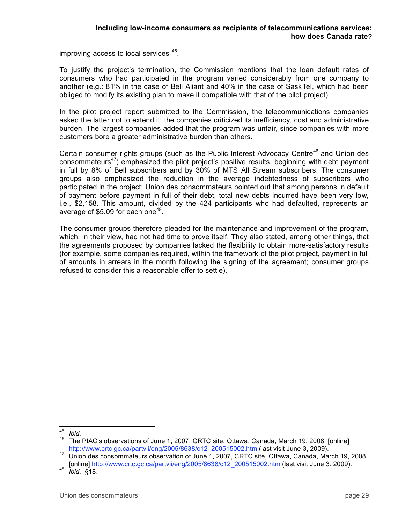improving access to local services"<sup>45</sup>.

To justify the project's termination, the Commission mentions that the loan default rates of consumers who had participated in the program varied considerably from one company to another (e.g.: 81% in the case of Bell Aliant and 40% in the case of SaskTel, which had been obliged to modify its existing plan to make it compatible with that of the pilot project).

In the pilot project report submitted to the Commission, the telecommunications companies asked the latter not to extend it; the companies criticized its inefficiency, cost and administrative burden. The largest companies added that the program was unfair, since companies with more customers bore a greater administrative burden than others.

Certain consumer rights groups (such as the Public Interest Advocacy Centre<sup>46</sup> and Union des consommateurs<sup>47</sup>) emphasized the pilot project's positive results, beginning with debt payment in full by 8% of Bell subscribers and by 30% of MTS All Stream subscribers. The consumer groups also emphasized the reduction in the average indebtedness of subscribers who participated in the project; Union des consommateurs pointed out that among persons in default of payment before payment in full of their debt, total new debts incurred have been very low, i.e., \$2,158. This amount, divided by the 424 participants who had defaulted, represents an average of \$5.09 for each one<sup>48</sup>.

The consumer groups therefore pleaded for the maintenance and improvement of the program, which, in their view, had not had time to prove itself. They also stated, among other things, that the agreements proposed by companies lacked the flexibility to obtain more-satisfactory results (for example, some companies required, within the framework of the pilot project, payment in full of amounts in arrears in the month following the signing of the agreement; consumer groups refused to consider this a reasonable offer to settle).

<sup>&</sup>lt;sup>45</sup> *Ibid.*<br><sup>46</sup> The PIAC's observations of June 1, 2007, CRTC site, Ottawa, Canada, March 19, 2008, [online] http://www.crtc.gc.ca/partvii/eng/2005/8638/c12\_200515002.htm (last visit June 3, 2009).<br>47 Union des consommateurs observation of June 1, 2007, CRTC site, Ottawa, Canada, March 19, 2008,

<sup>[</sup>online] http://www.crtc.gc.ca/partvii/eng/2005/8638/c12\_200515002.htm (last visit June 3, 2009). <sup>48</sup> *Ibid.*, §18.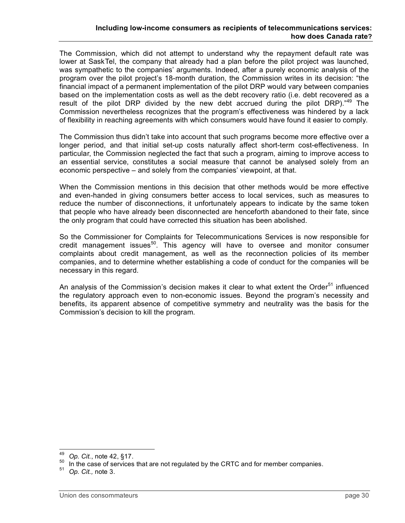The Commission, which did not attempt to understand why the repayment default rate was lower at SaskTel, the company that already had a plan before the pilot project was launched, was sympathetic to the companies' arguments. Indeed, after a purely economic analysis of the program over the pilot project's 18-month duration, the Commission writes in its decision: "the financial impact of a permanent implementation of the pilot DRP would vary between companies based on the implementation costs as well as the debt recovery ratio (i.e. debt recovered as a result of the pilot DRP divided by the new debt accrued during the pilot DRP)."<sup>49</sup> The Commission nevertheless recognizes that the program's effectiveness was hindered by a lack of flexibility in reaching agreements with which consumers would have found it easier to comply.

The Commission thus didn't take into account that such programs become more effective over a longer period, and that initial set-up costs naturally affect short-term cost-effectiveness. In particular, the Commission neglected the fact that such a program, aiming to improve access to an essential service, constitutes a social measure that cannot be analysed solely from an economic perspective – and solely from the companies' viewpoint, at that.

When the Commission mentions in this decision that other methods would be more effective and even-handed in giving consumers better access to local services, such as measures to reduce the number of disconnections, it unfortunately appears to indicate by the same token that people who have already been disconnected are henceforth abandoned to their fate, since the only program that could have corrected this situation has been abolished.

So the Commissioner for Complaints for Telecommunications Services is now responsible for credit management issues<sup>50</sup>. This agency will have to oversee and monitor consumer complaints about credit management, as well as the reconnection policies of its member companies, and to determine whether establishing a code of conduct for the companies will be necessary in this regard.

An analysis of the Commission's decision makes it clear to what extent the Order<sup>51</sup> influenced the regulatory approach even to non-economic issues. Beyond the program's necessity and benefits, its apparent absence of competitive symmetry and neutrality was the basis for the Commission's decision to kill the program.

<sup>49</sup> *Op. Cit.*, note 42, §17.<br><sup>50</sup> In the case of services that are not regulated by the CRTC and for member companies.<br><sup>51</sup> *Op. Cit.*, note 3.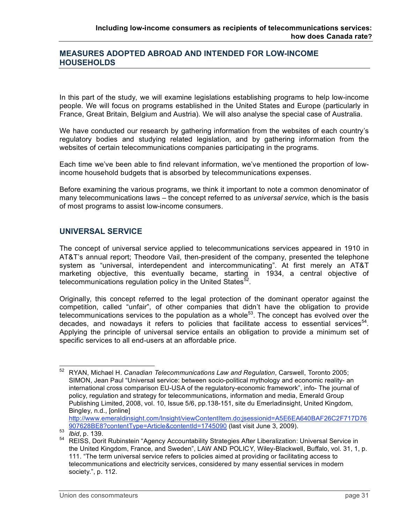### **MEASURES ADOPTED ABROAD AND INTENDED FOR LOW-INCOME HOUSEHOLDS**

In this part of the study, we will examine legislations establishing programs to help low-income people. We will focus on programs established in the United States and Europe (particularly in France, Great Britain, Belgium and Austria). We will also analyse the special case of Australia.

We have conducted our research by gathering information from the websites of each country's regulatory bodies and studying related legislation, and by gathering information from the websites of certain telecommunications companies participating in the programs.

Each time we've been able to find relevant information, we've mentioned the proportion of lowincome household budgets that is absorbed by telecommunications expenses.

Before examining the various programs, we think it important to note a common denominator of many telecommunications laws – the concept referred to as *universal service*, which is the basis of most programs to assist low-income consumers.

### **UNIVERSAL SERVICE**

The concept of universal service applied to telecommunications services appeared in 1910 in AT&T's annual report; Theodore Vail, then-president of the company, presented the telephone system as "universal, interdependent and intercommunicating". At first merely an AT&T marketing objective, this eventually became, starting in 1934, a central objective of telecommunications regulation policy in the United States $^{52}$ .

Originally, this concept referred to the legal protection of the dominant operator against the competition, called "unfair", of other companies that didn't have the obligation to provide telecommunications services to the population as a whole<sup>53</sup>. The concept has evolved over the decades, and nowadays it refers to policies that facilitate access to essential services<sup>54</sup>. Applying the principle of universal service entails an obligation to provide a minimum set of specific services to all end-users at an affordable price.

 <sup>52</sup> RYAN, Michael H. *Canadian Telecommunications Law and Regulation*, Carswell, Toronto 2005; SIMON, Jean Paul "Universal service: between socio-political mythology and economic reality- an international cross comparison EU-USA of the regulatory-economic framework", info- The journal of policy, regulation and strategy for telecommunications, information and media, Emerald Group Publishing Limited, 2008, vol. 10, Issue 5/6, pp.138-151, site du Emerladinsight, United Kingdom, Bingley, n.d., [online]

http://www.emeraldinsight.com/Insight/viewContentItem.do;jsessionid=A5E6EA640BAF26C2F717D76<br>907628BE8?contentType=Article&contentId=1745090 (last visit June 3, 2009).

es<br> *Balibid*, p. 139.<br>
REISS, Dorit Rubinstein "Agency Accountability Strategies After Liberalization: Universal Service in the United Kingdom, France, and Sweden", LAW AND POLICY, Wiley-Blackwell, Buffalo, vol. 31, 1, p. 111. "The term universal service refers to policies aimed at providing or facilitating access to telecommunications and electricity services, considered by many essential services in modern society.", p. 112.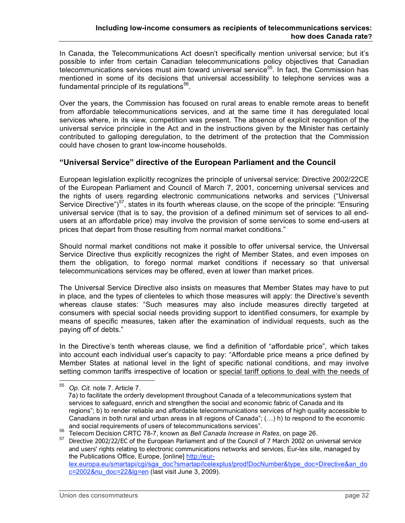In Canada, the Telecommunications Act doesn't specifically mention universal service; but it's possible to infer from certain Canadian telecommunications policy objectives that Canadian telecommunications services must aim toward universal service<sup>55</sup>. In fact, the Commission has mentioned in some of its decisions that universal accessibility to telephone services was a fundamental principle of its regulations $^{56}$ .

Over the years, the Commission has focused on rural areas to enable remote areas to benefit from affordable telecommunications services, and at the same time it has deregulated local services where, in its view, competition was present. The absence of explicit recognition of the universal service principle in the Act and in the instructions given by the Minister has certainly contributed to galloping deregulation, to the detriment of the protection that the Commission could have chosen to grant low-income households.

### **"Universal Service" directive of the European Parliament and the Council**

European legislation explicitly recognizes the principle of universal service: Directive 2002/22CE of the European Parliament and Council of March 7, 2001, concerning universal services and the rights of users regarding electronic communications networks and services ("Universal Service Directive")<sup>57</sup>, states in its fourth whereas clause, on the scope of the principle: "Ensuring universal service (that is to say, the provision of a defined minimum set of services to all endusers at an affordable price) may involve the provision of some services to some end-users at prices that depart from those resulting from normal market conditions."

Should normal market conditions not make it possible to offer universal service, the Universal Service Directive thus explicitly recognizes the right of Member States, and even imposes on them the obligation, to forego normal market conditions if necessary so that universal telecommunications services may be offered, even at lower than market prices.

The Universal Service Directive also insists on measures that Member States may have to put in place, and the types of clienteles to which those measures will apply: the Directive's seventh whereas clause states: "Such measures may also include measures directly targeted at consumers with special social needs providing support to identified consumers, for example by means of specific measures, taken after the examination of individual requests, such as the paying off of debts."

In the Directive's tenth whereas clause, we find a definition of "affordable price", which takes into account each individual user's capacity to pay: "Affordable price means a price defined by Member States at national level in the light of specific national conditions, and may involve setting common tariffs irrespective of location or special tariff options to deal with the needs of

 <sup>55</sup> *Op. Cit.* note 7. Article 7.

<sup>7</sup>a) to facilitate the orderly development throughout Canada of a telecommunications system that services to safeguard, enrich and strengthen the social and economic fabric of Canada and its regions"; b) to render reliable and affordable telecommunications services of high quality accessible to Canadians in both rural and urban areas in all regions of Canada"; (…) h) to respond to the economic and social requirements of users of telecommunications services".<br><sup>56</sup> Telecom Decision CRTC 78-7, known as *Bell Canada Increase in Rates*, on page 26.<br><sup>57</sup> Directive 2002/22/EC of the European Parliament and of the Counc

and users' rights relating to electronic communications networks and services, Eur-lex site, managed by the Publications Office, Europe, [online] http://eurlex.europa.eu/smartapi/cgi/sga\_doc?smartapi!celexplus!prod!DocNumber&type\_doc=Directive&an\_do c=2002&nu\_doc=22&lg=en (last visit June 3, 2009).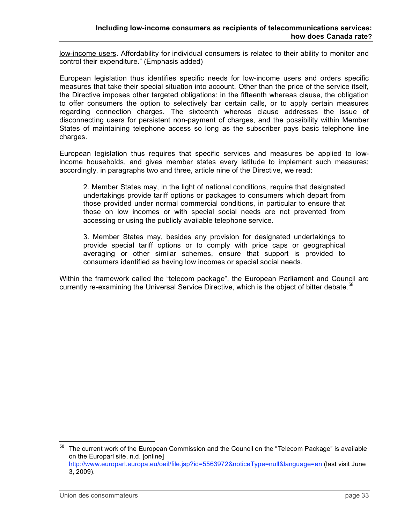low-income users. Affordability for individual consumers is related to their ability to monitor and control their expenditure." (Emphasis added)

European legislation thus identifies specific needs for low-income users and orders specific measures that take their special situation into account. Other than the price of the service itself, the Directive imposes other targeted obligations: in the fifteenth whereas clause, the obligation to offer consumers the option to selectively bar certain calls, or to apply certain measures regarding connection charges. The sixteenth whereas clause addresses the issue of disconnecting users for persistent non-payment of charges, and the possibility within Member States of maintaining telephone access so long as the subscriber pays basic telephone line charges.

European legislation thus requires that specific services and measures be applied to lowincome households, and gives member states every latitude to implement such measures; accordingly, in paragraphs two and three, article nine of the Directive, we read:

2. Member States may, in the light of national conditions, require that designated undertakings provide tariff options or packages to consumers which depart from those provided under normal commercial conditions, in particular to ensure that those on low incomes or with special social needs are not prevented from accessing or using the publicly available telephone service.

3. Member States may, besides any provision for designated undertakings to provide special tariff options or to comply with price caps or geographical averaging or other similar schemes, ensure that support is provided to consumers identified as having low incomes or special social needs.

Within the framework called the "telecom package", the European Parliament and Council are currently re-examining the Universal Service Directive, which is the object of bitter debate.<sup>58</sup>

The current work of the European Commission and the Council on the "Telecom Package" is available on the Europarl site, n.d. [online] http://www.europarl.europa.eu/oeil/file.jsp?id=5563972&noticeType=null&language=en (last visit June 3, 2009).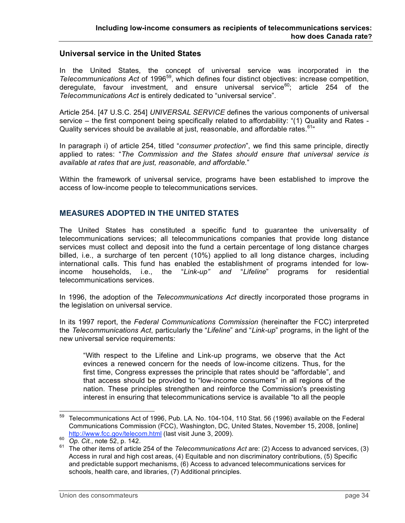#### **Universal service in the United States**

In the United States, the concept of universal service was incorporated in the Telecommunications Act of 1996<sup>59</sup>, which defines four distinct objectives: increase competition, deregulate, favour investment, and ensure universal service<sup>60</sup>; article 254 of the *Telecommunications Act* is entirely dedicated to "universal service".

Article 254. [47 U.S.C. 254] *UNIVERSAL SERVICE* defines the various components of universal service – the first component being specifically related to affordability: "(1) Quality and Rates - Quality services should be available at just, reasonable, and affordable rates. <sup>61</sup>

In paragraph i) of article 254, titled "*consumer protection*", we find this same principle, directly applied to rates: "*The Commission and the States should ensure that universal service is available at rates that are just, reasonable, and affordable.*"

Within the framework of universal service, programs have been established to improve the access of low-income people to telecommunications services.

### **MEASURES ADOPTED IN THE UNITED STATES**

The United States has constituted a specific fund to guarantee the universality of telecommunications services; all telecommunications companies that provide long distance services must collect and deposit into the fund a certain percentage of long distance charges billed, i.e., a surcharge of ten percent (10%) applied to all long distance charges, including international calls. This fund has enabled the establishment of programs intended for lowincome households, i.e., the "*Link-up" and* "*Lifeline*" programs for residential telecommunications services.

In 1996, the adoption of the *Telecommunications Act* directly incorporated those programs in the legislation on universal service.

In its 1997 report, the *Federal Communications Commission* (hereinafter the FCC) interpreted the *Telecommunications Act*, particularly the "*Lifeline*" and "*Link-up*" programs, in the light of the new universal service requirements:

"With respect to the Lifeline and Link-up programs, we observe that the Act evinces a renewed concern for the needs of low-income citizens. Thus, for the first time, Congress expresses the principle that rates should be "affordable", and that access should be provided to "low-income consumers" in all regions of the nation. These principles strengthen and reinforce the Commission's preexisting interest in ensuring that telecommunications service is available "to all the people

 $59$  Telecommunications Act of 1996, Pub. LA. No. 104-104, 110 Stat. 56 (1996) available on the Federal Communications Commission (FCC), Washington, DC, United States, November 15, 2008, [online]

http://www.fcc.gov/telecom.html (last visit June 3, 2009). <sup>60</sup> *Op. Cit.*, note 52, p. 142. <sup>61</sup> The other items of article <sup>254</sup> of the *Telecommunications Act* are: (2) Access to advanced services, (3) Access in rural and high cost areas, (4) Equitable and non discriminatory contributions, (5) Specific and predictable support mechanisms, (6) Access to advanced telecommunications services for schools, health care, and libraries, (7) Additional principles.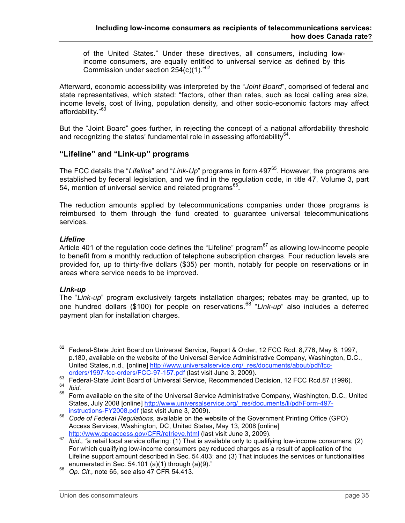of the United States." Under these directives, all consumers, including lowincome consumers, are equally entitled to universal service as defined by this Commission under section  $254(c)(1)$ ."<sup>62</sup>

Afterward, economic accessibility was interpreted by the "*Joint Board*", comprised of federal and state representatives, which stated: "factors, other than rates, such as local calling area size, income levels, cost of living, population density, and other socio-economic factors may affect affordability."<sup>63</sup>

But the "Joint Board" goes further, in rejecting the concept of a national affordability threshold and recognizing the states' fundamental role in assessing affordability $^{64}$ .

### **"Lifeline" and "Link-up" programs**

The FCC details the "Lifeline" and "Link-Up" programs in form 497<sup>65</sup>. However, the programs are established by federal legislation, and we find in the regulation code, in title 47, Volume 3, part 54, mention of universal service and related programs $^{66}$ .

The reduction amounts applied by telecommunications companies under those programs is reimbursed to them through the fund created to guarantee universal telecommunications services.

#### *Lifeline*

Article 401 of the regulation code defines the "Lifeline" program<sup>67</sup> as allowing low-income people to benefit from a monthly reduction of telephone subscription charges. Four reduction levels are provided for, up to thirty-five dollars (\$35) per month, notably for people on reservations or in areas where service needs to be improved.

#### *Link-up*

The "*Link-up*" program exclusively targets installation charges; rebates may be granted, up to one hundred dollars (\$100) for people on reservations. <sup>68</sup> "*Link-up*" also includes a deferred payment plan for installation charges.

<sup>&</sup>lt;sup>62</sup> Federal-State Joint Board on Universal Service, Report & Order, 12 FCC Rcd. 8,776, May 8, 1997, p.180, available on the website of the Universal Service Administrative Company, Washington, D.C., United States, n.d., [online] http://www.universalservice.org/\_res/documents/about/pdf/fcc-<br>orders/1997-fcc-orders/FCC-97-157.pdf (last visit June 3, 2009).

<sup>63&</sup>lt;br>
Federal-State Joint Board of Universal Service, Recommended Decision, 12 FCC Rcd.87 (1996).<br>
Form available on the site of the Universal Service Administrative Company, Washington, D.C., United<br>
65 Form available on th

States, July 2008 [online] http://www.universalservice.org/\_res/documents/li/pdf/Form-497-<br>instructions-FY2008.pdf (last visit June 3, 2009).

<sup>&</sup>lt;sup>66</sup> Code of Federal Regulations, available on the website of the Government Printing Office (GPO) Access Services, Washington, DC, United States, May 13, 2008 [online]

http://www.gpoaccess.gov/CFR/retrieve.html (last visit June 3, 2009). <sup>67</sup> *Ibid., "*<sup>a</sup> retail local service offering: (1) That is available only to qualifying low-income consumers; (2) For which qualifying low-income consumers pay reduced charges as a result of application of the Lifeline support amount described in Sec. 54.403; and (3) That includes the services or functionalities enumerated in Sec. 54.101 (a)(1) through (a)(9)."<br>Op. Cit., note 65, see also 47 CFR 54.413.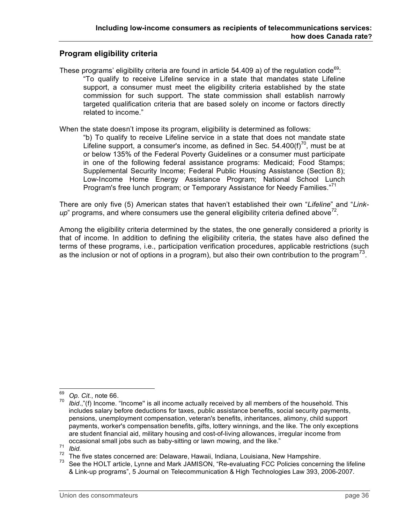# **Program eligibility criteria**

These programs' eligibility criteria are found in article 54.409 a) of the regulation code<sup>69</sup>: "To qualify to receive Lifeline service in a state that mandates state Lifeline support, a consumer must meet the eligibility criteria established by the state commission for such support. The state commission shall establish narrowly targeted qualification criteria that are based solely on income or factors directly related to income."

When the state doesn't impose its program, eligibility is determined as follows:

"b) To qualify to receive Lifeline service in a state that does not mandate state Lifeline support, a consumer's income, as defined in Sec.  $54.400(f)^{70}$ , must be at or below 135% of the Federal Poverty Guidelines or a consumer must participate in one of the following federal assistance programs: Medicaid; Food Stamps; Supplemental Security Income; Federal Public Housing Assistance (Section 8); Low-Income Home Energy Assistance Program; National School Lunch Program's free lunch program; or Temporary Assistance for Needy Families."<sup>71</sup>

There are only five (5) American states that haven't established their own "*Lifeline*" and "*Link* $up$ " programs, and where consumers use the general eligibility criteria defined above<sup>72</sup>.

Among the eligibility criteria determined by the states, the one generally considered a priority is that of income. In addition to defining the eligibility criteria, the states have also defined the terms of these programs, i.e., participation verification procedures, applicable restrictions (such as the inclusion or not of options in a program), but also their own contribution to the program<sup>73</sup>.

<sup>&</sup>lt;sup>69</sup> *Op. Cit.*, note 66.<br><sup>70</sup> *Ibid.*,"(f) Income. "Income" is all income actually received by all members of the household. This includes salary before deductions for taxes, public assistance benefits, social security payments, pensions, unemployment compensation, veteran's benefits, inheritances, alimony, child support payments, worker's compensation benefits, gifts, lottery winnings, and the like. The only exceptions are student financial aid, military housing and cost-of-living allowances, irregular income from

occasional small jobs such as baby-sitting or lawn mowing, and the like."<br>
<sup>71</sup> Ibid.<br>
<sup>72</sup> The five states concerned are: Delaware, Hawaii, Indiana, Louisiana, New Hampshire.<br>
<sup>73</sup> See the HOLT article, Lynne and Mark JA & Link-up programs", 5 Journal on Telecommunication & High Technologies Law 393, 2006-2007.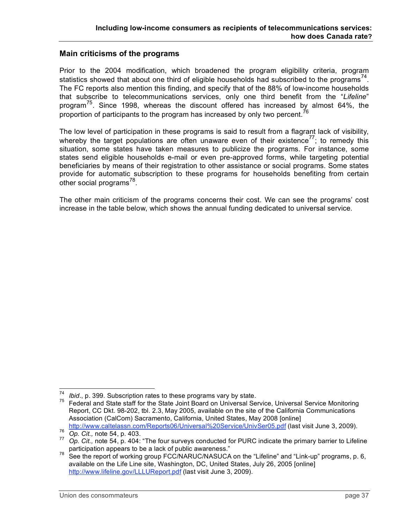### **Main criticisms of the programs**

Prior to the 2004 modification, which broadened the program eligibility criteria, program statistics showed that about one third of eligible households had subscribed to the programs<sup>74</sup>. The FC reports also mention this finding, and specify that of the 88% of low-income households that subscribe to telecommunications services, only one third benefit from the "*Lifeline*" program<sup>75</sup>. Since 1998, whereas the discount offered has increased by almost 64%, the proportion of participants to the program has increased by only two percent.<sup>76</sup>

The low level of participation in these programs is said to result from a flagrant lack of visibility, whereby the target populations are often unaware even of their existence<sup>77</sup>; to remedy this situation, some states have taken measures to publicize the programs. For instance, some states send eligible households e-mail or even pre-approved forms, while targeting potential beneficiaries by means of their registration to other assistance or social programs. Some states provide for automatic subscription to these programs for households benefiting from certain .<br>other social programs<sup>78</sup>.

The other main criticism of the programs concerns their cost. We can see the programs' cost increase in the table below, which shows the annual funding dedicated to universal service.

*Ibid.*, p. 399. Subscription rates to these programs vary by state.<br>Federal and State staff for the State Joint Board on Universal Service, Universal Service Monitoring Report, CC Dkt. 98-202, tbl. 2.3, May 2005, available on the site of the California Communications Association (CalCom) Sacramento, California, United States, May 2008 [online]<br>http://www.caltelassn.com/Reports06/Universal%20Service/UnivSer05.pdf (last visit June 3, 2009).

<sup>76&</sup>lt;br>
Op. Cit., note 54, p. 403.<br>
Op. Cit., note 54, p. 404: "The four surveys conducted for PURC indicate the primary barrier to Lifeline<br>
participation appears to be a lack of public awareness."

participation appears to be <sup>a</sup> lack of public awareness." <sup>78</sup> See the report of working group FCC/NARUC/NASUCA on the "Lifeline" and "Link-up" programs, p. 6, available on the Life Line site, Washington, DC, United States, July 26, 2005 [online] http://www.lifeline.gov/LLLUReport.pdf (last visit June 3, 2009).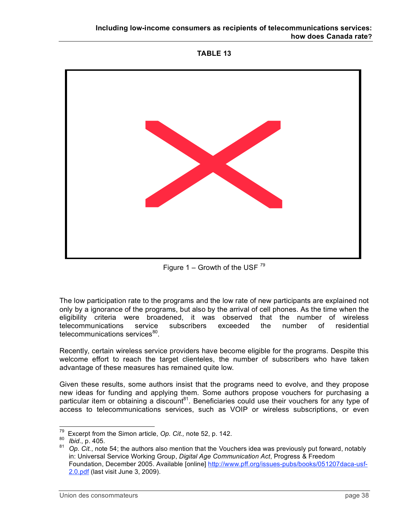



Figure 1 – Growth of the USF  $^{79}$ 

The low participation rate to the programs and the low rate of new participants are explained not only by a ignorance of the programs, but also by the arrival of cell phones. As the time when the eligibility criteria were broadened, it was observed that the number of wireless telecommunications service subscribers exceeded the number of residential telecommunications services<sup>80</sup>.

Recently, certain wireless service providers have become eligible for the programs. Despite this welcome effort to reach the target clienteles, the number of subscribers who have taken advantage of these measures has remained quite low.

Given these results, some authors insist that the programs need to evolve, and they propose new ideas for funding and applying them. Some authors propose vouchers for purchasing a particular item or obtaining a discount<sup>81</sup>. Beneficiaries could use their vouchers for any type of access to telecommunications services, such as VOIP or wireless subscriptions, or even

<sup>&</sup>lt;sup>79</sup> Excerpt from the Simon article, *Op. Cit.,* note 52, p. 142.<br><sup>80</sup> *Ibid.*, p. 405.<br><sup>81</sup> *Op. Cit.*, note 54; the authors also mention that the Vouchers idea was previously put forward, notably in: Universal Service Working Group, *Digital Age Communication Act*, Progress & Freedom Foundation, December 2005. Available [online] http://www.pff.org/issues-pubs/books/051207daca-usf-2.0.pdf (last visit June 3, 2009).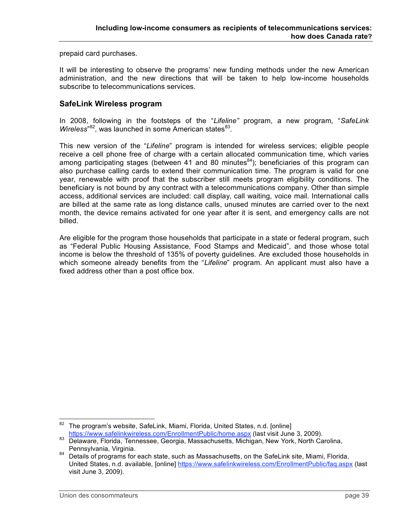prepaid card purchases.

It will be interesting to observe the programs' new funding methods under the new American administration, and the new directions that will be taken to help low-income households subscribe to telecommunications services.

### **SafeLink Wireless program**

In 2008, following in the footsteps of the "*Lifeline"* program, a new program, "*SafeLink* Wireless<sup>"82</sup>, was launched in some American states<sup>83</sup>.

This new version of the "*Lifeline*" program is intended for wireless services; eligible people receive a cell phone free of charge with a certain allocated communication time, which varies among participating stages (between 41 and 80 minutes<sup>84</sup>); beneficiaries of this program can also purchase calling cards to extend their communication time. The program is valid for one year, renewable with proof that the subscriber still meets program eligibility conditions. The beneficiary is not bound by any contract with a telecommunications company. Other than simple access, additional services are included: call display, call waiting, voice mail. International calls are billed at the same rate as long distance calls, unused minutes are carried over to the next month, the device remains activated for one year after it is sent, and emergency calls are not billed.

Are eligible for the program those households that participate in a state or federal program, such as "Federal Public Housing Assistance, Food Stamps and Medicaid", and those whose total income is below the threshold of 135% of poverty guidelines. Are excluded those households in which someone already benefits from the "*Lifeline*" program. An applicant must also have a fixed address other than a post office box.

 $82$  The program's website, SafeLink, Miami, Florida, United States, n.d. [online]

https://www.safelinkwireless.com/EnrollmentPublic/home.aspx (last visit June 3, 2009).<br><sup>83</sup> Delaware, Florida, Tennessee, Georgia, Massachusetts, Michigan, New York, North Carolina,

Pennsylvania, Virginia.<br><sup>84</sup> Details of programs for each state, such as Massachusetts, on the SafeLink site, Miami, Florida, United States, n.d. available, [online] https://www.safelinkwireless.com/EnrollmentPublic/faq.aspx (last visit June 3, 2009).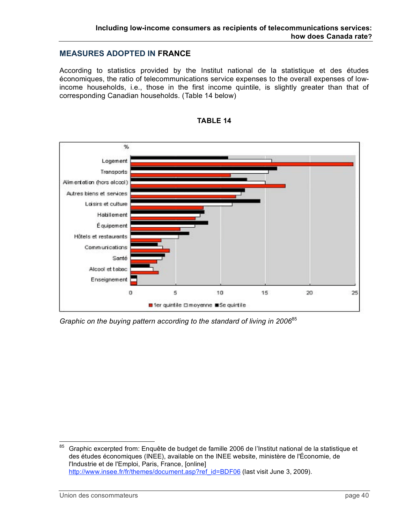### **MEASURES ADOPTED IN FRANCE**

According to statistics provided by the Institut national de la statistique et des études économiques, the ratio of telecommunications service expenses to the overall expenses of lowincome households, i.e., those in the first income quintile, is slightly greater than that of corresponding Canadian households. (Table 14 below)





*Graphic on the buying pattern according to the standard of living in 2006*<sup>85</sup>

<sup>85</sup> Graphic excerpted from: Enquête de budget de famille 2006 de l'Institut national de la statistique et des études économiques (INEE), available on the INEE website, ministère de l'Économie, de l'Industrie et de l'Emploi, Paris, France, [online] http://www.insee.fr/fr/themes/document.asp?ref\_id=BDF06 (last visit June 3, 2009).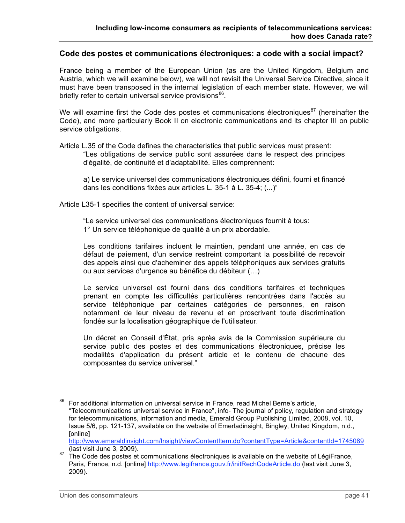#### **Code des postes et communications électroniques: a code with a social impact?**

France being a member of the European Union (as are the United Kingdom, Belgium and Austria, which we will examine below), we will not revisit the Universal Service Directive, since it must have been transposed in the internal legislation of each member state. However, we will briefly refer to certain universal service provisions<sup>86</sup>.

We will examine first the Code des postes et communications électroniques $87$  (hereinafter the Code), and more particularly Book II on electronic communications and its chapter III on public service obligations.

Article L.35 of the Code defines the characteristics that public services must present: "Les obligations de service public sont assurées dans le respect des principes d'égalité, de continuité et d'adaptabilité. Elles comprennent:

a) Le service universel des communications électroniques défini, fourni et financé dans les conditions fixées aux articles L. 35-1 à L. 35-4; (...)"

Article L35-1 specifies the content of universal service:

"Le service universel des communications électroniques fournit à tous: 1° Un service téléphonique de qualité à un prix abordable.

Les conditions tarifaires incluent le maintien, pendant une année, en cas de défaut de paiement, d'un service restreint comportant la possibilité de recevoir des appels ainsi que d'acheminer des appels téléphoniques aux services gratuits ou aux services d'urgence au bénéfice du débiteur (…)

Le service universel est fourni dans des conditions tarifaires et techniques prenant en compte les difficultés particulières rencontrées dans l'accès au service téléphonique par certaines catégories de personnes, en raison notamment de leur niveau de revenu et en proscrivant toute discrimination fondée sur la localisation géographique de l'utilisateur.

Un décret en Conseil d'État, pris après avis de la Commission supérieure du service public des postes et des communications électroniques, précise les modalités d'application du présent article et le contenu de chacune des composantes du service universel."

http://www.emeraldinsight.com/Insight/viewContentItem.do?contentType=Article&contentId=1745089 (last visit June 3, 2009).<br><sup>87</sup> The Code des postes et communications électroniques is available on the website of LégiFrance,

<sup>&</sup>lt;sup>86</sup> For additional information on universal service in France, read Michel Berne's article, "Telecommunications universal service in France", info- The journal of policy, regulation and strategy for telecommunications, information and media, Emerald Group Publishing Limited, 2008, vol. 10, Issue 5/6, pp. 121-137, available on the website of Emerladinsight, Bingley, United Kingdom, n.d., [online]

Paris, France, n.d. [online] http://www.legifrance.gouv.fr/initRechCodeArticle.do (last visit June 3, 2009).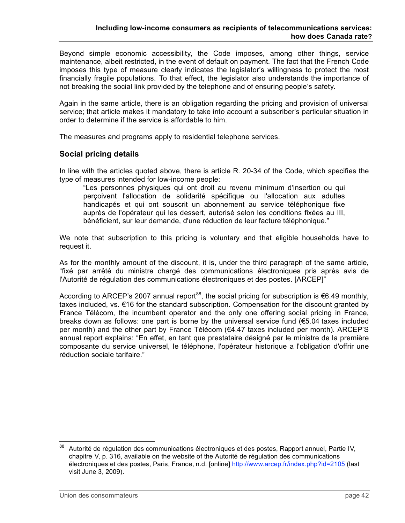Beyond simple economic accessibility, the Code imposes, among other things, service maintenance, albeit restricted, in the event of default on payment. The fact that the French Code imposes this type of measure clearly indicates the legislator's willingness to protect the most financially fragile populations. To that effect, the legislator also understands the importance of not breaking the social link provided by the telephone and of ensuring people's safety.

Again in the same article, there is an obligation regarding the pricing and provision of universal service; that article makes it mandatory to take into account a subscriber's particular situation in order to determine if the service is affordable to him.

The measures and programs apply to residential telephone services.

### **Social pricing details**

In line with the articles quoted above, there is article R. 20-34 of the Code, which specifies the type of measures intended for low-income people:

"Les personnes physiques qui ont droit au revenu minimum d'insertion ou qui perçoivent l'allocation de solidarité spécifique ou l'allocation aux adultes handicapés et qui ont souscrit un abonnement au service téléphonique fixe auprès de l'opérateur qui les dessert, autorisé selon les conditions fixées au III, bénéficient, sur leur demande, d'une réduction de leur facture téléphonique."

We note that subscription to this pricing is voluntary and that eligible households have to request it.

As for the monthly amount of the discount, it is, under the third paragraph of the same article, "fixé par arrêté du ministre chargé des communications électroniques pris après avis de l'Autorité de régulation des communications électroniques et des postes. [ARCEP]"

According to ARCEP's 2007 annual report<sup>88</sup>, the social pricing for subscription is €6.49 monthly, taxes included, vs. €16 for the standard subscription. Compensation for the discount granted by France Télécom, the incumbent operator and the only one offering social pricing in France, breaks down as follows: one part is borne by the universal service fund (€5.04 taxes included per month) and the other part by France Télécom (€4.47 taxes included per month). ARCEP'S annual report explains: "En effet, en tant que prestataire désigné par le ministre de la première composante du service universel, le téléphone, l'opérateur historique a l'obligation d'offrir une réduction sociale tarifaire."

<sup>&</sup>lt;sup>88</sup> Autorité de régulation des communications électroniques et des postes, Rapport annuel, Partie IV, chapitre V, p. 316, available on the website of the Autorité de régulation des communications électroniques et des postes, Paris, France, n.d. [online] http://www.arcep.fr/index.php?id=2105 (last visit June 3, 2009).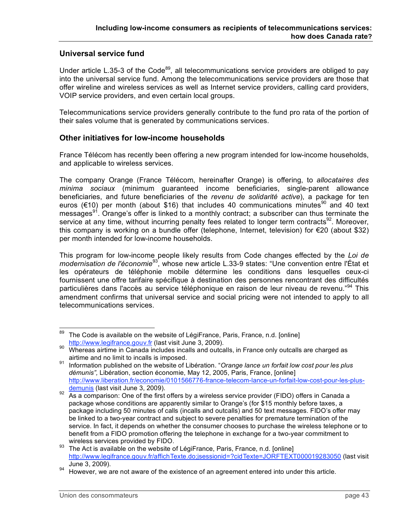# **Universal service fund**

Under article L.35-3 of the Code<sup>89</sup>, all telecommunications service providers are obliged to pay into the universal service fund. Among the telecommunications service providers are those that offer wireline and wireless services as well as Internet service providers, calling card providers, VOIP service providers, and even certain local groups.

Telecommunications service providers generally contribute to the fund pro rata of the portion of their sales volume that is generated by communications services.

### **Other initiatives for low-income households**

France Télécom has recently been offering a new program intended for low-income households, and applicable to wireless services.

The company Orange (France Télécom, hereinafter Orange) is offering, to *allocataires des minima sociaux* (minimum guaranteed income beneficiaries, single-parent allowance beneficiaries, and future beneficiaries of the *revenu de solidarité active*), a package for ten euros (€10) per month (about \$16) that includes 40 communications minutes<sup>90</sup> and 40 text messages<sup>91</sup>. Orange's offer is linked to a monthly contract; a subscriber can thus terminate the service at any time, without incurring penalty fees related to longer term contracts<sup>92</sup>. Moreover, this company is working on a bundle offer (telephone, Internet, television) for €20 (about \$32) per month intended for low-income households.

This program for low-income people likely results from Code changes effected by the *Loi de* modernisation de l'économie<sup>93</sup>, whose new article L.33-9 states: "Une convention entre l'État et les opérateurs de téléphonie mobile détermine les conditions dans lesquelles ceux-ci fournissent une offre tarifaire spécifique à destination des personnes rencontrant des difficultés particulières dans l'accès au service téléphonique en raison de leur niveau de revenu."<sup>94</sup> This amendment confirms that universal service and social pricing were not intended to apply to all telecommunications services.

<sup>&</sup>lt;sup>89</sup> The Code is available on the website of LégiFrance, Paris, France, n.d. [online] http://www.legifrance.gouv.fr (last visit June 3, 2009).

<sup>&</sup>lt;sup>90</sup> Whereas airtime in Canada includes incalls and outcalls, in France only outcalls are charged as

airtime and no limit to incalls is imposed. <sup>91</sup> Information published on the website of Libération. "*Orange lance un forfait low cost pour les plus démunis",* Libération, section économie, May 12, 2005, Paris, France, [online] http://www.liberation.fr/economie/0101566776-france-telecom-lance-un-forfait-low-cost-pour-les-plus-

 $\frac{1}{92}$  demunis (last visit June 3, 2009).<br>As a comparison: One of the first offers by a wireless service provider (FIDO) offers in Canada a package whose conditions are apparently similar to Orange's (for \$15 monthly before taxes, a package including 50 minutes of calls (incalls and outcalls) and 50 text messages. FIDO's offer may be linked to a two-year contract and subject to severe penalties for premature termination of the service. In fact, it depends on whether the consumer chooses to purchase the wireless telephone or to benefit from a FIDO promotion offering the telephone in exchange for a two-year commitment to

wireless services provided by FIDO.<br><sup>93</sup> The Act is available on the website of LégiFrance, Paris, France, n.d. [online] http://www.legifrance.gouv.fr/affichTexte.do:jsessionid=?cidTexte=JORFTEXT000019283050 (last visit June 3, 2009).<br>However, we are not aware of the existence of an agreement entered into under this article.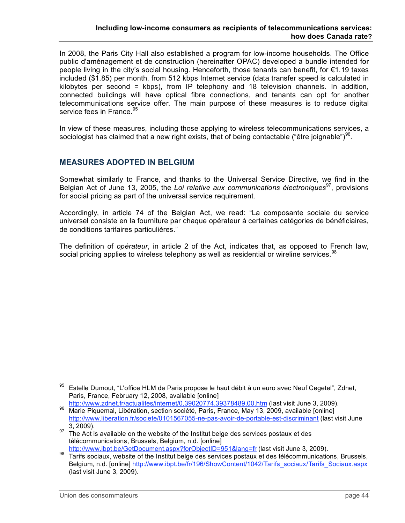In 2008, the Paris City Hall also established a program for low-income households. The Office public d'aménagement et de construction (hereinafter OPAC) developed a bundle intended for people living in the city's social housing. Henceforth, those tenants can benefit, for €1.19 taxes included (\$1.85) per month, from 512 kbps Internet service (data transfer speed is calculated in kilobytes per second = kbps), from IP telephony and 18 television channels. In addition, connected buildings will have optical fibre connections, and tenants can opt for another telecommunications service offer. The main purpose of these measures is to reduce digital service fees in France.<sup>95</sup>

In view of these measures, including those applying to wireless telecommunications services, a sociologist has claimed that a new right exists, that of being contactable ("être joignable") $96$ .

# **MEASURES ADOPTED IN BELGIUM**

Somewhat similarly to France, and thanks to the Universal Service Directive, we find in the Belgian Act of June 13, 2005, the *Loi relative aux communications électroniques*<sup>97</sup> , provisions for social pricing as part of the universal service requirement.

Accordingly, in article 74 of the Belgian Act, we read: "La composante sociale du service universel consiste en la fourniture par chaque opérateur à certaines catégories de bénéficiaires, de conditions tarifaires particulières."

The definition of *opérateur*, in article 2 of the Act, indicates that, as opposed to French law, social pricing applies to wireless telephony as well as residential or wireline services.<sup>98</sup>

 <sup>95</sup> Estelle Dumout, "L'office HLM de Paris propose le haut débit <sup>à</sup> un euro avec Neuf Cegetel", Zdnet, Paris, France, February 12, 2008, available [online]<br>http://www.zdnet.fr/actualites/internet/0,39020774,39378489,00.htm (last visit June 3, 2009).

<sup>96</sup> Marie Piquemal, Libération, section société, Paris, France, May 13, 2009, available [online] http://www.liberation.fr/societe/0101567055-ne-pas-avoir-de-portable-est-discriminant (last visit June

<sup>3, 2009).&</sup>lt;br><sup>97</sup> The Act is available on the website of the Institut belge des services postaux et des télécommunications, Brussels, Belgium, n.d. [online]

http://www.ibpt.be/GetDocument.aspx?forObjectID=951&lang=fr (last visit June 3, 2009).<br><sup>98</sup> Tarifs sociaux, website of the Institut belge des services postaux et des télécommunications, Brussels, Belgium, n.d. [online] http://www.ibpt.be/fr/196/ShowContent/1042/Tarifs\_sociaux/Tarifs\_Sociaux.aspx (last visit June 3, 2009).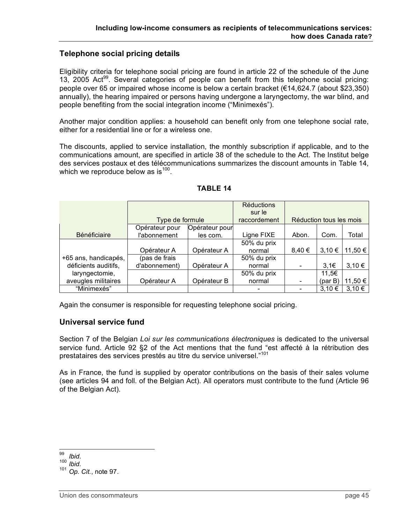### **Telephone social pricing details**

Eligibility criteria for telephone social pricing are found in article 22 of the schedule of the June 13, 2005 Act<sup>99</sup>. Several categories of people can benefit from this telephone social pricing: people over 65 or impaired whose income is below a certain bracket (€14,624.7 (about \$23,350) annually), the hearing impaired or persons having undergone a laryngectomy, the war blind, and people benefiting from the social integration income ("Minimexés").

Another major condition applies: a household can benefit only from one telephone social rate, either for a residential line or for a wireless one.

The discounts, applied to service installation, the monthly subscription if applicable, and to the communications amount, are specified in article 38 of the schedule to the Act. The Institut belge des services postaux et des télécommunications summarizes the discount amounts in Table 14, which we reproduce below as is  $^{100}$ .

|                      |                 |                | <b>Réductions</b> |                         |            |            |
|----------------------|-----------------|----------------|-------------------|-------------------------|------------|------------|
|                      |                 |                | sur le            |                         |            |            |
|                      | Type de formule |                | raccordement      | Réduction tous les mois |            |            |
|                      | Opérateur pour  | Opérateur pour |                   |                         |            |            |
| <b>Bénéficiaire</b>  | l'abonnement    | les com.       | Ligne FIXE        | Abon.                   | Com.       | Total      |
|                      |                 |                | 50% du prix       |                         |            |            |
|                      | Opérateur A     | Opérateur A    | normal            | 8.40€                   | 3.10€      | 11,50 €    |
| +65 ans, handicapés, | (pas de frais   |                | 50% du prix       |                         |            |            |
| déficients auditifs, | d'abonnement)   | Opérateur A    | normal            |                         | 3,1€       | 3.10€      |
| laryngectomie,       |                 |                | 50% du prix       |                         | 11.5€      |            |
| aveugles militaires  | Opérateur A     | Opérateur B    | normal            |                         |            | 11,50 €    |
| "Minimexés"          |                 |                |                   |                         | $3,10 \in$ | $3.10 \in$ |

#### **TABLE 14**

Again the consumer is responsible for requesting telephone social pricing.

#### **Universal service fund**

Section 7 of the Belgian *Loi sur les communications électroniques* is dedicated to the universal service fund. Article 92 §2 of the Act mentions that the fund "est affecté à la rétribution des prestataires des services prestés au titre du service universel." 101

As in France, the fund is supplied by operator contributions on the basis of their sales volume (see articles 94 and foll. of the Belgian Act). All operators must contribute to the fund (Article 96 of the Belgian Act).

<sup>99</sup> *Ibid.* <sup>100</sup> *Ibid.* <sup>101</sup> *Op. Cit.*, note 97.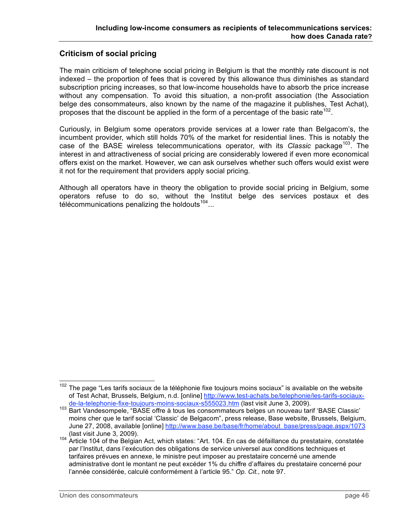# **Criticism of social pricing**

The main criticism of telephone social pricing in Belgium is that the monthly rate discount is not indexed – the proportion of fees that is covered by this allowance thus diminishes as standard subscription pricing increases, so that low-income households have to absorb the price increase without any compensation. To avoid this situation, a non-profit association (the Association belge des consommateurs, also known by the name of the magazine it publishes, Test Achat), proposes that the discount be applied in the form of a percentage of the basic rate<sup>102</sup>.

Curiously, in Belgium some operators provide services at a lower rate than Belgacom's, the incumbent provider, which still holds 70% of the market for residential lines. This is notably the case of the BASE wireless telecommunications operator, with its Classic package<sup>103</sup>. The interest in and attractiveness of social pricing are considerably lowered if even more economical offers exist on the market. However, we can ask ourselves whether such offers would exist were it not for the requirement that providers apply social pricing.

Although all operators have in theory the obligation to provide social pricing in Belgium, some operators refuse to do so, without the Institut belge des services postaux et des télécommunications penalizing the holdouts  $104...$ 

 $102$  The page "Les tarifs sociaux de la téléphonie fixe toujours moins sociaux" is available on the website of Test Achat, Brussels, Belgium, n.d. [online] http://www.test-achats.be/telephonie/les-tarifs-sociaux-<br>de-la-telephonie-fixe-toujours-moins-sociaux-s555023.htm (last visit June 3, 2009).

<sup>103</sup> Bart Vandesompele, "BASE offre à tous les consommateurs belges un nouveau tarif 'BASE Classic' moins cher que le tarif social 'Classic' de Belgacom", press release, Base website, Brussels, Belgium, June 27, 2008, available [online] http://www.base.be/base/fr/home/about\_base/press/page.aspx/1073

<sup>(</sup>last visit June 3, 2009). <sup>104</sup> Article <sup>104</sup> of the Belgian Act, which states: "Art. 104. En cas de défaillance du prestataire, constatée par l'Institut, dans l'exécution des obligations de service universel aux conditions techniques et tarifaires prévues en annexe, le ministre peut imposer au prestataire concerné une amende administrative dont le montant ne peut excéder 1% du chiffre d'affaires du prestataire concerné pour l'année considérée, calculé conformément à l'article 95." *Op. Cit.,* note 97.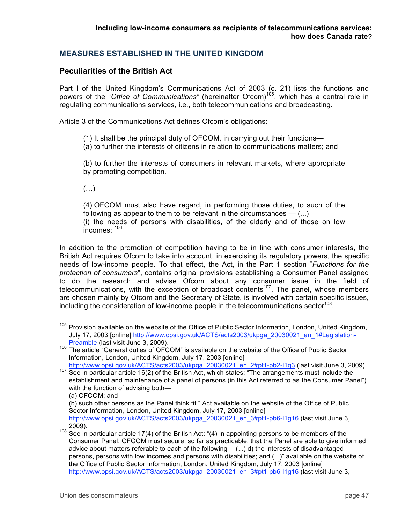# **MEASURES ESTABLISHED IN THE UNITED KINGDOM**

## **Peculiarities of the British Act**

Part I of the United Kingdom's Communications Act of 2003 (c. 21) lists the functions and powers of the "*Office of Communications"* (hereinafter Ofcom) 105 , which has a central role in regulating communications services, i.e., both telecommunications and broadcasting.

Article 3 of the Communications Act defines Ofcom's obligations:

- (1) It shall be the principal duty of OFCOM, in carrying out their functions—
- (a) to further the interests of citizens in relation to communications matters; and

(b) to further the interests of consumers in relevant markets, where appropriate by promoting competition.

(…)

(4) OFCOM must also have regard, in performing those duties, to such of the following as appear to them to be relevant in the circumstances  $-$  (...) (i) the needs of persons with disabilities, of the elderly and of those on low  $incomes: 106$ 

In addition to the promotion of competition having to be in line with consumer interests, the British Act requires Ofcom to take into account, in exercising its regulatory powers, the specific needs of low-income people. To that effect, the Act, in the Part 1 section "*Functions for the protection of consumers*", contains original provisions establishing a Consumer Panel assigned to do the research and advise Ofcom about any consumer issue in the field of telecommunications, with the exception of broadcast contents<sup>107</sup>. The panel, whose members are chosen mainly by Ofcom and the Secretary of State, is involved with certain specific issues, including the consideration of low-income people in the telecommunications sector<sup>108</sup>.

<sup>&</sup>lt;sup>105</sup> Provision available on the website of the Office of Public Sector Information, London, United Kingdom, July 17, 2003 [online] http://www.opsi.gov.uk/ACTS/acts2003/ukpga\_20030021\_en\_1#Legislation-<br>Preamble (last visit June 3, 2009).

<sup>106</sup> The article "General duties of OFCOM" is available on the website of the Office of Public Sector Information, London, United Kingdom, July 17, 2003 [online]<br>http://www.opsi.gov.uk/ACTS/acts2003/ukpga\_20030021\_en\_2#pt1-pb2-l1g3 (last visit June 3, 2009).

http://www.opsi.gov.uk/ACTS/acts2003/ukpga\_20030021\_ent\_prin-prin-prin-particle 16(2) of the British Act, which states: "The arrangements must include the establishment and maintenance of a panel of persons (in this Act referred to as"the Consumer Panel") with the function of advising both—

<sup>(</sup>a) OFCOM; and

<sup>(</sup>b) such other persons as the Panel think fit." Act available on the website of the Office of Public Sector Information, London, United Kingdom, July 17, 2003 [online] http://www.opsi.gov.uk/ACTS/acts2003/ukpga\_20030021\_en\_3#pt1-pb6-l1g16 (last visit June 3,

<sup>2009).&</sup>lt;br><sup>108</sup> See in particular article 17(4) of the British Act: "(4) In appointing persons to be members of the Consumer Panel, OFCOM must secure, so far as practicable, that the Panel are able to give informed advice about matters referable to each of the following— (...) d) the interests of disadvantaged persons, persons with low incomes and persons with disabilities; and (...)" available on the website of the Office of Public Sector Information, London, United Kingdom, July 17, 2003 [online] http://www.opsi.gov.uk/ACTS/acts2003/ukpga\_20030021\_en\_3#pt1-pb6-l1g16 (last visit June 3,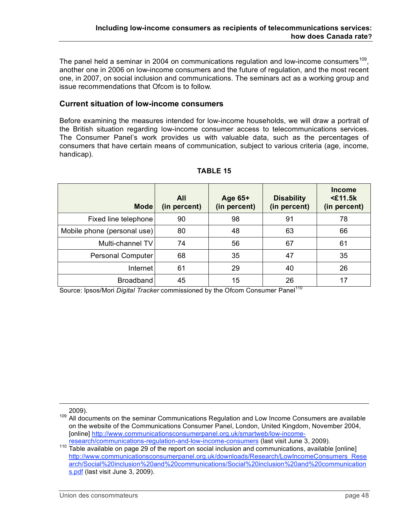The panel held a seminar in 2004 on communications regulation and low-income consumers<sup>109</sup>, another one in 2006 on low-income consumers and the future of regulation, and the most recent one, in 2007, on social inclusion and communications. The seminars act as a working group and issue recommendations that Ofcom is to follow.

### **Current situation of low-income consumers**

Before examining the measures intended for low-income households, we will draw a portrait of the British situation regarding low-income consumer access to telecommunications services. The Consumer Panel's work provides us with valuable data, such as the percentages of consumers that have certain means of communication, subject to various criteria (age, income, handicap).

| <b>Mode</b>                 | All<br>(in percent) | Age 65+<br>(in percent) | <b>Disability</b><br>(in percent) | <b>Income</b><br>$<$ £11.5 $k$<br>(in percent) |
|-----------------------------|---------------------|-------------------------|-----------------------------------|------------------------------------------------|
| Fixed line telephone        | 90                  | 98                      | 91                                | 78                                             |
| Mobile phone (personal use) | 80                  | 48                      | 63                                | 66                                             |
| Multi-channel TV            | 74                  | 56                      | 67                                | 61                                             |
| Personal Computer           | 68                  | 35                      | 47                                | 35                                             |
| Internet                    | 61                  | 29                      | 40                                | 26                                             |
| <b>Broadband</b>            | 45                  | 15                      | 26                                | 17                                             |

### **TABLE 15**

Source: Ipsos/Mori Digital Tracker commissioned by the Ofcom Consumer Panel<sup>110</sup>

<sup>2009).&</sup>lt;br><sup>109</sup> All documents on the seminar Communications Regulation and Low Income Consumers are available on the website of the Communications Consumer Panel, London, United Kingdom, November 2004, [online] http://www.communicationsconsumerpanel.org.uk/smartweb/low-income-

research/communications-regulation-and-low-income-consumers (last visit June 3, 2009).<br><sup>110</sup> Table available on page 29 of the report on social inclusion and communications, available [online] http://www.communicationsconsumerpanel.org.uk/downloads/Research/LowIncomeConsumers\_Rese arch/Social%20inclusion%20and%20communications/Social%20inclusion%20and%20communication s.pdf (last visit June 3, 2009).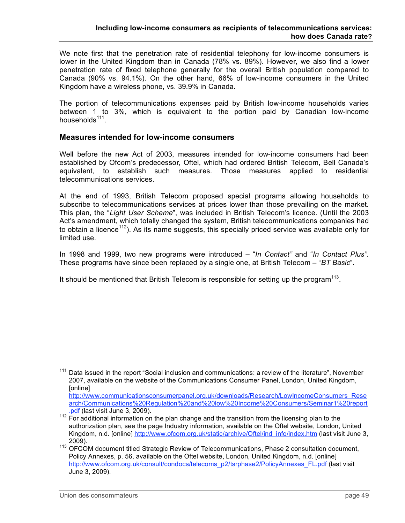We note first that the penetration rate of residential telephony for low-income consumers is lower in the United Kingdom than in Canada (78% vs. 89%). However, we also find a lower penetration rate of fixed telephone generally for the overall British population compared to Canada (90% vs. 94.1%). On the other hand, 66% of low-income consumers in the United Kingdom have a wireless phone, vs. 39.9% in Canada.

The portion of telecommunications expenses paid by British low-income households varies between 1 to 3%, which is equivalent to the portion paid by Canadian low-income households<sup>111</sup>.

### **Measures intended for low-income consumers**

Well before the new Act of 2003, measures intended for low-income consumers had been established by Ofcom's predecessor, Oftel, which had ordered British Telecom, Bell Canada's equivalent, to establish such measures. Those measures applied to residential telecommunications services.

At the end of 1993, British Telecom proposed special programs allowing households to subscribe to telecommunications services at prices lower than those prevailing on the market. This plan, the "*Light User Scheme*", was included in British Telecom's licence. (Until the 2003 Act's amendment, which totally changed the system, British telecommunications companies had to obtain a licence<sup>112</sup>). As its name suggests, this specially priced service was available only for limited use.

In 1998 and 1999, two new programs were introduced – "*In Contact"* and "*In Contact Plus"*. These programs have since been replaced by a single one, at British Telecom – "*BT Basic*".

It should be mentioned that British Telecom is responsible for setting up the program $^{113}$ .

<sup>&</sup>lt;sup>111</sup> Data issued in the report "Social inclusion and communications: a review of the literature", November 2007, available on the website of the Communications Consumer Panel, London, United Kingdom, [online]

http://www.communicationsconsumerpanel.org.uk/downloads/Research/LowIncomeConsumers\_Rese arch/Communications%20Regulation%20and%20low%20Income%20Consumers/Seminar1%20report

The 3st (last visit suits 3, 2009).<br><sup>112</sup> For additional information on the plan change and the transition from the licensing plan to the authorization plan, see the page Industry information, available on the Oftel website, London, United Kingdom, n.d. [online] http://www.ofcom.org.uk/static/archive/Oftel/ind\_info/index.htm (last visit June 3,

<sup>2009).</sup> <sup>113</sup> OFCOM document titled Strategic Review of Telecommunications, Phase <sup>2</sup> consultation document, Policy Annexes, p. 56, available on the Oftel website, London, United Kingdom, n.d. [online] http://www.ofcom.org.uk/consult/condocs/telecoms\_p2/tsrphase2/PolicyAnnexes\_FL.pdf (last visit June 3, 2009).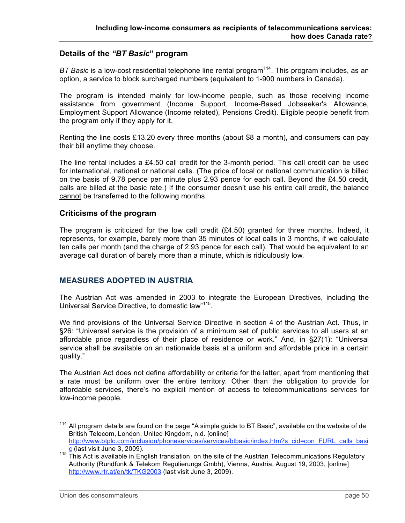### **Details of the** *"BT Basic***" program**

*BT Basic* is a low-cost residential telephone line rental program<sup>114</sup>. This program includes, as an option, a service to block surcharged numbers (equivalent to 1-900 numbers in Canada).

The program is intended mainly for low-income people, such as those receiving income assistance from government (Income Support, Income-Based Jobseeker's Allowance, Employment Support Allowance (Income related), Pensions Credit). Eligible people benefit from the program only if they apply for it.

Renting the line costs £13.20 every three months (about \$8 a month), and consumers can pay their bill anytime they choose.

The line rental includes a  $£4.50$  call credit for the 3-month period. This call credit can be used for international, national or national calls. (The price of local or national communication is billed on the basis of 9.78 pence per minute plus 2.93 pence for each call. Beyond the £4.50 credit, calls are billed at the basic rate.) If the consumer doesn't use his entire call credit, the balance cannot be transferred to the following months.

#### **Criticisms of the program**

The program is criticized for the low call credit (£4.50) granted for three months. Indeed, it represents, for example, barely more than 35 minutes of local calls in 3 months, if we calculate ten calls per month (and the charge of 2.93 pence for each call). That would be equivalent to an average call duration of barely more than a minute, which is ridiculously low.

### **MEASURES ADOPTED IN AUSTRIA**

The Austrian Act was amended in 2003 to integrate the European Directives, including the Universal Service Directive, to domestic law"<sup>115</sup>.

We find provisions of the Universal Service Directive in section 4 of the Austrian Act. Thus, in §26: "Universal service is the provision of a minimum set of public services to all users at an affordable price regardless of their place of residence or work." And, in §27(1): "Universal service shall be available on an nationwide basis at a uniform and affordable price in a certain quality."

The Austrian Act does not define affordability or criteria for the latter, apart from mentioning that a rate must be uniform over the entire territory. Other than the obligation to provide for affordable services, there's no explicit mention of access to telecommunications services for low-income people.

<sup>&</sup>lt;sup>114</sup> All program details are found on the page "A simple guide to BT Basic", available on the website of de British Telecom, London, United Kingdom, n.d. [online] http://www.btplc.com/inclusion/phoneservices/services/btbasic/index.htm?s\_cid=con\_FURL\_calls\_basi<br>c (last visit June 3, 2009).

<sup>&</sup>lt;sup>115</sup> This Act is available in English translation, on the site of the Austrian Telecommunications Regulatory Authority (Rundfunk & Telekom Regulierungs Gmbh), Vienna, Austria, August 19, 2003, [online] http://www.rtr.at/en/tk/TKG2003 (last visit June 3, 2009).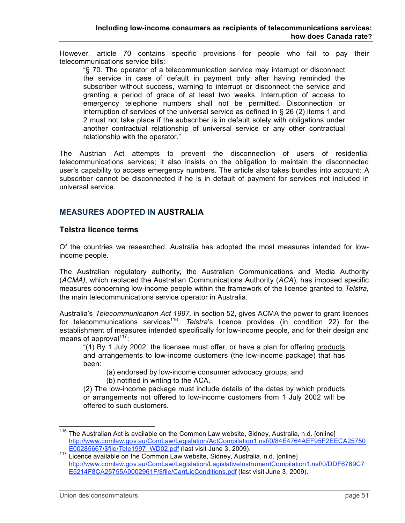However, article 70 contains specific provisions for people who fail to pay their telecommunications service bills:

"§ 70. The operator of a telecommunication service may interrupt or disconnect the service in case of default in payment only after having reminded the subscriber without success, warning to interrupt or disconnect the service and granting a period of grace of at least two weeks. Interruption of access to emergency telephone numbers shall not be permitted. Disconnection or interruption of services of the universal service as defined in § 26 (2) items 1 and 2 must not take place if the subscriber is in default solely with obligations under another contractual relationship of universal service or any other contractual relationship with the operator."

The Austrian Act attempts to prevent the disconnection of users of residential telecommunications services; it also insists on the obligation to maintain the disconnected user's capability to access emergency numbers. The article also takes bundles into account: A subscriber cannot be disconnected if he is in default of payment for services not included in universal service.

## **MEASURES ADOPTED IN AUSTRALIA**

#### **Telstra licence terms**

Of the countries we researched, Australia has adopted the most measures intended for lowincome people.

The Australian regulatory authority, the Australian Communications and Media Authority (*ACMA)*, which replaced the Australian Communications Authority (*ACA*), has imposed specific measures concerning low-income people within the framework of the licence granted to *Telstra,* the main telecommunications service operator in Australia.

Australia's *Telecommunication Act 1997,* in section 52, gives ACMA the power to grant licences for telecommunications services<sup>116</sup>. Telstra's licence provides (in condition 22) for the establishment of measures intended specifically for low-income people, and for their design and means of approval<sup>117</sup>:

"(1) By 1 July 2002, the licensee must offer, or have a plan for offering products and arrangements to low-income customers (the low-income package) that has been:

(a) endorsed by low-income consumer advocacy groups; and

(b) notified in writing to the ACA.

(2) The low-income package must include details of the dates by which products or arrangements not offered to low-income customers from 1 July 2002 will be offered to such customers.

<sup>&</sup>lt;sup>116</sup> The Australian Act is available on the Common Law website, Sidney, Australia, n.d. [online] http://www.comlaw.gov.au/ComLaw/Legislation/ActCompilation1.nsf/0/84E4764AEF95F2EECA25750

E00285667/\$file/Tele1997\_WD02.pdf (last visit June 3, 2009).<br><sup>117</sup> Licence available on the Common Law website, Sidney, Australia, n.d. [online] http://www.comlaw.gov.au/ComLaw/Legislation/LegislativeInstrumentCompilation1.nsf/0/DDF6769C7 E5214F8CA25755A0002961F/\$file/CarrLicConditions.pdf (last visit June 3, 2009).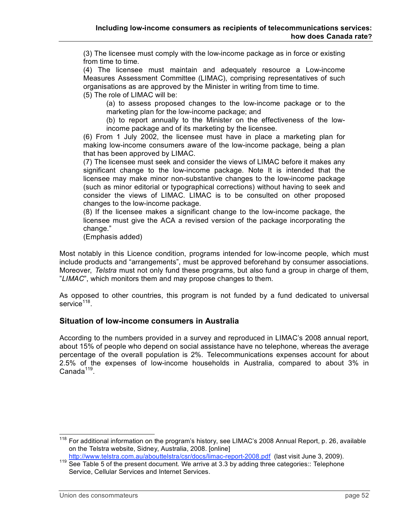(3) The licensee must comply with the low-income package as in force or existing from time to time.

(4) The licensee must maintain and adequately resource a Low-income Measures Assessment Committee (LIMAC), comprising representatives of such organisations as are approved by the Minister in writing from time to time. (5) The role of LIMAC will be:

(a) to assess proposed changes to the low-income package or to the marketing plan for the low-income package; and

(b) to report annually to the Minister on the effectiveness of the lowincome package and of its marketing by the licensee.

(6) From 1 July 2002, the licensee must have in place a marketing plan for making low-income consumers aware of the low-income package, being a plan that has been approved by LIMAC.

(7) The licensee must seek and consider the views of LIMAC before it makes any significant change to the low-income package. Note It is intended that the licensee may make minor non-substantive changes to the low-income package (such as minor editorial or typographical corrections) without having to seek and consider the views of LIMAC. LIMAC is to be consulted on other proposed changes to the low-income package.

(8) If the licensee makes a significant change to the low-income package, the licensee must give the ACA a revised version of the package incorporating the change."

(Emphasis added)

Most notably in this Licence condition, programs intended for low-income people, which must include products and "arrangements", must be approved beforehand by consumer associations. Moreover, *Telstra* must not only fund these programs, but also fund a group in charge of them, "*LIMAC*", which monitors them and may propose changes to them.

As opposed to other countries, this program is not funded by a fund dedicated to universal service<sup>118</sup>.

#### **Situation of low-income consumers in Australia**

According to the numbers provided in a survey and reproduced in LIMAC's 2008 annual report, about 15% of people who depend on social assistance have no telephone, whereas the average percentage of the overall population is 2%. Telecommunications expenses account for about 2.5% of the expenses of low-income households in Australia, compared to about 3% in  $\sf Canada^{119}.$ 

<sup>&</sup>lt;sup>118</sup> For additional information on the program's history, see LIMAC's 2008 Annual Report, p. 26, available on the Telstra website, Sidney, Australia, 2008. [online]<br>http://www.telstra.com.au/abouttelstra/csr/docs/limac-report-2008.pdf (last visit June 3, 2009).

http://www.telstra.com.au/about the computation of the present document. We arrive at 3.3 by adding three categories:: Telephone Service, Cellular Services and Internet Services.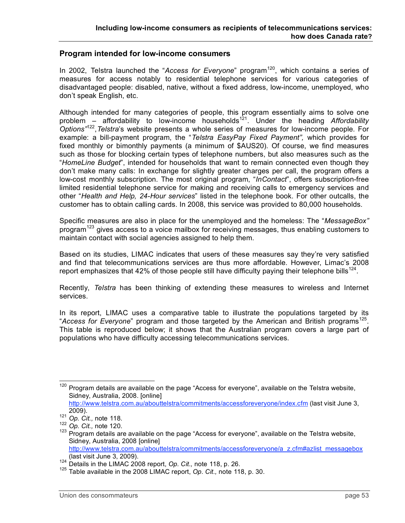#### **Program intended for low-income consumers**

In 2002, Telstra launched the "Access for Everyone" program<sup>120</sup>, which contains a series of measures for access notably to residential telephone services for various categories of disadvantaged people: disabled, native, without a fixed address, low-income, unemployed, who don't speak English, etc.

Although intended for many categories of people, this program essentially aims to solve one problem – affordability to low-income households<sup>121</sup>. Under the heading Affordability *Options"* 122 ,*Telstra*'s website presents a whole series of measures for low-income people. For example: a bill-payment program, the "*Telstra EasyPay Fixed Payment",* which provides for fixed monthly or bimonthly payments (a minimum of \$AUS20). Of course, we find measures such as those for blocking certain types of telephone numbers, but also measures such as the "*HomeLine Budget*", intended for households that want to remain connected even though they don't make many calls: In exchange for slightly greater charges per call, the program offers a low-cost monthly subscription. The most original program, "*InContact*", offers subscription-free limited residential telephone service for making and receiving calls to emergency services and other "*Health and Help, 24-Hour services*" listed in the telephone book. For other outcalls, the customer has to obtain calling cards. In 2008, this service was provided to 80,000 households.

Specific measures are also in place for the unemployed and the homeless: The "*MessageBox"* program<sup>123</sup> gives access to a voice mailbox for receiving messages, thus enabling customers to maintain contact with social agencies assigned to help them.

Based on its studies, LIMAC indicates that users of these measures say they're very satisfied and find that telecommunications services are thus more affordable. However, Limac's 2008 report emphasizes that 42% of those people still have difficulty paying their telephone bills<sup>124</sup>.

Recently, *Telstra* has been thinking of extending these measures to wireless and Internet services.

In its report, LIMAC uses a comparative table to illustrate the populations targeted by its "Access for Everyone" program and those targeted by the American and British programs<sup>125</sup>. This table is reproduced below; it shows that the Australian program covers a large part of populations who have difficulty accessing telecommunications services.

<sup>&</sup>lt;sup>120</sup> Program details are available on the page "Access for everyone", available on the Telstra website, Sidney, Australia, 2008. [online]

http://www.telstra.com.au/abouttelstra/commitments/accessforeveryone/index.cfm (last visit June 3, 2009).<br><sup>121</sup> *Op. Cit.,* note 118.<br><sup>122</sup> *Op. Cit.,* note 120.<br><sup>123</sup> Program details are available on the page "Access for everyone", available on the Telstra website,

Sidney, Australia, 2008 [online]

http://www.telstra.com.au/abouttelstra/commitments/accessforeveryone/a\_z.cfm#azlist\_messagebox<br>(last visit June 3, 2009).

<sup>124</sup> Details in the LIMAC 2008 report, *Op. Cit.*, note 118, p. 26.<br><sup>125</sup> Table available in the 2008 LIMAC report, *Op. Cit.*, note 118, p. 30.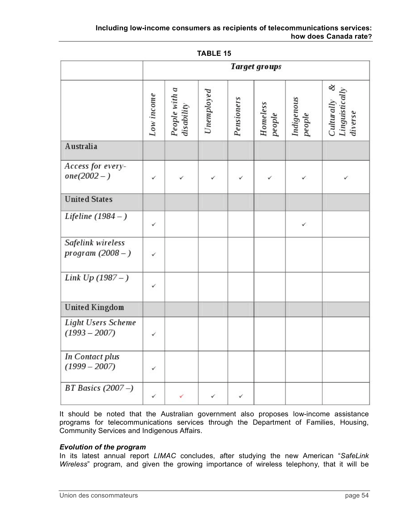|                                              | Target groups |                             |              |            |                    |                      |                                                     |
|----------------------------------------------|---------------|-----------------------------|--------------|------------|--------------------|----------------------|-----------------------------------------------------|
|                                              | Low income    | People with a<br>disability | Unemployed   | Pensioners | Homeless<br>people | Indigenous<br>people | ଷ<br><b>Linguistically</b><br>Culturally<br>diverse |
| Australia                                    |               |                             |              |            |                    |                      |                                                     |
| Access for every-<br>$one(2002 - )$          | ✓             | ✓                           | ✓            | ✓          | ✓                  | ✓                    | ✓                                                   |
| <b>United States</b>                         |               |                             |              |            |                    |                      |                                                     |
| Lifeline $(1984 - )$                         | ✓             |                             |              |            |                    | ✓                    |                                                     |
| Safelink wireless<br>program (2008 – )       | ✓             |                             |              |            |                    |                      |                                                     |
| Link $Up(1987 - )$                           | ✓             |                             |              |            |                    |                      |                                                     |
| <b>United Kingdom</b>                        |               |                             |              |            |                    |                      |                                                     |
| <b>Light Users Scheme</b><br>$(1993 - 2007)$ | $\checkmark$  |                             |              |            |                    |                      |                                                     |
| <b>In Contact plus</b><br>$(1999 - 2007)$    | ✓             |                             |              |            |                    |                      |                                                     |
| BT Basics $(2007 - )$                        | $\checkmark$  |                             | $\checkmark$ | ✓          |                    |                      |                                                     |

**TABLE 15**

It should be noted that the Australian government also proposes low-income assistance programs for telecommunications services through the Department of Families, Housing, Community Services and Indigenous Affairs.

#### *Evolution of the program*

In its latest annual report *LIMAC* concludes, after studying the new American "*SafeLink Wireless*" program, and given the growing importance of wireless telephony, that it will be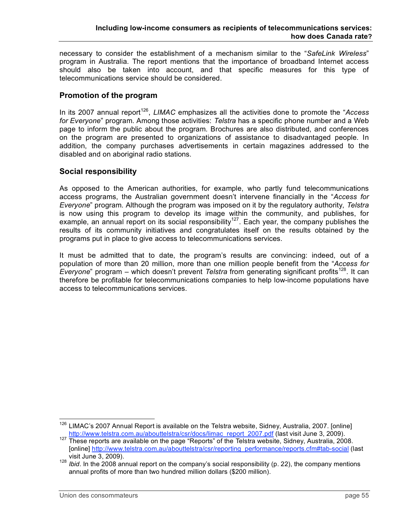necessary to consider the establishment of a mechanism similar to the "*SafeLink Wireless*" program in Australia. The report mentions that the importance of broadband Internet access should also be taken into account, and that specific measures for this type of telecommunications service should be considered.

# **Promotion of the program**

In its 2007 annual report<sup>126</sup>, LIMAC emphasizes all the activities done to promote the "Access *for Everyone*" program. Among those activities: *Telstra* has a specific phone number and a Web page to inform the public about the program. Brochures are also distributed, and conferences on the program are presented to organizations of assistance to disadvantaged people. In addition, the company purchases advertisements in certain magazines addressed to the disabled and on aboriginal radio stations.

### **Social responsibility**

As opposed to the American authorities, for example, who partly fund telecommunications access programs, the Australian government doesn't intervene financially in the "*Access for Everyone*" program. Although the program was imposed on it by the regulatory authority, *Telstra* is now using this program to develop its image within the community, and publishes, for example, an annual report on its social responsibility<sup>127</sup>. Each year, the company publishes the results of its community initiatives and congratulates itself on the results obtained by the programs put in place to give access to telecommunications services.

It must be admitted that to date, the program's results are convincing: indeed, out of a population of more than 20 million, more than one million people benefit from the "*Access for* Everyone" program – which doesn't prevent *Telstra* from generating significant profits<sup>128</sup>. It can therefore be profitable for telecommunications companies to help low-income populations have access to telecommunications services.

<sup>&</sup>lt;sup>126</sup> LIMAC's 2007 Annual Report is available on the Telstra website, Sidney, Australia, 2007. [online]<br>http://www.telstra.com.au/abouttelstra/csr/docs/limac\_report\_2007.pdf (last visit June 3, 2009).

http://www.telstra.com.au/about the page "Reports" of the Telstra website, Sidney, Australia, 2008. [online] http://www.telstra.com.au/abouttelstra/csr/reporting\_performance/reports.cfm#tab-social (last

visit June 3, 2009).<br><sup>128</sup> *Ibid*. In the 2008 annual report on the company's social responsibility (p. 22), the company mentions annual profits of more than two hundred million dollars (\$200 million).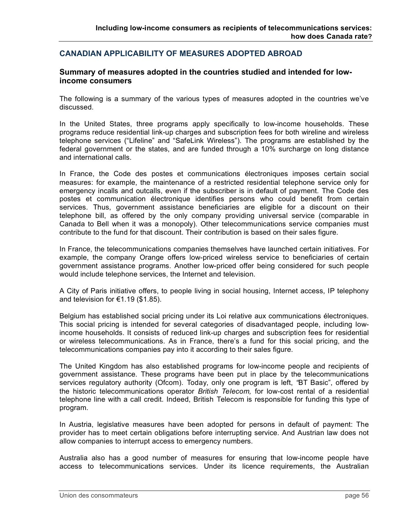# **CANADIAN APPLICABILITY OF MEASURES ADOPTED ABROAD**

#### **Summary of measures adopted in the countries studied and intended for lowincome consumers**

The following is a summary of the various types of measures adopted in the countries we've discussed.

In the United States, three programs apply specifically to low-income households. These programs reduce residential link-up charges and subscription fees for both wireline and wireless telephone services ("Lifeline" and "SafeLink Wireless"). The programs are established by the federal government or the states, and are funded through a 10% surcharge on long distance and international calls.

In France, the Code des postes et communications électroniques imposes certain social measures: for example, the maintenance of a restricted residential telephone service only for emergency incalls and outcalls, even if the subscriber is in default of payment. The Code des postes et communication électronique identifies persons who could benefit from certain services. Thus, government assistance beneficiaries are eligible for a discount on their telephone bill, as offered by the only company providing universal service (comparable in Canada to Bell when it was a monopoly). Other telecommunications service companies must contribute to the fund for that discount. Their contribution is based on their sales figure.

In France, the telecommunications companies themselves have launched certain initiatives. For example, the company Orange offers low-priced wireless service to beneficiaries of certain government assistance programs. Another low-priced offer being considered for such people would include telephone services, the Internet and television.

A City of Paris initiative offers, to people living in social housing, Internet access, IP telephony and television for €1.19 (\$1.85).

Belgium has established social pricing under its Loi relative aux communications électroniques. This social pricing is intended for several categories of disadvantaged people, including lowincome households. It consists of reduced link-up charges and subscription fees for residential or wireless telecommunications. As in France, there's a fund for this social pricing, and the telecommunications companies pay into it according to their sales figure.

The United Kingdom has also established programs for low-income people and recipients of government assistance. These programs have been put in place by the telecommunications services regulatory authority (Ofcom). Today, only one program is left, *"*BT Basic", offered by the historic telecommunications operator *British Telecom,* for low-cost rental of a residential telephone line with a call credit. Indeed, British Telecom is responsible for funding this type of program.

In Austria, legislative measures have been adopted for persons in default of payment: The provider has to meet certain obligations before interrupting service. And Austrian law does not allow companies to interrupt access to emergency numbers.

Australia also has a good number of measures for ensuring that low-income people have access to telecommunications services. Under its licence requirements, the Australian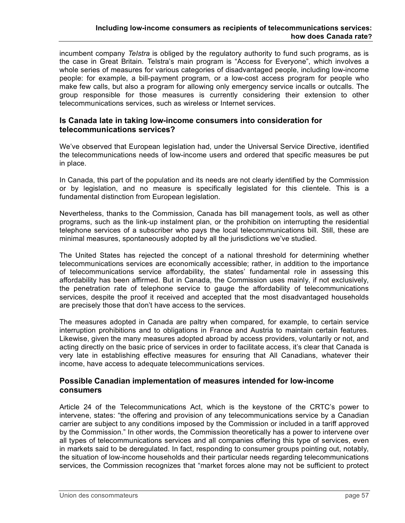incumbent company *Telstra* is obliged by the regulatory authority to fund such programs, as is the case in Great Britain. Telstra's main program is "Access for Everyone", which involves a whole series of measures for various categories of disadvantaged people, including low-income people: for example, a bill-payment program, or a low-cost access program for people who make few calls, but also a program for allowing only emergency service incalls or outcalls. The group responsible for those measures is currently considering their extension to other telecommunications services, such as wireless or Internet services.

#### **Is Canada late in taking low-income consumers into consideration for telecommunications services?**

We've observed that European legislation had, under the Universal Service Directive, identified the telecommunications needs of low-income users and ordered that specific measures be put in place.

In Canada, this part of the population and its needs are not clearly identified by the Commission or by legislation, and no measure is specifically legislated for this clientele. This is a fundamental distinction from European legislation.

Nevertheless, thanks to the Commission, Canada has bill management tools, as well as other programs, such as the link-up instalment plan, or the prohibition on interrupting the residential telephone services of a subscriber who pays the local telecommunications bill. Still, these are minimal measures, spontaneously adopted by all the jurisdictions we've studied.

The United States has rejected the concept of a national threshold for determining whether telecommunications services are economically accessible; rather, in addition to the importance of telecommunications service affordability, the states' fundamental role in assessing this affordability has been affirmed. But in Canada, the Commission uses mainly, if not exclusively, the penetration rate of telephone service to gauge the affordability of telecommunications services, despite the proof it received and accepted that the most disadvantaged households are precisely those that don't have access to the services.

The measures adopted in Canada are paltry when compared, for example, to certain service interruption prohibitions and to obligations in France and Austria to maintain certain features. Likewise, given the many measures adopted abroad by access providers, voluntarily or not, and acting directly on the basic price of services in order to facilitate access, it's clear that Canada is very late in establishing effective measures for ensuring that All Canadians, whatever their income, have access to adequate telecommunications services.

### **Possible Canadian implementation of measures intended for low-income consumers**

Article 24 of the Telecommunications Act, which is the keystone of the CRTC's power to intervene, states: "the offering and provision of any telecommunications service by a Canadian carrier are subject to any conditions imposed by the Commission or included in a tariff approved by the Commission." In other words, the Commission theoretically has a power to intervene over all types of telecommunications services and all companies offering this type of services, even in markets said to be deregulated. In fact, responding to consumer groups pointing out, notably, the situation of low-income households and their particular needs regarding telecommunications services, the Commission recognizes that "market forces alone may not be sufficient to protect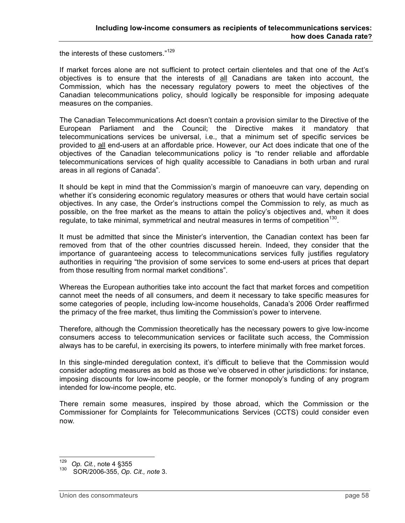the interests of these customers."<sup>129</sup>

If market forces alone are not sufficient to protect certain clienteles and that one of the Act's objectives is to ensure that the interests of all Canadians are taken into account, the Commission, which has the necessary regulatory powers to meet the objectives of the Canadian telecommunications policy, should logically be responsible for imposing adequate measures on the companies.

The Canadian Telecommunications Act doesn't contain a provision similar to the Directive of the European Parliament and the Council; the Directive makes it mandatory that telecommunications services be universal, i.e., that a minimum set of specific services be provided to all end-users at an affordable price. However, our Act does indicate that one of the objectives of the Canadian telecommunications policy is "to render reliable and affordable telecommunications services of high quality accessible to Canadians in both urban and rural areas in all regions of Canada".

It should be kept in mind that the Commission's margin of manoeuvre can vary, depending on whether it's considering economic regulatory measures or others that would have certain social objectives. In any case, the Order's instructions compel the Commission to rely, as much as possible, on the free market as the means to attain the policy's objectives and, when it does regulate, to take minimal, symmetrical and neutral measures in terms of competition<sup>130</sup>.

It must be admitted that since the Minister's intervention, the Canadian context has been far removed from that of the other countries discussed herein. Indeed, they consider that the importance of guaranteeing access to telecommunications services fully justifies regulatory authorities in requiring "the provision of some services to some end-users at prices that depart from those resulting from normal market conditions".

Whereas the European authorities take into account the fact that market forces and competition cannot meet the needs of all consumers, and deem it necessary to take specific measures for some categories of people, including low-income households, Canada's 2006 Order reaffirmed the primacy of the free market, thus limiting the Commission's power to intervene.

Therefore, although the Commission theoretically has the necessary powers to give low-income consumers access to telecommunication services or facilitate such access, the Commission always has to be careful, in exercising its powers, to interfere minimally with free market forces.

In this single-minded deregulation context, it's difficult to believe that the Commission would consider adopting measures as bold as those we've observed in other jurisdictions: for instance, imposing discounts for low-income people, or the former monopoly's funding of any program intended for low-income people, etc.

There remain some measures, inspired by those abroad, which the Commission or the Commissioner for Complaints for Telecommunications Services (CCTS) could consider even now.

 <sup>129</sup> *Op. Cit.*, note <sup>4</sup> §355

<sup>130</sup> SOR/2006-355, *Op. Cit., note* 3.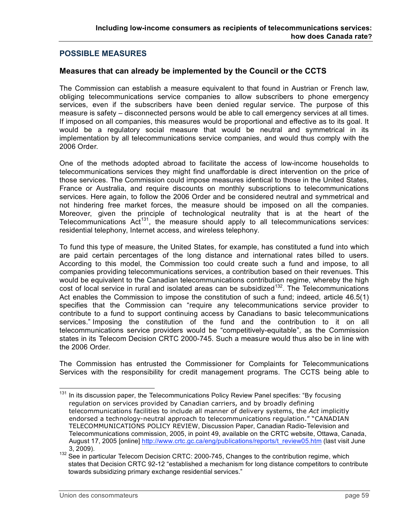# **POSSIBLE MEASURES**

### **Measures that can already be implemented by the Council or the CCTS**

The Commission can establish a measure equivalent to that found in Austrian or French law, obliging telecommunications service companies to allow subscribers to phone emergency services, even if the subscribers have been denied regular service. The purpose of this measure is safety – disconnected persons would be able to call emergency services at all times. If imposed on all companies, this measures would be proportional and effective as to its goal. It would be a regulatory social measure that would be neutral and symmetrical in its implementation by all telecommunications service companies, and would thus comply with the 2006 Order.

One of the methods adopted abroad to facilitate the access of low-income households to telecommunications services they might find unaffordable is direct intervention on the price of those services. The Commission could impose measures identical to those in the United States, France or Australia, and require discounts on monthly subscriptions to telecommunications services. Here again, to follow the 2006 Order and be considered neutral and symmetrical and not hindering free market forces, the measure should be imposed on all the companies. Moreover, given the principle of technological neutrality that is at the heart of the Telecommunications Act<sup>131</sup>, the measure should apply to all telecommunications services: residential telephony, Internet access, and wireless telephony.

To fund this type of measure, the United States, for example, has constituted a fund into which are paid certain percentages of the long distance and international rates billed to users. According to this model, the Commission too could create such a fund and impose, to all companies providing telecommunications services, a contribution based on their revenues. This would be equivalent to the Canadian telecommunications contribution regime, whereby the high cost of local service in rural and isolated areas can be subsidized<sup>132</sup>. The Telecommunications Act enables the Commission to impose the constitution of such a fund; indeed, article 46.5(1) specifies that the Commission can "require any telecommunications service provider to contribute to a fund to support continuing access by Canadians to basic telecommunications services." Imposing the constitution of the fund and the contribution to it on all telecommunications service providers would be "competitively-equitable", as the Commission states in its Telecom Decision CRTC 2000-745. Such a measure would thus also be in line with the 2006 Order.

The Commission has entrusted the Commissioner for Complaints for Telecommunications Services with the responsibility for credit management programs. The CCTS being able to

 $131$  In its discussion paper, the Telecommunications Policy Review Panel specifies: "By focusing regulation on services provided by Canadian carriers, and by broadly defining telecommunications facilities to include all manner of delivery systems, the *Act* implicitly endorsed a technology-neutral approach to telecommunications regulation." "CANADIAN TELECOMMUNICATIONS POLICY REVIEW, Discussion Paper, Canadian Radio-Television and Telecommunications commission, 2005, in point 49, available on the CRTC website, Ottawa, Canada, August 17, 2005 [online] http://www.crtc.gc.ca/eng/publications/reports/t\_review05.htm (last visit June

<sup>3,</sup> 2009). <sup>132</sup> See in particular Telecom Decision CRTC: 2000-745, Changes to the contribution regime, which states that Decision CRTC 92-12 "established a mechanism for long distance competitors to contribute towards subsidizing primary exchange residential services."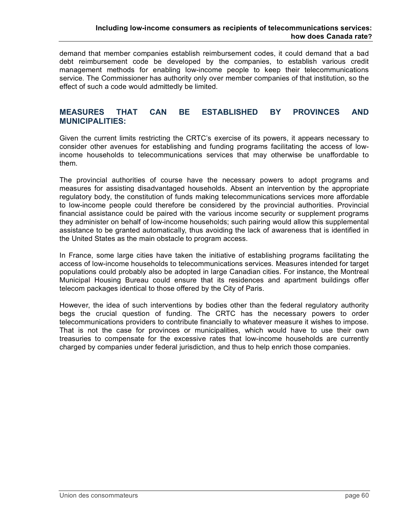demand that member companies establish reimbursement codes, it could demand that a bad debt reimbursement code be developed by the companies, to establish various credit management methods for enabling low-income people to keep their telecommunications service. The Commissioner has authority only over member companies of that institution, so the effect of such a code would admittedly be limited.

### **MEASURES THAT CAN BE ESTABLISHED BY PROVINCES AND MUNICIPALITIES:**

Given the current limits restricting the CRTC's exercise of its powers, it appears necessary to consider other avenues for establishing and funding programs facilitating the access of lowincome households to telecommunications services that may otherwise be unaffordable to them.

The provincial authorities of course have the necessary powers to adopt programs and measures for assisting disadvantaged households. Absent an intervention by the appropriate regulatory body, the constitution of funds making telecommunications services more affordable to low-income people could therefore be considered by the provincial authorities. Provincial financial assistance could be paired with the various income security or supplement programs they administer on behalf of low-income households; such pairing would allow this supplemental assistance to be granted automatically, thus avoiding the lack of awareness that is identified in the United States as the main obstacle to program access.

In France, some large cities have taken the initiative of establishing programs facilitating the access of low-income households to telecommunications services. Measures intended for target populations could probably also be adopted in large Canadian cities. For instance, the Montreal Municipal Housing Bureau could ensure that its residences and apartment buildings offer telecom packages identical to those offered by the City of Paris.

However, the idea of such interventions by bodies other than the federal regulatory authority begs the crucial question of funding. The CRTC has the necessary powers to order telecommunications providers to contribute financially to whatever measure it wishes to impose. That is not the case for provinces or municipalities, which would have to use their own treasuries to compensate for the excessive rates that low-income households are currently charged by companies under federal jurisdiction, and thus to help enrich those companies.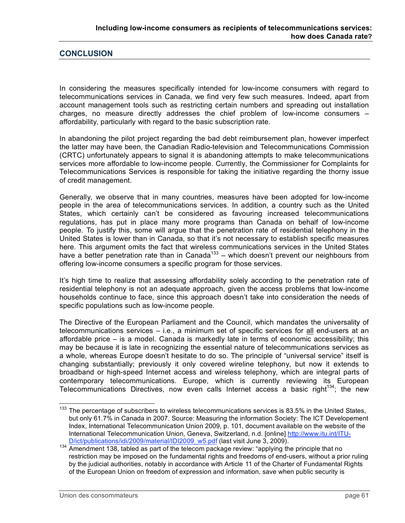### **CONCLUSION**

In considering the measures specifically intended for low-income consumers with regard to telecommunications services in Canada, we find very few such measures. Indeed, apart from account management tools such as restricting certain numbers and spreading out installation charges, no measure directly addresses the chief problem of low-income consumers – affordability, particularly with regard to the basic subscription rate.

In abandoning the pilot project regarding the bad debt reimbursement plan, however imperfect the latter may have been, the Canadian Radio-television and Telecommunications Commission (CRTC) unfortunately appears to signal it is abandoning attempts to make telecommunications services more affordable to low-income people. Currently, the Commissioner for Complaints for Telecommunications Services is responsible for taking the initiative regarding the thorny issue of credit management.

Generally, we observe that in many countries, measures have been adopted for low-income people in the area of telecommunications services. In addition, a country such as the United States, which certainly can't be considered as favouring increased telecommunications regulations, has put in place many more programs than Canada on behalf of low-income people. To justify this, some will argue that the penetration rate of residential telephony in the United States is lower than in Canada, so that it's not necessary to establish specific measures here. This argument omits the fact that wireless communications services in the United States have a better penetration rate than in Canada<sup>133</sup> – which doesn't prevent our neighbours from offering low-income consumers a specific program for those services.

It's high time to realize that assessing affordability solely according to the penetration rate of residential telephony is not an adequate approach, given the access problems that low-income households continue to face, since this approach doesn't take into consideration the needs of specific populations such as low-income people.

The Directive of the European Parliament and the Council, which mandates the universality of telecommunications services – i.e., a minimum set of specific services for all end-users at an affordable price – is a model. Canada is markedly late in terms of economic accessibility; this may be because it is late in recognizing the essential nature of telecommunications services as a whole, whereas Europe doesn't hesitate to do so. The principle of "universal service" itself is changing substantially; previously it only covered wireline telephony, but now it extends to broadband or high-speed Internet access and wireless telephony, which are integral parts of contemporary telecommunications. Europe, which is currently reviewing its European Telecommunications Directives, now even calls Internet access a basic right<sup>134</sup>; the new

<sup>&</sup>lt;sup>133</sup> The percentage of subscribers to wireless telecommunications services is 83.5% in the United States, but only 61.7% in Canada in 2007. Source: Measuring the information Society: The ICT Developement Index, International Telecommunication Union 2009, p. 101, document available on the website of the International Telecommunication Union, Geneva, Switzerland, n.d. [online] http://www.itu.int/ITU-

D/ict/publications/idi/2009/material/IDI2009\_w5.pdf (last visit June 3, 2009).<br><sup>134</sup> Amendment 138, tabled as part of the telecom package review: "applying the principle that no restriction may be imposed on the fundamental rights and freedoms of end-users, without a prior ruling by the judicial authorities, notably in accordance with Article 11 of the Charter of Fundamental Rights of the European Union on freedom of expression and information, save when public security is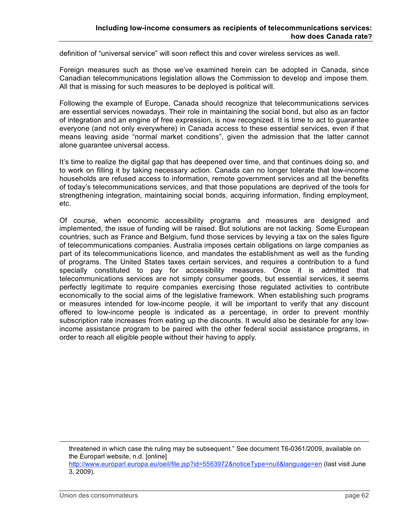definition of "universal service" will soon reflect this and cover wireless services as well.

Foreign measures such as those we've examined herein can be adopted in Canada, since Canadian telecommunications legislation allows the Commission to develop and impose them. All that is missing for such measures to be deployed is political will.

Following the example of Europe, Canada should recognize that telecommunications services are essential services nowadays. Their role in maintaining the social bond, but also as an factor of integration and an engine of free expression, is now recognized. It is time to act to guarantee everyone (and not only everywhere) in Canada access to these essential services, even if that means leaving aside "normal market conditions", given the admission that the latter cannot alone guarantee universal access.

It's time to realize the digital gap that has deepened over time, and that continues doing so, and to work on filling it by taking necessary action. Canada can no longer tolerate that low-income households are refused access to information, remote government services and all the benefits of today's telecommunications services, and that those populations are deprived of the tools for strengthening integration, maintaining social bonds, acquiring information, finding employment, etc.

Of course, when economic accessibility programs and measures are designed and implemented, the issue of funding will be raised. But solutions are not lacking. Some European countries, such as France and Belgium, fund those services by levying a tax on the sales figure of telecommunications companies. Australia imposes certain obligations on large companies as part of its telecommunications licence, and mandates the establishment as well as the funding of programs. The United States taxes certain services, and requires a contribution to a fund specially constituted to pay for accessibility measures. Once it is admitted that telecommunications services are not simply consumer goods, but essential services, it seems perfectly legitimate to require companies exercising those regulated activities to contribute economically to the social aims of the legislative framework. When establishing such programs or measures intended for low-income people, it will be important to verify that any discount offered to low-income people is indicated as a percentage, in order to prevent monthly subscription rate increases from eating up the discounts. It would also be desirable for any lowincome assistance program to be paired with the other federal social assistance programs, in order to reach all eligible people without their having to apply.

threatened in which case the ruling may be subsequent*.*" See document T6-0361/2009, available on the Europarl website, n.d. [online] http://www.europarl.europa.eu/oeil/file.jsp?id=5563972&noticeType=null&language=en (last visit June 3, 2009).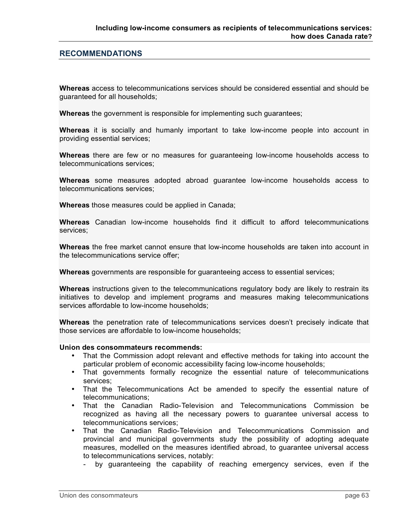#### **RECOMMENDATIONS**

**Whereas** access to telecommunications services should be considered essential and should be guaranteed for all households;

**Whereas** the government is responsible for implementing such guarantees;

**Whereas** it is socially and humanly important to take low-income people into account in providing essential services;

**Whereas** there are few or no measures for guaranteeing low-income households access to telecommunications services;

**Whereas** some measures adopted abroad guarantee low-income households access to telecommunications services;

**Whereas** those measures could be applied in Canada;

**Whereas** Canadian low-income households find it difficult to afford telecommunications services;

**Whereas** the free market cannot ensure that low-income households are taken into account in the telecommunications service offer;

**Whereas** governments are responsible for guaranteeing access to essential services;

**Whereas** instructions given to the telecommunications regulatory body are likely to restrain its initiatives to develop and implement programs and measures making telecommunications services affordable to low-income households;

**Whereas** the penetration rate of telecommunications services doesn't precisely indicate that those services are affordable to low-income households;

#### **Union des consommateurs recommends:**

- That the Commission adopt relevant and effective methods for taking into account the particular problem of economic accessibility facing low-income households;
- That governments formally recognize the essential nature of telecommunications services;
- That the Telecommunications Act be amended to specify the essential nature of telecommunications;
- That the Canadian Radio-Television and Telecommunications Commission be recognized as having all the necessary powers to guarantee universal access to telecommunications services;
- That the Canadian Radio-Television and Telecommunications Commission and provincial and municipal governments study the possibility of adopting adequate measures, modelled on the measures identified abroad, to guarantee universal access to telecommunications services, notably:
	- by guaranteeing the capability of reaching emergency services, even if the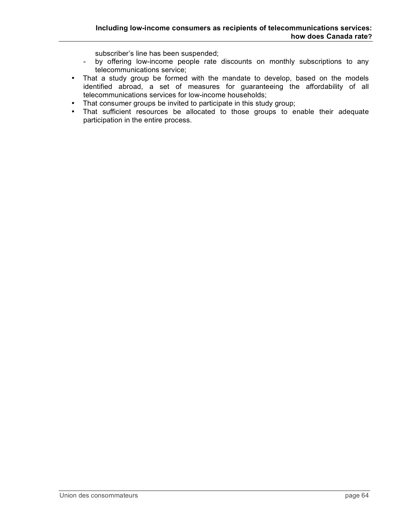subscriber's line has been suspended;

- by offering low-income people rate discounts on monthly subscriptions to any telecommunications service;
- That a study group be formed with the mandate to develop, based on the models identified abroad, a set of measures for guaranteeing the affordability of all telecommunications services for low-income households;
- That consumer groups be invited to participate in this study group;
- That sufficient resources be allocated to those groups to enable their adequate participation in the entire process.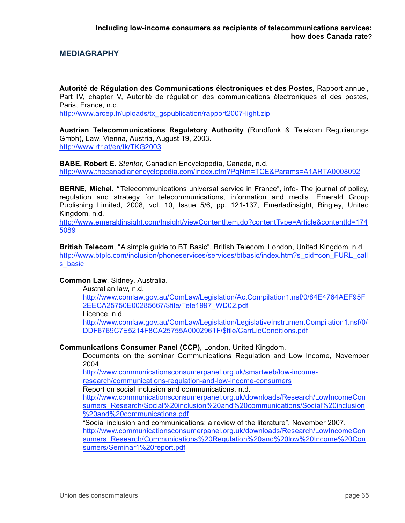#### **MEDIAGRAPHY**

**Autorité de Régulation des Communications électroniques et des Postes**, Rapport annuel, Part IV, chapter V, Autorité de régulation des communications électroniques et des postes, Paris, France, n.d.

http://www.arcep.fr/uploads/tx\_gspublication/rapport2007-light.zip

**Austrian Telecommunications Regulatory Authority** (Rundfunk & Telekom Regulierungs Gmbh), Law, Vienna, Austria, August 19, 2003. http://www.rtr.at/en/tk/TKG2003

**BABE, Robert E.** *Stentor,* Canadian Encyclopedia, Canada, n.d. http://www.thecanadianencyclopedia.com/index.cfm?PgNm=TCE&Params=A1ARTA0008092

**BERNE, Michel. "**Telecommunications universal service in France", info- The journal of policy, regulation and strategy for telecommunications, information and media, Emerald Group Publishing Limited, 2008, vol. 10, Issue 5/6, pp. 121-137, Emerladinsight, Bingley, United Kingdom, n.d.

http://www.emeraldinsight.com/Insight/viewContentItem.do?contentType=Article&contentId=174 5089

**British Telecom**, "A simple guide to BT Basic", British Telecom, London, United Kingdom, n.d. http://www.btplc.com/inclusion/phoneservices/services/btbasic/index.htm?s\_cid=con\_FURL\_call s basic

#### **Common Law**, Sidney, Australia.

Australian law, n.d.

http://www.comlaw.gov.au/ComLaw/Legislation/ActCompilation1.nsf/0/84E4764AEF95F 2EECA25750E00285667/\$file/Tele1997\_WD02.pdf

Licence, n.d.

http://www.comlaw.gov.au/ComLaw/Legislation/LegislativeInstrumentCompilation1.nsf/0/ DDF6769C7E5214F8CA25755A0002961F/\$file/CarrLicConditions.pdf

#### **Communications Consumer Panel (CCP)**, London, United Kingdom.

Documents on the seminar Communications Regulation and Low Income, November 2004.

http://www.communicationsconsumerpanel.org.uk/smartweb/low-income-

research/communications-regulation-and-low-income-consumers

Report on social inclusion and communications, n.d.

http://www.communicationsconsumerpanel.org.uk/downloads/Research/LowIncomeCon sumers\_Research/Social%20inclusion%20and%20communications/Social%20inclusion %20and%20communications.pdf

"Social inclusion and communications: a review of the literature", November 2007. http://www.communicationsconsumerpanel.org.uk/downloads/Research/LowIncomeCon sumers\_Research/Communications%20Regulation%20and%20low%20Income%20Con sumers/Seminar1%20report.pdf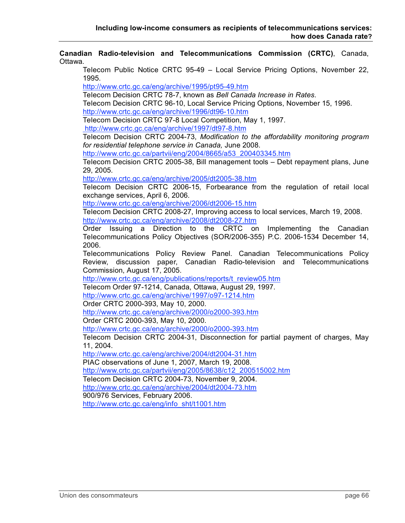**Canadian Radio-television and Telecommunications Commission (CRTC)**, Canada, Ottawa. Telecom Public Notice CRTC 95-49 – Local Service Pricing Options, November 22, 1995. http://www.crtc.gc.ca/eng/archive/1995/pt95-49.htm Telecom Decision CRTC 78-7, known as *Bell Canada Increase in Rates*. Telecom Decision CRTC 96-10, Local Service Pricing Options, November 15, 1996. http://www.crtc.gc.ca/eng/archive/1996/dt96-10.htm Telecom Decision CRTC 97-8 Local Competition, May 1, 1997. http://www.crtc.gc.ca/eng/archive/1997/dt97-8.htm Telecom Decision CRTC 2004-73, *Modification to the affordability monitoring program for residential telephone service in Canada,* June 2008. http://www.crtc.gc.ca/partvii/eng/2004/8665/a53\_200403345.htm Telecom Decision CRTC 2005-38, Bill management tools – Debt repayment plans, June 29, 2005. http://www.crtc.gc.ca/eng/archive/2005/dt2005-38.htm Telecom Decision CRTC 2006-15, Forbearance from the regulation of retail local exchange services, April 6, 2006. http://www.crtc.gc.ca/eng/archive/2006/dt2006-15.htm Telecom Decision CRTC 2008-27, Improving access to local services, March 19, 2008. http://www.crtc.gc.ca/eng/archive/2008/dt2008-27.htm Order Issuing a Direction to the CRTC on Implementing the Canadian Telecommunications Policy Objectives (SOR/2006-355) P.C. 2006-1534 December 14, 2006. Telecommunications Policy Review Panel. Canadian Telecommunications Policy Review, discussion paper, Canadian Radio-television and Telecommunications Commission, August 17, 2005. http://www.crtc.gc.ca/eng/publications/reports/t\_review05.htm Telecom Order 97-1214, Canada, Ottawa, August 29, 1997. http://www.crtc.gc.ca/eng/archive/1997/o97-1214.htm Order CRTC 2000-393, May 10, 2000. http://www.crtc.gc.ca/eng/archive/2000/o2000-393.htm Order CRTC 2000-393, May 10, 2000. http://www.crtc.gc.ca/eng/archive/2000/o2000-393.htm Telecom Decision CRTC 2004-31, Disconnection for partial payment of charges, May 11, 2004. http://www.crtc.gc.ca/eng/archive/2004/dt2004-31.htm PIAC observations of June 1, 2007, March 19, 2008. http://www.crtc.gc.ca/partvii/eng/2005/8638/c12\_200515002.htm Telecom Decision CRTC 2004-73, November 9, 2004. http://www.crtc.gc.ca/eng/archive/2004/dt2004-73.htm 900/976 Services, February 2006.

http://www.crtc.gc.ca/eng/info\_sht/t1001.htm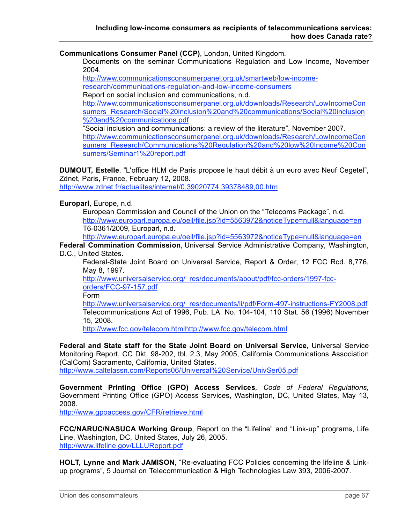**Communications Consumer Panel (CCP)**, London, United Kingdom.

Documents on the seminar Communications Regulation and Low Income, November 2004.

http://www.communicationsconsumerpanel.org.uk/smartweb/low-income-

research/communications-regulation-and-low-income-consumers

Report on social inclusion and communications, n.d.

http://www.communicationsconsumerpanel.org.uk/downloads/Research/LowIncomeCon sumers\_Research/Social%20inclusion%20and%20communications/Social%20inclusion %20and%20communications.pdf

"Social inclusion and communications: a review of the literature", November 2007. http://www.communicationsconsumerpanel.org.uk/downloads/Research/LowIncomeCon sumers\_Research/Communications%20Regulation%20and%20low%20Income%20Con sumers/Seminar1%20report.pdf

**DUMOUT, Estelle**. "L'office HLM de Paris propose le haut débit à un euro avec Neuf Cegetel", Zdnet, Paris, France, February 12, 2008.

http://www.zdnet.fr/actualites/internet/0,39020774,39378489,00.htm

**Europarl,** Europe, n.d.

European Commission and Council of the Union on the "Telecoms Package", n.d. http://www.europarl.europa.eu/oeil/file.jsp?id=5563972&noticeType=null&language=en T6-0361/2009, Europarl, n.d.

http://www.europarl.europa.eu/oeil/file.jsp?id=5563972&noticeType=null&language=en

**Federal Commination Commission**, Universal Service Administrative Company, Washington, D.C., United States.

Federal-State Joint Board on Universal Service, Report & Order, 12 FCC Rcd. 8,776, May 8, 1997.

http://www.universalservice.org/\_res/documents/about/pdf/fcc-orders/1997-fccorders/FCC-97-157.pdf

Form

http://www.universalservice.org/\_res/documents/li/pdf/Form-497-instructions-FY2008.pdf Telecommunications Act of 1996, Pub. LA. No. 104-104, 110 Stat. 56 (1996) November 15, 2008.

http://www.fcc.gov/telecom.htmlhttp://www.fcc.gov/telecom.html

**Federal and State staff for the State Joint Board on Universal Service**, Universal Service Monitoring Report, CC Dkt. 98-202, tbl. 2.3, May 2005, California Communications Association (CalCom) Sacramento, California, United States. http://www.caltelassn.com/Reports06/Universal%20Service/UnivSer05.pdf

**Government Printing Office (GPO) Access Services***, Code of Federal Regulations*, Government Printing Office (GPO) Access Services, Washington, DC, United States, May 13, 2008.

http://www.gpoaccess.gov/CFR/retrieve.html

**FCC/NARUC/NASUCA Working Group**, Report on the "Lifeline" and "Link-up" programs, Life Line, Washington, DC, United States, July 26, 2005. http://www.lifeline.gov/LLLUReport.pdf

**HOLT, Lynne and Mark JAMISON**, "Re-evaluating FCC Policies concerning the lifeline & Linkup programs", 5 Journal on Telecommunication & High Technologies Law 393, 2006-2007.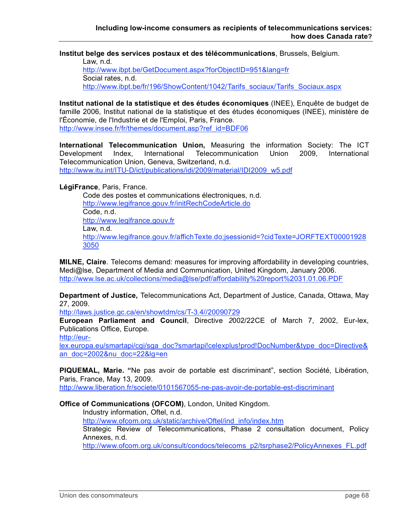**Institut belge des services postaux et des télécommunications**, Brussels, Belgium.

Law, n.d. http://www.ibpt.be/GetDocument.aspx?forObjectID=951&lang=fr Social rates, n.d. http://www.ibpt.be/fr/196/ShowContent/1042/Tarifs\_sociaux/Tarifs\_Sociaux.aspx

**Institut national de la statistique et des études économiques** (INEE), Enquête de budget de famille 2006, Institut national de la statistique et des études économiques (INEE), ministère de l'Économie, de l'Industrie et de l'Emploi, Paris, France. http://www.insee.fr/fr/themes/document.asp?ref\_id=BDF06

**International Telecommunication Union,** Measuring the information Society: The ICT Development Index, International Telecommunication Union 2009, International Telecommunication Union, Geneva, Switzerland, n.d. http://www.itu.int/ITU-D/ict/publications/idi/2009/material/IDI2009\_w5.pdf

**LégiFrance**, Paris, France.

Code des postes et communications électroniques, n.d. http://www.legifrance.gouv.fr/initRechCodeArticle.do Code, n.d. http://www.legifrance.gouv.fr Law, n.d. http://www.legifrance.gouv.fr/affichTexte.do;jsessionid=?cidTexte=JORFTEXT00001928 3050

**MILNE, Claire**. Telecoms demand: measures for improving affordability in developing countries, Medi@lse, Department of Media and Communication, United Kingdom, January 2006. http://www.lse.ac.uk/collections/media@lse/pdf/affordability%20report%2031.01.06.PDF

**Department of Justice,** Telecommunications Act, Department of Justice, Canada, Ottawa, May 27, 2009.

http://laws.justice.gc.ca/en/showtdm/cs/T-3.4//20090729

**European Parliament and Council**, Directive *2*002/22CE of March 7, 2002, Eur-lex, Publications Office, Europe.

http://eur-

lex.europa.eu/smartapi/cgi/sga\_doc?smartapi!celexplus!prod!DocNumber&type\_doc=Directive& an\_doc=2002&nu\_doc=22&lg=en

**PIQUEMAL, Marie. "**Ne pas avoir de portable est discriminant", section Société, Libération, Paris, France, May 13, 2009.

http://www.liberation.fr/societe/0101567055-ne-pas-avoir-de-portable-est-discriminant

**Office of Communications (OFCOM)**, London, United Kingdom.

Industry information, Oftel, n.d.

http://www.ofcom.org.uk/static/archive/Oftel/ind\_info/index.htm

Strategic Review of Telecommunications, Phase 2 consultation document, Policy Annexes, n.d.

http://www.ofcom.org.uk/consult/condocs/telecoms\_p2/tsrphase2/PolicyAnnexes\_FL.pdf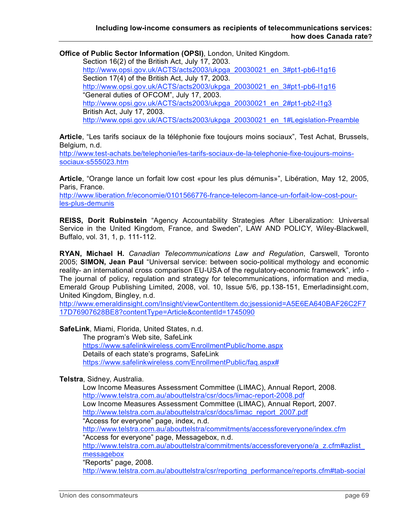**Office of Public Sector Information (OPSI)**, London, United Kingdom.

Section 16(2) of the British Act, July 17, 2003. http://www.opsi.gov.uk/ACTS/acts2003/ukpga\_20030021\_en\_3#pt1-pb6-l1g16 Section 17(4) of the British Act, July 17, 2003. http://www.opsi.gov.uk/ACTS/acts2003/ukpga\_20030021\_en\_3#pt1-pb6-l1g16 "General duties of OFCOM", July 17, 2003. http://www.opsi.gov.uk/ACTS/acts2003/ukpga\_20030021\_en\_2#pt1-pb2-l1g3 British Act, July 17, 2003. http://www.opsi.gov.uk/ACTS/acts2003/ukpga\_20030021\_en\_1#Legislation-Preamble

**Article**, "Les tarifs sociaux de la téléphonie fixe toujours moins sociaux", Test Achat, Brussels, Belgium, n.d.

http://www.test-achats.be/telephonie/les-tarifs-sociaux-de-la-telephonie-fixe-toujours-moinssociaux-s555023.htm

**Article**, "Orange lance un forfait low cost «pour les plus démunis»", Libération, May 12, 2005, Paris, France.

http://www.liberation.fr/economie/0101566776-france-telecom-lance-un-forfait-low-cost-pourles-plus-demunis

**REISS, Dorit Rubinstein** "Agency Accountability Strategies After Liberalization: Universal Service in the United Kingdom, France, and Sweden", LAW AND POLICY, Wiley-Blackwell, Buffalo, vol. 31, 1, p. 111-112.

**RYAN, Michael H.** *Canadian Telecommunications Law and Regulation*, Carswell, Toronto 2005; **SIMON, Jean Paul** "Universal service: between socio-political mythology and economic reality- an international cross comparison EU-USA of the regulatory-economic framework", info - The journal of policy, regulation and strategy for telecommunications, information and media, Emerald Group Publishing Limited, 2008, vol. 10, Issue 5/6, pp.138-151, Emerladinsight.com, United Kingdom, Bingley, n.d.

http://www.emeraldinsight.com/Insight/viewContentItem.do;jsessionid=A5E6EA640BAF26C2F7 17D76907628BE8?contentType=Article&contentId=1745090

**SafeLink**, Miami, Florida, United States, n.d.

The program's Web site, SafeLink https://www.safelinkwireless.com/EnrollmentPublic/home.aspx Details of each state's programs, SafeLink https://www.safelinkwireless.com/EnrollmentPublic/faq.aspx#

#### **Telstra**, Sidney, Australia.

Low Income Measures Assessment Committee (LIMAC), Annual Report, 2008. http://www.telstra.com.au/abouttelstra/csr/docs/limac-report-2008.pdf Low Income Measures Assessment Committee (LIMAC), Annual Report, 2007. http://www.telstra.com.au/abouttelstra/csr/docs/limac\_report\_2007.pdf "Access for everyone" page, index, n.d. http://www.telstra.com.au/abouttelstra/commitments/accessforeveryone/index.cfm "Access for everyone" page, Messagebox, n.d. http://www.telstra.com.au/abouttelstra/commitments/accessforeveryone/a\_z.cfm#azlist\_ messagebox "Reports" page, 2008.

http://www.telstra.com.au/abouttelstra/csr/reporting\_performance/reports.cfm#tab-social